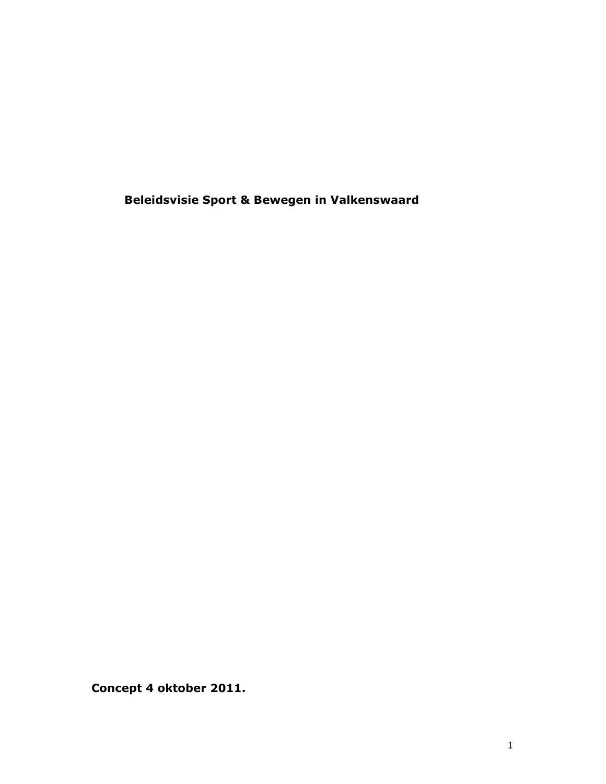Beleidsvisie Sport & Bewegen in Valkenswaard

Concept 4 oktober 2011.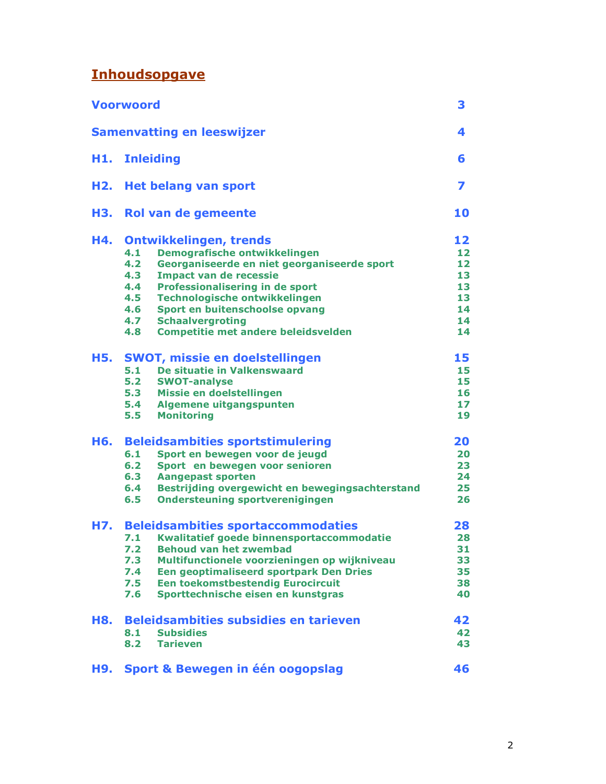# **Inhoudsopgave**

|     | <b>Voorwoord</b>                                       | 3  |  |
|-----|--------------------------------------------------------|----|--|
|     | <b>Samenvatting en leeswijzer</b>                      | 4  |  |
| H1. | <b>Inleiding</b>                                       |    |  |
| H2. | <b>Het belang van sport</b>                            |    |  |
| H3. | Rol van de gemeente                                    | 10 |  |
| H4. | <b>Ontwikkelingen, trends</b>                          | 12 |  |
|     | Demografische ontwikkelingen<br>4.1                    | 12 |  |
|     | 4.2<br>Georganiseerde en niet georganiseerde sport     | 12 |  |
|     | 4.3<br><b>Impact van de recessie</b>                   | 13 |  |
|     | 4.4<br>Professionalisering in de sport                 | 13 |  |
|     | 4.5<br>Technologische ontwikkelingen                   | 13 |  |
|     | 4.6<br>Sport en buitenschoolse opvang                  | 14 |  |
|     | 4.7<br><b>Schaalvergroting</b>                         | 14 |  |
|     | 4.8<br><b>Competitie met andere beleidsvelden</b>      | 14 |  |
| H5. | <b>SWOT, missie en doelstellingen</b>                  | 15 |  |
|     | 5.1<br>De situatie in Valkenswaard                     | 15 |  |
|     | 5.2<br><b>SWOT-analyse</b>                             | 15 |  |
|     | 5.3<br>Missie en doelstellingen                        | 16 |  |
|     | 5.4<br>Algemene uitgangspunten                         | 17 |  |
|     | 5.5<br><b>Monitoring</b>                               | 19 |  |
| H6. | <b>Beleidsambities sportstimulering</b>                | 20 |  |
|     | 6.1<br>Sport en bewegen voor de jeugd                  | 20 |  |
|     | 6.2<br>Sport en bewegen voor senioren                  | 23 |  |
|     | 6.3<br><b>Aangepast sporten</b>                        | 24 |  |
|     | Bestrijding overgewicht en bewegingsachterstand<br>6.4 | 25 |  |
|     | 6.5<br><b>Ondersteuning sportverenigingen</b>          | 26 |  |
| H7. | <b>Beleidsambities sportaccommodaties</b>              | 28 |  |
|     | Kwalitatief goede binnensportaccommodatie<br>7.1       | 28 |  |
|     | 7.2<br><b>Behoud van het zwembad</b>                   | 31 |  |
|     | 7.3<br>Multifunctionele voorzieningen op wijkniveau    | 33 |  |
|     | 7.4<br>Een geoptimaliseerd sportpark Den Dries         | 35 |  |
|     | Een toekomstbestendig Eurocircuit<br>7.5               | 38 |  |
|     | Sporttechnische eisen en kunstgras<br>7.6              | 40 |  |
| H8. | <b>Beleidsambities subsidies en tarieven</b>           | 42 |  |
|     | 8.1<br><b>Subsidies</b>                                | 42 |  |
|     | 8.2<br><b>Tarieven</b>                                 | 43 |  |
| H9. | Sport & Bewegen in één oogopslag                       | 46 |  |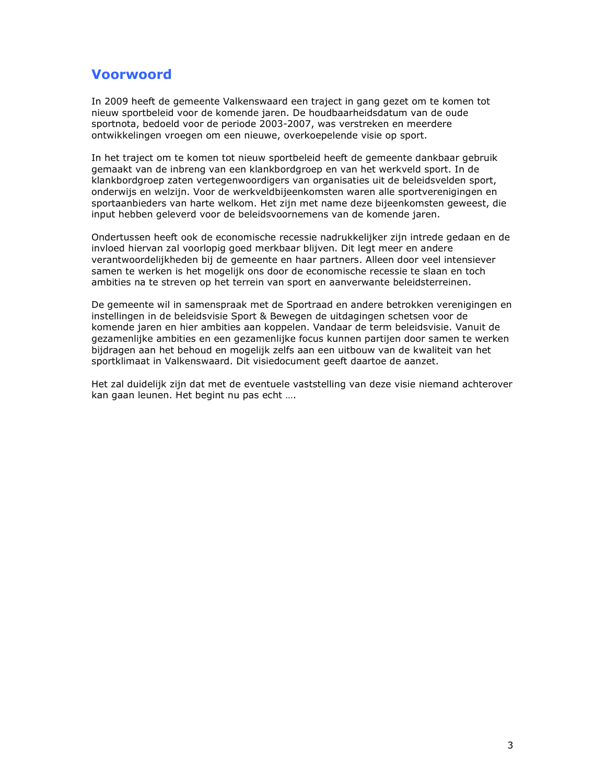## **Voorwoord**

In 2009 heeft de gemeente Valkenswaard een traject in gang gezet om te komen tot nieuw sportbeleid voor de komende jaren. De houdbaarheidsdatum van de oude sportnota, bedoeld voor de periode 2003-2007, was verstreken en meerdere ontwikkelingen vroegen om een nieuwe, overkoepelende visie op sport.

In het traject om te komen tot nieuw sportbeleid heeft de gemeente dankbaar gebruik gemaakt van de inbreng van een klankbordgroep en van het werkveld sport. In de klankbordgroep zaten vertegenwoordigers van organisaties uit de beleidsvelden sport, onderwijs en welzijn. Voor de werkveldbijeenkomsten waren alle sportverenigingen en sportaanbieders van harte welkom. Het zijn met name deze bijeenkomsten geweest, die input hebben geleverd voor de beleidsvoornemens van de komende jaren.

Ondertussen heeft ook de economische recessie nadrukkelijker zijn intrede gedaan en de invloed hiervan zal voorlopig goed merkbaar blijven. Dit legt meer en andere verantwoordelijkheden bij de gemeente en haar partners. Alleen door veel intensiever samen te werken is het mogelijk ons door de economische recessie te slaan en toch ambities na te streven op het terrein van sport en aanverwante beleidsterreinen.

De gemeente wil in samenspraak met de Sportraad en andere betrokken verenigingen en instellingen in de beleidsvisie Sport & Bewegen de uitdagingen schetsen voor de komende jaren en hier ambities aan koppelen. Vandaar de term beleidsvisie. Vanuit de gezamenlijke ambities en een gezamenlijke focus kunnen partijen door samen te werken bijdragen aan het behoud en mogelijk zelfs aan een uitbouw van de kwaliteit van het sportklimaat in Valkenswaard. Dit visiedocument geeft daartoe de aanzet.

Het zal duidelijk zijn dat met de eventuele vaststelling van deze visie niemand achterover kan gaan leunen. Het begint nu pas echt ....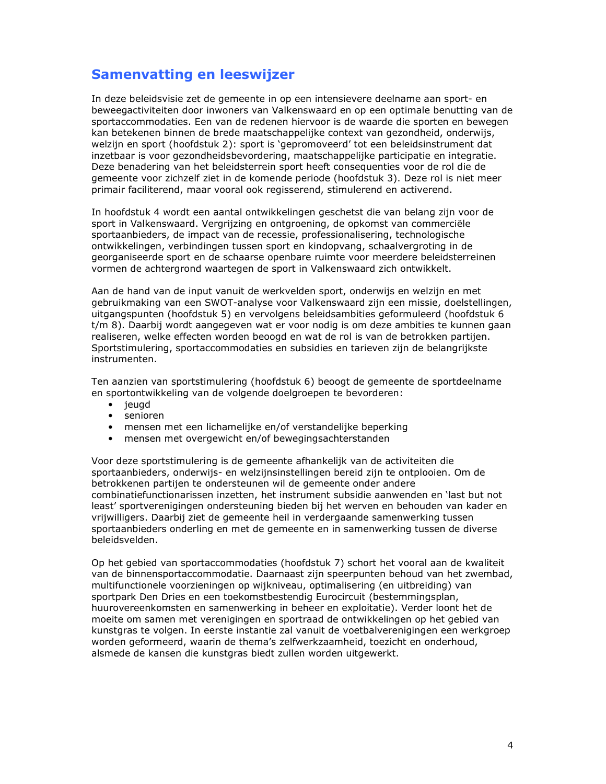## **Samenvatting en leeswijzer**

In deze beleidsvisie zet de gemeente in op een intensievere deelname aan sport- en beweegactiviteiten door inwoners van Valkenswaard en op een optimale benutting van de sportaccommodaties. Een van de redenen hiervoor is de waarde die sporten en bewegen kan betekenen binnen de brede maatschappelijke context van gezondheid, onderwijs, welzijn en sport (hoofdstuk 2); sport is 'gepromoveerd' tot een beleidsinstrument dat inzetbaar is voor gezondheidsbevordering, maatschappelijke participatie en integratie. Deze benadering van het beleidsterrein sport heeft consequenties voor de rol die de gemeente voor zichzelf ziet in de komende periode (hoofdstuk 3). Deze rol is niet meer primair faciliterend, maar vooral ook regisserend, stimulerend en activerend.

In hoofdstuk 4 wordt een aantal ontwikkelingen geschetst die van belang zijn voor de sport in Valkenswaard. Vergrijzing en ontgroening, de opkomst van commerciële sportaanbieders, de impact van de recessie, professionalisering, technologische ontwikkelingen, verbindingen tussen sport en kindopvang, schaalvergroting in de georganiseerde sport en de schaarse openbare ruimte voor meerdere beleidsterreinen vormen de achtergrond waartegen de sport in Valkenswaard zich ontwikkelt.

Aan de hand van de input vanuit de werkvelden sport, onderwijs en welzijn en met gebruikmaking van een SWOT-analyse voor Valkenswaard zijn een missie, doelstellingen, uitgangspunten (hoofdstuk 5) en vervolgens beleidsambities geformuleerd (hoofdstuk 6 t/m 8). Daarbij wordt aangegeven wat er voor nodig is om deze ambities te kunnen gaan realiseren, welke effecten worden beoogd en wat de rol is van de betrokken partijen. Sportstimulering, sportaccommodaties en subsidies en tarieven zijn de belangrijkste instrumenten.

Ten aanzien van sportstimulering (hoofdstuk 6) beoogt de gemeente de sportdeelname en sportontwikkeling van de volgende doelgroepen te bevorderen:

- $\bullet$  jeugd
- senioren
- mensen met een lichamelijke en/of verstandelijke beperking
- mensen met overgewicht en/of bewegingsachterstanden

Voor deze sportstimulering is de gemeente afhankelijk van de activiteiten die sportaanbieders, onderwijs- en welzijnsinstellingen bereid zijn te ontplooien. Om de betrokkenen partijen te ondersteunen wil de gemeente onder andere combinatiefunctionarissen inzetten, het instrument subsidie aanwenden en 'last but not least' sportverenigingen ondersteuning bieden bij het werven en behouden van kader en vrijwilligers. Daarbij ziet de gemeente heil in verdergaande samenwerking tussen sportaanbieders onderling en met de gemeente en in samenwerking tussen de diverse beleidsvelden.

Op het gebied van sportaccommodaties (hoofdstuk 7) schort het vooral aan de kwaliteit van de binnensportaccommodatie. Daarnaast zijn speerpunten behoud van het zwembad, multifunctionele voorzieningen op wijkniveau, optimalisering (en uitbreiding) van sportpark Den Dries en een toekomstbestendig Eurocircuit (bestemmingsplan, huurovereenkomsten en samenwerking in beheer en exploitatie). Verder loont het de moeite om samen met verenigingen en sportraad de ontwikkelingen op het gebied van kunstgras te volgen. In eerste instantie zal vanuit de voetbalverenigingen een werkgroep worden geformeerd, waarin de thema's zelfwerkzaamheid, toezicht en onderhoud, alsmede de kansen die kunstgras biedt zullen worden uitgewerkt.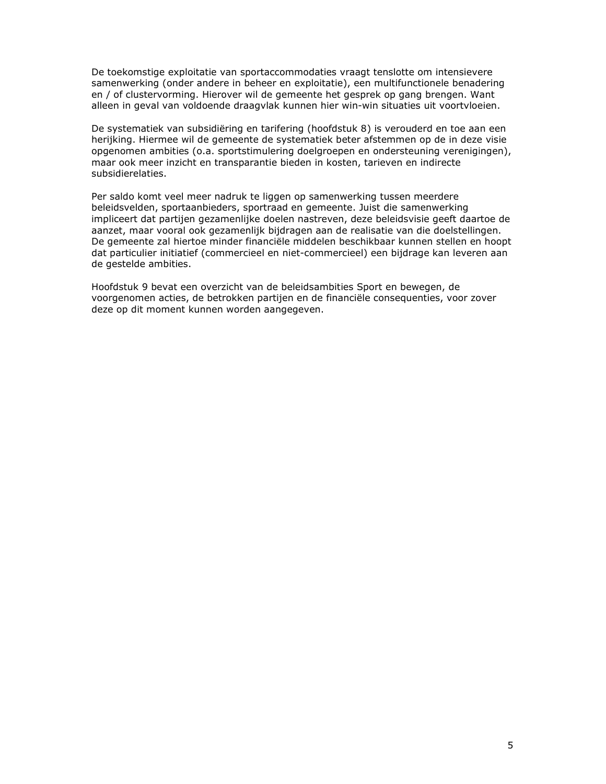De toekomstige exploitatie van sportaccommodaties vraagt tenslotte om intensievere samenwerking (onder andere in beheer en exploitatie), een multifunctionele benadering en / of clustervorming. Hierover wil de gemeente het gesprek op gang brengen. Want alleen in geval van voldoende draagvlak kunnen hier win-win situaties uit voortvloeien.

De systematiek van subsidiëring en tarifering (hoofdstuk 8) is verouderd en toe aan een herijking. Hiermee wil de gemeente de systematiek beter afstemmen op de in deze visie opgenomen ambities (o.a. sportstimulering doelgroepen en ondersteuning verenigingen), maar ook meer inzicht en transparantie bieden in kosten, tarieven en indirecte subsidierelaties.

Per saldo komt veel meer nadruk te liggen op samenwerking tussen meerdere beleidsvelden, sportaanbieders, sportraad en gemeente. Juist die samenwerking impliceert dat partijen gezamenlijke doelen nastreven, deze beleidsvisie geeft daartoe de aanzet, maar vooral ook gezamenlijk bijdragen aan de realisatie van die doelstellingen. De gemeente zal hiertoe minder financiële middelen beschikbaar kunnen stellen en hoopt dat particulier initiatief (commercieel en niet-commercieel) een bijdrage kan leveren aan de gestelde ambities.

Hoofdstuk 9 bevat een overzicht van de beleidsambities Sport en bewegen, de voorgenomen acties, de betrokken partijen en de financiële consequenties, voor zover deze op dit moment kunnen worden aangegeven.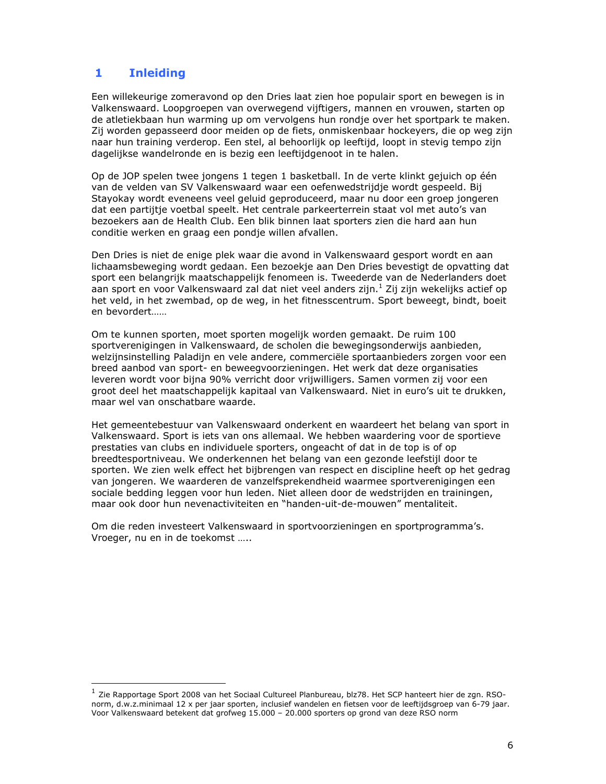#### $\mathbf{1}$ **Inleiding**

Een willekeurige zomeravond op den Dries laat zien hoe populair sport en bewegen is in Valkenswaard. Loopgroepen van overwegend vijftigers, mannen en vrouwen, starten op de atletiekbaan hun warming up om vervolgens hun rondje over het sportpark te maken. Zij worden gepasseerd door meiden op de fiets, onmiskenbaar hockeyers, die op weg zijn naar hun training verderop. Een stel, al behoorlijk op leeftijd, loopt in stevig tempo zijn dagelijkse wandelronde en is bezig een leeftijdgenoot in te halen.

Op de JOP spelen twee jongens 1 tegen 1 basketball. In de verte klinkt gejuich op één van de velden van SV Valkenswaard waar een oefenwedstrijdje wordt gespeeld. Bij Stavokay wordt eveneens veel geluid geproduceerd, maar nu door een groep jongeren dat een partijtje voetbal speelt. Het centrale parkeerterrein staat vol met auto's van bezoekers aan de Health Club. Een blik binnen laat sporters zien die hard aan hun conditie werken en graag een pondje willen afvallen.

Den Dries is niet de enige plek waar die avond in Valkenswaard gesport wordt en aan lichaamsbeweging wordt gedaan. Een bezoekje aan Den Dries bevestigt de opvatting dat sport een belangrijk maatschappelijk fenomeen is. Tweederde van de Nederlanders doet aan sport en voor Valkenswaard zal dat niet veel anders zijn.<sup>1</sup> Zij zijn wekelijks actief op het veld, in het zwembad, op de weg, in het fitnesscentrum. Sport beweegt, bindt, boeit en bevordert......

Om te kunnen sporten, moet sporten mogelijk worden gemaakt. De ruim 100 sportverenigingen in Valkenswaard, de scholen die bewegingsonderwijs aanbieden, welzijnsinstelling Paladijn en vele andere, commerciële sportaanbieders zorgen voor een breed aanbod van sport- en beweegvoorzieningen. Het werk dat deze organisaties leveren wordt voor bijna 90% verricht door vrijwilligers. Samen vormen zij voor een groot deel het maatschappelijk kapitaal van Valkenswaard. Niet in euro's uit te drukken, maar wel van onschatbare waarde.

Het gemeentebestuur van Valkenswaard onderkent en waardeert het belang van sport in Valkenswaard. Sport is iets van ons allemaal. We hebben waardering voor de sportieve prestaties van clubs en individuele sporters, ongeacht of dat in de top is of op breedtesportniveau. We onderkennen het belang van een gezonde leefstijl door te sporten. We zien welk effect het bijbrengen van respect en discipline heeft op het gedrag van jongeren. We waarderen de vanzelfsprekendheid waarmee sportverenigingen een sociale bedding leggen voor hun leden. Niet alleen door de wedstrijden en trainingen, maar ook door hun nevenactiviteiten en "handen-uit-de-mouwen" mentaliteit.

Om die reden investeert Valkenswaard in sportvoorzieningen en sportprogramma's. Vroeger, nu en in de toekomst .....

 $^1$  Zie Rapportage Sport 2008 van het Sociaal Cultureel Planbureau, blz78. Het SCP hanteert hier de zgn. RSOnorm, d.w.z.minimaal 12 x per jaar sporten, inclusief wandelen en fietsen voor de leeftijdsgroep van 6-79 jaar. Voor Valkenswaard betekent dat grofweg 15.000 - 20.000 sporters op grond van deze RSO norm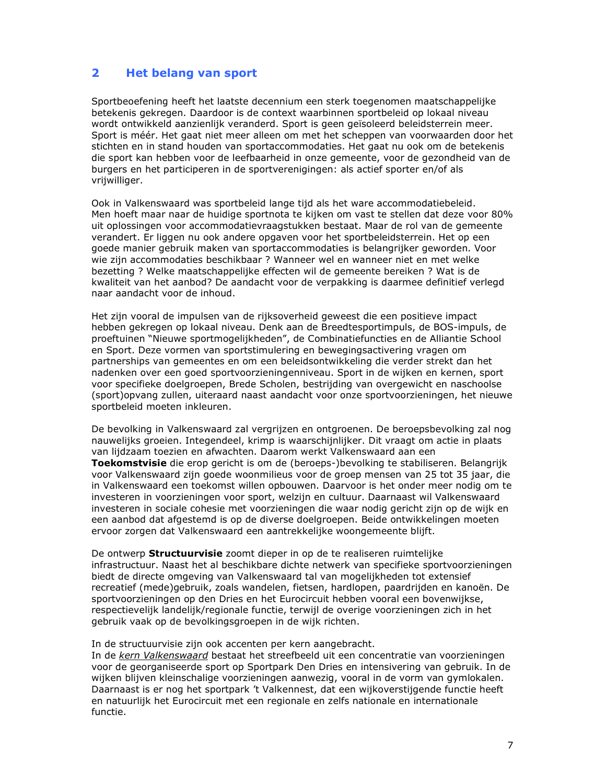#### $\overline{2}$ **Het belang van sport**

Sportbeoefening heeft het laatste decennium een sterk toegenomen maatschappelijke betekenis gekregen. Daardoor is de context waarbinnen sportbeleid op lokaal niveau wordt ontwikkeld aanzienlijk veranderd. Sport is geen geïsoleerd beleidsterrein meer. Sport is méér. Het gaat niet meer alleen om met het scheppen van voorwaarden door het stichten en in stand houden van sportaccommodaties. Het gaat nu ook om de betekenis die sport kan hebben voor de leefbaarheid in onze gemeente, voor de gezondheid van de burgers en het participeren in de sportverenigingen: als actief sporter en/of als vrijwilliger.

Ook in Valkenswaard was sportbeleid lange tijd als het ware accommodatiebeleid. Men hoeft maar naar de huidige sportnota te kijken om vast te stellen dat deze voor 80% uit oplossingen voor accommodatievraagstukken bestaat. Maar de rol van de gemeente verandert. Er liggen nu ook andere opgaven voor het sportbeleidsterrein. Het op een goede manier gebruik maken van sportaccommodaties is belangrijker geworden. Voor wie zijn accommodaties beschikbaar ? Wanneer wel en wanneer niet en met welke bezetting ? Welke maatschappelijke effecten wil de gemeente bereiken ? Wat is de kwaliteit van het aanbod? De aandacht voor de verpakking is daarmee definitief verlegd naar aandacht voor de inhoud.

Het zijn vooral de impulsen van de rijksoverheid geweest die een positieve impact hebben gekregen op lokaal niveau. Denk aan de Breedtesportimpuls, de BOS-impuls, de proeftuinen "Nieuwe sportmogelijkheden", de Combinatiefuncties en de Alliantie School en Sport. Deze vormen van sportstimulering en bewegingsactivering vragen om partnerships van gemeentes en om een beleidsontwikkeling die verder strekt dan het nadenken over een goed sportvoorzieningenniveau. Sport in de wijken en kernen, sport voor specifieke doelgroepen, Brede Scholen, bestrijding van overgewicht en naschoolse (sport)opvang zullen, uiteraard naast aandacht voor onze sportvoorzieningen, het nieuwe sportbeleid moeten inkleuren.

De bevolking in Valkenswaard zal vergrijzen en ontgroenen. De beroepsbevolking zal nog nauwelijks groeien. Integendeel, krimp is waarschijnlijker. Dit vraagt om actie in plaats van lijdzaam toezien en afwachten. Daarom werkt Valkenswaard aan een Toekomstvisie die erop gericht is om de (beroeps-)bevolking te stabiliseren. Belangrijk voor Valkenswaard zijn goede woonmilieus voor de groep mensen van 25 tot 35 jaar, die in Valkenswaard een toekomst willen opbouwen. Daarvoor is het onder meer nodig om te investeren in voorzieningen voor sport, welzijn en cultuur. Daarnaast wil Valkenswaard investeren in sociale cohesie met voorzieningen die waar nodig gericht zijn op de wijk en een aanbod dat afgestemd is op de diverse doelgroepen. Beide ontwikkelingen moeten ervoor zorgen dat Valkenswaard een aantrekkelijke woongemeente blijft.

De ontwerp **Structuurvisie** zoomt dieper in op de te realiseren ruimtelijke infrastructuur. Naast het al beschikbare dichte netwerk van specifieke sportvoorzieningen biedt de directe omgeving van Valkenswaard tal van mogelijkheden tot extensief recreatief (mede)gebruik, zoals wandelen, fietsen, hardlopen, paardrijden en kanoën. De sportvoorzieningen op den Dries en het Eurocircuit hebben vooral een bovenwijkse, respectievelijk landelijk/regionale functie, terwijl de overige voorzieningen zich in het gebruik vaak op de bevolkingsgroepen in de wijk richten.

In de structuurvisie zijn ook accenten per kern aangebracht.

In de kern Valkenswaard bestaat het streefbeeld uit een concentratie van voorzieningen voor de georganiseerde sport op Sportpark Den Dries en intensivering van gebruik. In de wijken blijven kleinschalige voorzieningen aanwezig, vooral in de vorm van gymlokalen. Daarnaast is er nog het sportpark 't Valkennest, dat een wijkoverstijgende functie heeft en natuurlijk het Eurocircuit met een regionale en zelfs nationale en internationale functie.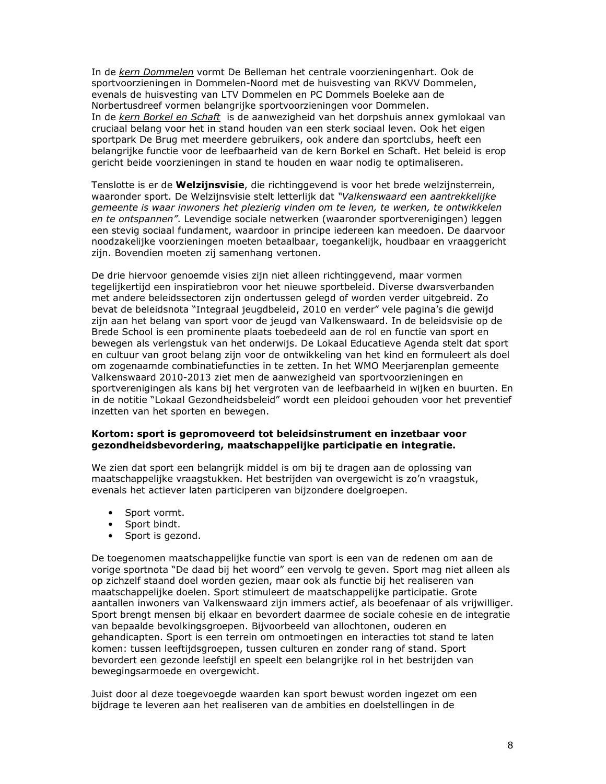In de kern Dommelen vormt De Belleman het centrale voorzieningenhart. Ook de sportvoorzieningen in Dommelen-Noord met de huisvesting van RKVV Dommelen, evenals de huisvesting van LTV Dommelen en PC Dommels Boeleke aan de Norbertusdreef vormen belangrijke sportvoorzieningen voor Dommelen. In de kern Borkel en Schaft is de aanwezigheid van het dorpshuis annex gymlokaal van cruciaal belang voor het in stand houden van een sterk sociaal leven. Ook het eigen sportpark De Brug met meerdere gebruikers, ook andere dan sportclubs, heeft een belangrijke functie voor de leefbaarheid van de kern Borkel en Schaft. Het beleid is erop gericht beide voorzieningen in stand te houden en waar nodig te optimaliseren.

Tenslotte is er de Welzijnsvisie, die richtinggevend is voor het brede welzijnsterrein, waaronder sport. De Welzijnsvisie stelt letterlijk dat "Valkenswaard een aantrekkelijke gemeente is waar inwoners het plezierig vinden om te leven, te werken, te ontwikkelen en te ontspannen". Levendige sociale netwerken (waaronder sportverenigingen) leggen een stevig sociaal fundament, waardoor in principe iedereen kan meedoen. De daarvoor noodzakelijke voorzieningen moeten betaalbaar, toegankelijk, houdbaar en vraaggericht zijn. Bovendien moeten zij samenhang vertonen.

De drie hiervoor genoemde visies zijn niet alleen richtinggevend, maar vormen tegelijkertijd een inspiratiebron voor het nieuwe sportbeleid. Diverse dwarsverbanden met andere beleidssectoren zijn ondertussen gelegd of worden verder uitgebreid. Zo bevat de beleidsnota "Integraal jeugdbeleid, 2010 en verder" vele pagina's die gewijd zijn aan het belang van sport voor de jeugd van Valkenswaard. In de beleidsvisie op de Brede School is een prominente plaats toebedeeld aan de rol en functie van sport en bewegen als verlengstuk van het onderwijs. De Lokaal Educatieve Agenda stelt dat sport en cultuur van groot belang zijn voor de ontwikkeling van het kind en formuleert als doel om zogenaamde combinatiefuncties in te zetten. In het WMO Meerjarenplan gemeente Valkenswaard 2010-2013 ziet men de aanwezigheid van sportvoorzieningen en sportverenigingen als kans bij het vergroten van de leefbaarheid in wijken en buurten. En in de notitie "Lokaal Gezondheidsbeleid" wordt een pleidooi gehouden voor het preventief inzetten van het sporten en bewegen.

### Kortom: sport is gepromoveerd tot beleidsinstrument en inzetbaar voor gezondheidsbevordering, maatschappelijke participatie en integratie.

We zien dat sport een belangrijk middel is om bij te dragen aan de oplossing van maatschappelijke vraagstukken. Het bestrijden van overgewicht is zo'n vraagstuk, evenals het actiever laten participeren van bijzondere doelgroepen.

- Sport vormt.
- Sport bindt.
- Sport is gezond.

De toegenomen maatschappelijke functie van sport is een van de redenen om aan de vorige sportnota "De daad bij het woord" een vervolg te geven. Sport mag niet alleen als op zichzelf staand doel worden gezien, maar ook als functie bij het realiseren van maatschappelijke doelen. Sport stimuleert de maatschappelijke participatie. Grote aantallen inwoners van Valkenswaard zijn immers actief, als beoefenaar of als vrijwilliger. Sport brengt mensen bij elkaar en bevordert daarmee de sociale cohesie en de integratie van bepaalde bevolkingsgroepen. Bijvoorbeeld van allochtonen, ouderen en gehandicapten. Sport is een terrein om ontmoetingen en interacties tot stand te laten komen: tussen leeftijdsgroepen, tussen culturen en zonder rang of stand. Sport bevordert een gezonde leefstijl en speelt een belangrijke rol in het bestrijden van bewegingsarmoede en overgewicht.

Juist door al deze toegevoegde waarden kan sport bewust worden ingezet om een bijdrage te leveren aan het realiseren van de ambities en doelstellingen in de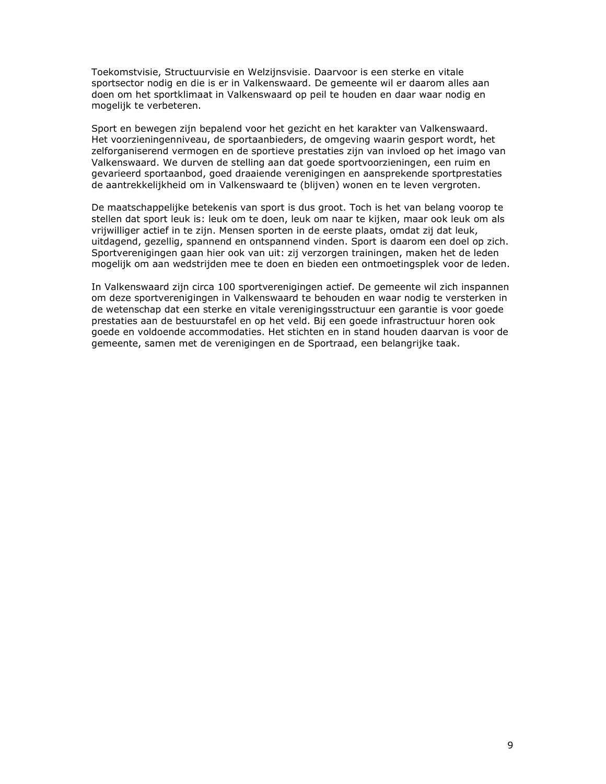Toekomstvisie, Structuurvisie en Welzijnsvisie. Daarvoor is een sterke en vitale sportsector nodig en die is er in Valkenswaard. De gemeente wil er daarom alles aan doen om het sportklimaat in Valkenswaard op peil te houden en daar waar nodig en mogelijk te verbeteren.

Sport en bewegen zijn bepalend voor het gezicht en het karakter van Valkenswaard. Het voorzieningenniveau, de sportaanbieders, de omgeving waarin gesport wordt, het zelforganiserend vermogen en de sportieve prestaties zijn van invloed op het imago van Valkenswaard. We durven de stelling aan dat goede sportvoorzieningen, een ruim en gevarieerd sportaanbod, goed draaiende verenigingen en aansprekende sportprestaties de aantrekkelijkheid om in Valkenswaard te (blijven) wonen en te leven vergroten.

De maatschappelijke betekenis van sport is dus groot. Toch is het van belang voorop te stellen dat sport leuk is: leuk om te doen, leuk om naar te kijken, maar ook leuk om als vrijwilliger actief in te zijn. Mensen sporten in de eerste plaats, omdat zij dat leuk, uitdagend, gezellig, spannend en ontspannend vinden. Sport is daarom een doel op zich. Sportverenigingen gaan hier ook van uit: zij verzorgen trainingen, maken het de leden mogelijk om aan wedstrijden mee te doen en bieden een ontmoetingsplek voor de leden.

In Valkenswaard zijn circa 100 sportverenigingen actief. De gemeente wil zich inspannen om deze sportverenigingen in Valkenswaard te behouden en waar nodig te versterken in de wetenschap dat een sterke en vitale verenigingsstructuur een garantie is voor goede prestaties aan de bestuurstafel en op het veld. Bij een goede infrastructuur horen ook goede en voldoende accommodaties. Het stichten en in stand houden daarvan is voor de gemeente, samen met de verenigingen en de Sportraad, een belangrijke taak.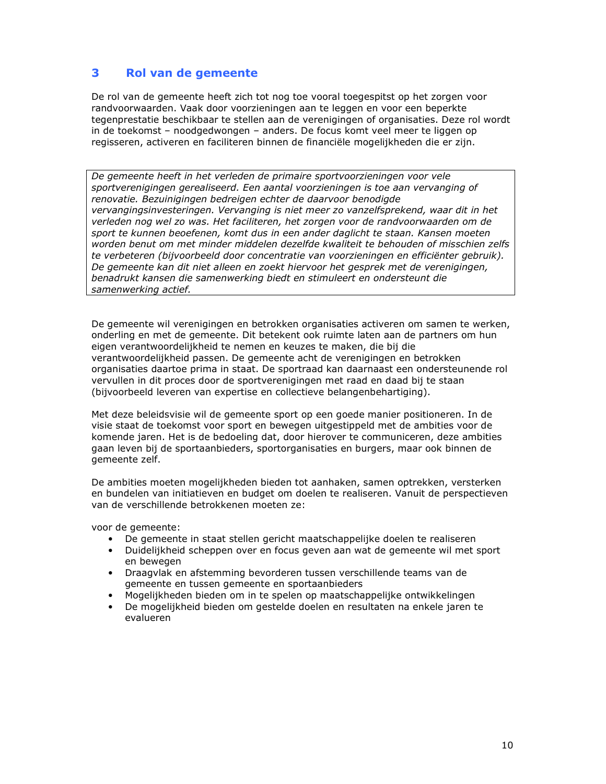#### 3 Rol van de gemeente

De rol van de gemeente heeft zich tot nog toe vooral toegespitst op het zorgen voor randvoorwaarden. Vaak door voorzieningen aan te leggen en voor een beperkte tegenprestatie beschikbaar te stellen aan de verenigingen of organisaties. Deze rol wordt in de toekomst - noodgedwongen - anders. De focus komt veel meer te liggen op regisseren, activeren en faciliteren binnen de financiële mogelijkheden die er zijn.

De gemeente heeft in het verleden de primaire sportvoorzieningen voor vele sportverenigingen gerealiseerd. Een aantal voorzieningen is toe aan vervanging of renovatie. Bezuinigingen bedreigen echter de daarvoor benodigde vervangingsinvesteringen. Vervanging is niet meer zo vanzelfsprekend, waar dit in het verleden nog wel zo was. Het faciliteren, het zorgen voor de randvoorwaarden om de sport te kunnen beoefenen, komt dus in een ander daglicht te staan. Kansen moeten worden benut om met minder middelen dezelfde kwaliteit te behouden of misschien zelfs te verbeteren (bijvoorbeeld door concentratie van voorzieningen en efficiënter gebruik). De gemeente kan dit niet alleen en zoekt hiervoor het gesprek met de verenigingen, benadrukt kansen die samenwerking biedt en stimuleert en ondersteunt die samenwerking actief.

De gemeente wil verenigingen en betrokken organisaties activeren om samen te werken, onderling en met de gemeente. Dit betekent ook ruimte laten aan de partners om hun eigen verantwoordelijkheid te nemen en keuzes te maken, die bij die verantwoordelijkheid passen. De gemeente acht de verenigingen en betrokken organisaties daartoe prima in staat. De sportraad kan daarnaast een ondersteunende rol vervullen in dit proces door de sportverenigingen met raad en daad bij te staan (bijvoorbeeld leveren van expertise en collectieve belangenbehartiging).

Met deze beleidsvisie wil de gemeente sport op een goede manier positioneren. In de visie staat de toekomst voor sport en bewegen uitgestippeld met de ambities voor de komende jaren. Het is de bedoeling dat, door hierover te communiceren, deze ambities gaan leven bij de sportaanbieders, sportorganisaties en burgers, maar ook binnen de gemeente zelf.

De ambities moeten mogelijkheden bieden tot aanhaken, samen optrekken, versterken en bundelen van initiatieven en budget om doelen te realiseren. Vanuit de perspectieven van de verschillende betrokkenen moeten ze:

voor de gemeente:

- De gemeente in staat stellen gericht maatschappelijke doelen te realiseren
- Duidelijkheid scheppen over en focus geven aan wat de gemeente wil met sport en bewegen
- Draagvlak en afstemming bevorderen tussen verschillende teams van de gemeente en tussen gemeente en sportaanbieders
- Mogelijkheden bieden om in te spelen op maatschappelijke ontwikkelingen
- De mogelijkheid bieden om gestelde doelen en resultaten na enkele jaren te evalueren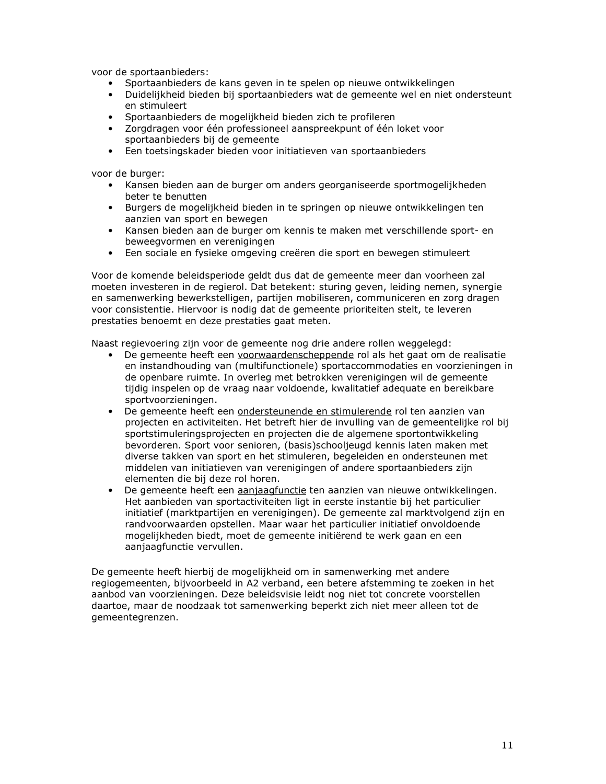voor de sportaanbieders:

- Sportaanbieders de kans geven in te spelen op nieuwe ontwikkelingen
- Duidelijkheid bieden bij sportaanbieders wat de gemeente wel en niet ondersteunt  $\bullet$ en stimuleert
- Sportaanbieders de mogelijkheid bieden zich te profileren
- Zorgdragen voor één professioneel aanspreekpunt of één loket voor sportaanbieders bij de gemeente
- Een toetsingskader bieden voor initiatieven van sportaanbieders

voor de burger:

- Kansen bieden aan de burger om anders georganiseerde sportmogelijkheden beter te benutten
- · Burgers de mogelijkheid bieden in te springen op nieuwe ontwikkelingen ten aanzien van sport en bewegen
- Kansen bieden aan de burger om kennis te maken met verschillende sport- en beweegvormen en verenigingen
- Een sociale en fysieke omgeving creëren die sport en bewegen stimuleert

Voor de komende beleidsperiode geldt dus dat de gemeente meer dan voorheen zal moeten investeren in de regierol. Dat betekent: sturing geven, leiding nemen, synergie en samenwerking bewerkstelligen, partijen mobiliseren, communiceren en zorg dragen voor consistentie. Hiervoor is nodig dat de gemeente prioriteiten stelt, te leveren prestaties benoemt en deze prestaties gaat meten.

Naast regievoering zijn voor de gemeente nog drie andere rollen weggelegd:

- De gemeente heeft een voorwaardenscheppende rol als het gaat om de realisatie en instandhouding van (multifunctionele) sportaccommodaties en voorzieningen in de openbare ruimte. In overleg met betrokken verenigingen wil de gemeente tijdig inspelen op de vraag naar voldoende, kwalitatief adequate en bereikbare sportvoorzieningen.
- De gemeente heeft een ondersteunende en stimulerende rol ten aanzien van projecten en activiteiten. Het betreft hier de invulling van de gemeentelijke rol bij sportstimuleringsprojecten en projecten die de algemene sportontwikkeling bevorderen. Sport voor senioren, (basis)schooljeugd kennis laten maken met diverse takken van sport en het stimuleren, begeleiden en ondersteunen met middelen van initiatieven van verenigingen of andere sportaanbieders zijn elementen die bij deze rol horen.
- De gemeente heeft een aanjaagfunctie ten aanzien van nieuwe ontwikkelingen. Het aanbieden van sportactiviteiten ligt in eerste instantie bij het particulier initiatief (marktpartijen en verenigingen). De gemeente zal marktvolgend zijn en randvoorwaarden opstellen. Maar waar het particulier initiatief onvoldoende mogelijkheden biedt, moet de gemeente initiërend te werk gaan en een aanjaagfunctie vervullen.

De gemeente heeft hierbij de mogelijkheid om in samenwerking met andere regiogemeenten, bijvoorbeeld in A2 verband, een betere afstemming te zoeken in het aanbod van voorzieningen. Deze beleidsvisie leidt nog niet tot concrete voorstellen daartoe, maar de noodzaak tot samenwerking beperkt zich niet meer alleen tot de gemeentegrenzen.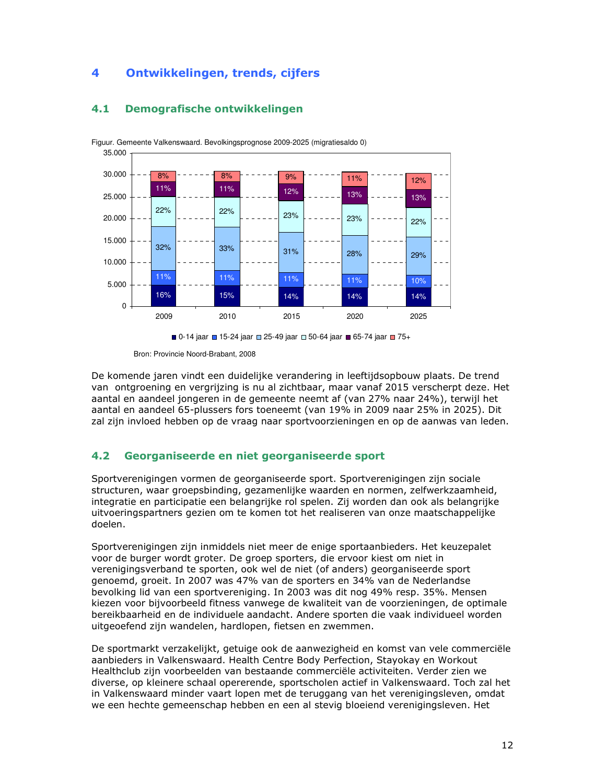

## 4.1 Demografische ontwikkelingen



Bron: Provincie Noord-Brabant, 2008

De komende jaren vindt een duidelijke verandering in leeftijdsopbouw plaats. De trend van ontgroening en vergrijzing is nu al zichtbaar, maar vanaf 2015 verscherpt deze. Het aantal en aandeel jongeren in de gemeente neemt af (van 27% naar 24%), terwijl het aantal en aandeel 65-plussers fors toeneemt (van 19% in 2009 naar 25% in 2025). Dit zal zijn invloed hebben op de vraag naar sportvoorzieningen en op de aanwas van leden.

## 4.2 Georganiseerde en niet georganiseerde sport

Sportverenigingen vormen de georganiseerde sport. Sportverenigingen zijn sociale structuren, waar groepsbinding, gezamenlijke waarden en normen, zelfwerkzaamheid, integratie en participatie een belangrijke rol spelen. Zij worden dan ook als belangrijke uitvoeringspartners gezien om te komen tot het realiseren van onze maatschappelijke doelen.

Sportverenigingen zijn inmiddels niet meer de enige sportaanbieders. Het keuzepalet voor de burger wordt groter. De groep sporters, die ervoor kiest om niet in verenigingsverband te sporten, ook wel de niet (of anders) georganiseerde sport genoemd, groeit. In 2007 was 47% van de sporters en 34% van de Nederlandse bevolking lid van een sportvereniging. In 2003 was dit nog 49% resp. 35%. Mensen kiezen voor bijvoorbeeld fitness vanwege de kwaliteit van de voorzieningen, de optimale bereikbaarheid en de individuele aandacht. Andere sporten die vaak individueel worden uitgeoefend zijn wandelen, hardlopen, fietsen en zwemmen.

De sportmarkt verzakelijkt, getuige ook de aanwezigheid en komst van vele commerciële aanbieders in Valkenswaard. Health Centre Body Perfection, Stayokay en Workout Healthclub zijn voorbeelden van bestaande commerciële activiteiten. Verder zien we diverse, op kleinere schaal opererende, sportscholen actief in Valkenswaard. Toch zal het in Valkenswaard minder vaart lopen met de teruggang van het verenigingsleven, omdat we een hechte gemeenschap hebben en een al stevig bloeiend verenigingsleven. Het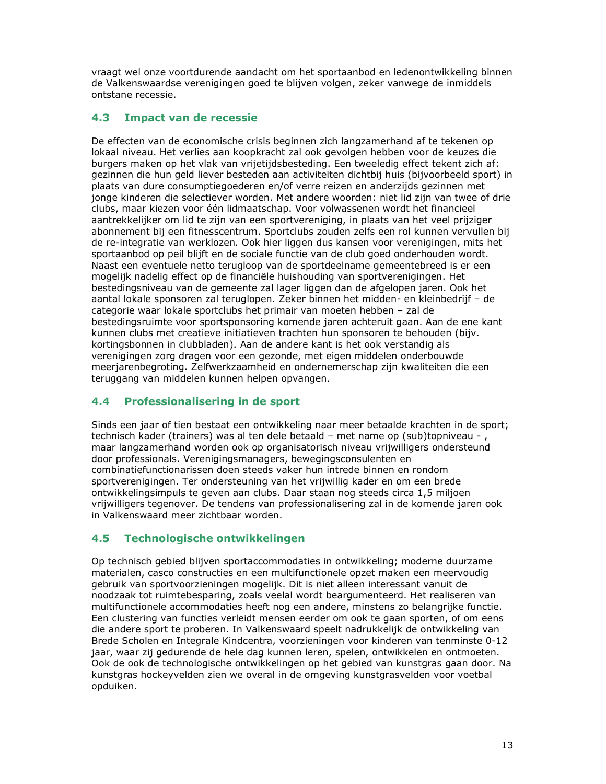vraagt wel onze voortdurende aandacht om het sportaanbod en ledenontwikkeling binnen de Valkenswaardse verenigingen goed te blijven volgen, zeker vanwege de inmiddels ontstane recessie.

#### $4.3$ Impact van de recessie

De effecten van de economische crisis beginnen zich langzamerhand af te tekenen op lokaal niveau. Het verlies aan koopkracht zal ook gevolgen hebben voor de keuzes die burgers maken op het vlak van vrijetijdsbesteding. Een tweeledig effect tekent zich af: gezinnen die hun geld liever besteden aan activiteiten dichtbij huis (bijvoorbeeld sport) in plaats van dure consumptiegoederen en/of verre reizen en anderzijds gezinnen met jonge kinderen die selectiever worden. Met andere woorden: niet lid zijn van twee of drie clubs, maar kiezen voor één lidmaatschap. Voor volwassenen wordt het financieel aantrekkelijker om lid te zijn van een sportvereniging, in plaats van het veel prijziger abonnement bij een fitnesscentrum. Sportclubs zouden zelfs een rol kunnen vervullen bij de re-integratie van werklozen. Ook hier liggen dus kansen voor verenigingen, mits het sportaanbod op peil blijft en de sociale functie van de club goed onderhouden wordt. Naast een eventuele netto terugloop van de sportdeelname gemeentebreed is er een mogelijk nadelig effect op de financiële huishouding van sportverenigingen. Het bestedingsniveau van de gemeente zal lager liggen dan de afgelopen jaren. Ook het aantal lokale sponsoren zal teruglopen. Zeker binnen het midden- en kleinbedrijf - de categorie waar lokale sportclubs het primair van moeten hebben - zal de bestedingsruimte voor sportsponsoring komende jaren achteruit gaan. Aan de ene kant kunnen clubs met creatieve initiatieven trachten hun sponsoren te behouden (bijv. kortingsbonnen in clubbladen). Aan de andere kant is het ook verstandig als verenigingen zorg dragen voor een gezonde, met eigen middelen onderbouwde meerjarenbegroting. Zelfwerkzaamheid en ondernemerschap zijn kwaliteiten die een teruggang van middelen kunnen helpen opvangen.

#### $4.4^{\circ}$ **Professionalisering in de sport**

Sinds een jaar of tien bestaat een ontwikkeling naar meer betaalde krachten in de sport; technisch kader (trainers) was al ten dele betaald - met name op (sub)topniveau -, maar langzamerhand worden ook op organisatorisch niveau vrijwilligers ondersteund door professionals. Verenigingsmanagers, bewegingsconsulenten en combinatiefunctionarissen doen steeds vaker hun intrede binnen en rondom sportverenigingen. Ter ondersteuning van het vrijwillig kader en om een brede ontwikkelingsimpuls te geven aan clubs. Daar staan nog steeds circa 1,5 miljoen vrijwilligers tegenover. De tendens van professionalisering zal in de komende jaren ook in Valkenswaard meer zichtbaar worden.

#### $4.5$ Technologische ontwikkelingen

Op technisch gebied blijven sportaccommodaties in ontwikkeling; moderne duurzame materialen, casco constructies en een multifunctionele opzet maken een meervoudig gebruik van sportvoorzieningen mogelijk. Dit is niet alleen interessant vanuit de noodzaak tot ruimtebesparing, zoals veelal wordt beargumenteerd. Het realiseren van multifunctionele accommodaties heeft nog een andere, minstens zo belangrijke functie. Een clustering van functies verleidt mensen eerder om ook te gaan sporten, of om eens die andere sport te proberen. In Valkenswaard speelt nadrukkelijk de ontwikkeling van Brede Scholen en Integrale Kindcentra, voorzieningen voor kinderen van tenminste 0-12 jaar, waar zij gedurende de hele dag kunnen leren, spelen, ontwikkelen en ontmoeten. Ook de ook de technologische ontwikkelingen op het gebied van kunstgras gaan door. Na kunstgras hockeyvelden zien we overal in de omgeving kunstgrasvelden voor voetbal opduiken.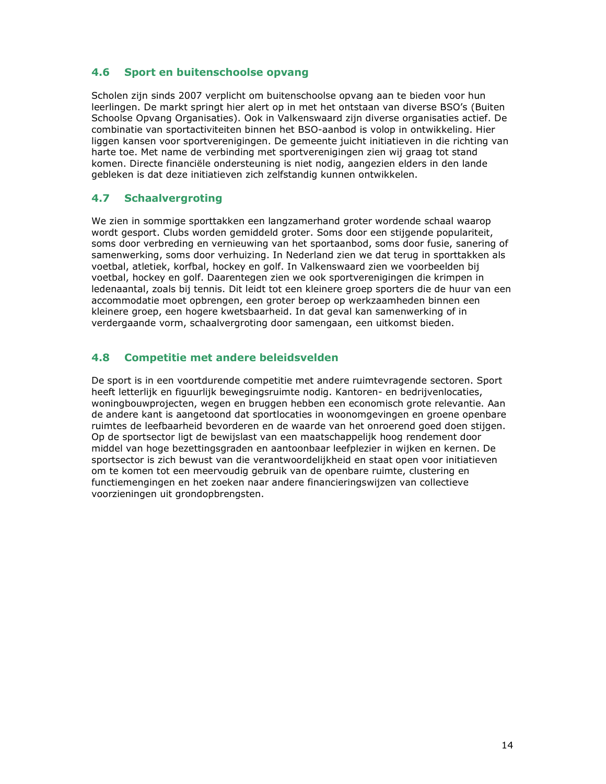#### $4.6$ Sport en buitenschoolse opvang

Scholen zijn sinds 2007 verplicht om buitenschoolse opvang aan te bieden voor hun leerlingen. De markt springt hier alert op in met het ontstaan van diverse BSO's (Buiten Schoolse Opvang Organisaties). Ook in Valkenswaard zijn diverse organisaties actief. De combinatie van sportactiviteiten binnen het BSO-aanbod is volop in ontwikkeling. Hier liggen kansen voor sportverenigingen. De gemeente juicht initiatieven in die richting van harte toe. Met name de verbinding met sportverenigingen zien wij graag tot stand komen. Directe financiële ondersteuning is niet nodig, aangezien elders in den lande gebleken is dat deze initiatieven zich zelfstandig kunnen ontwikkelen.

#### $4.7$ **Schaalvergroting**

We zien in sommige sporttakken een langzamerhand groter wordende schaal waarop wordt gesport. Clubs worden gemiddeld groter. Soms door een stijgende populariteit. soms door verbreding en vernieuwing van het sportaanbod, soms door fusie, sanering of samenwerking, soms door verhuizing. In Nederland zien we dat terug in sporttakken als voetbal, atletiek, korfbal, hockey en golf. In Valkenswaard zien we voorbeelden bij voetbal, hockey en golf. Daarentegen zien we ook sportverenigingen die krimpen in ledenaantal, zoals bij tennis. Dit leidt tot een kleinere groep sporters die de huur van een accommodatie moet opbrengen, een groter beroep op werkzaamheden binnen een kleinere groep, een hogere kwetsbaarheid. In dat geval kan samenwerking of in verdergaande vorm, schaalvergroting door samengaan, een uitkomst bieden.

#### 4.8 **Competitie met andere beleidsvelden**

De sport is in een voortdurende competitie met andere ruimtevragende sectoren. Sport heeft letterlijk en figuurlijk bewegingsruimte nodig. Kantoren- en bedrijvenlocaties, woningbouwprojecten, wegen en bruggen hebben een economisch grote relevantie. Aan de andere kant is aangetoond dat sportlocaties in woonomgevingen en groene openbare ruimtes de leefbaarheid bevorderen en de waarde van het onroerend goed doen stijgen. Op de sportsector ligt de bewijslast van een maatschappelijk hoog rendement door middel van hoge bezettingsgraden en aantoonbaar leefplezier in wijken en kernen. De sportsector is zich bewust van die verantwoordelijkheid en staat open voor initiatieven om te komen tot een meervoudig gebruik van de openbare ruimte, clustering en functiemengingen en het zoeken naar andere financieringswijzen van collectieve voorzieningen uit grondopbrengsten.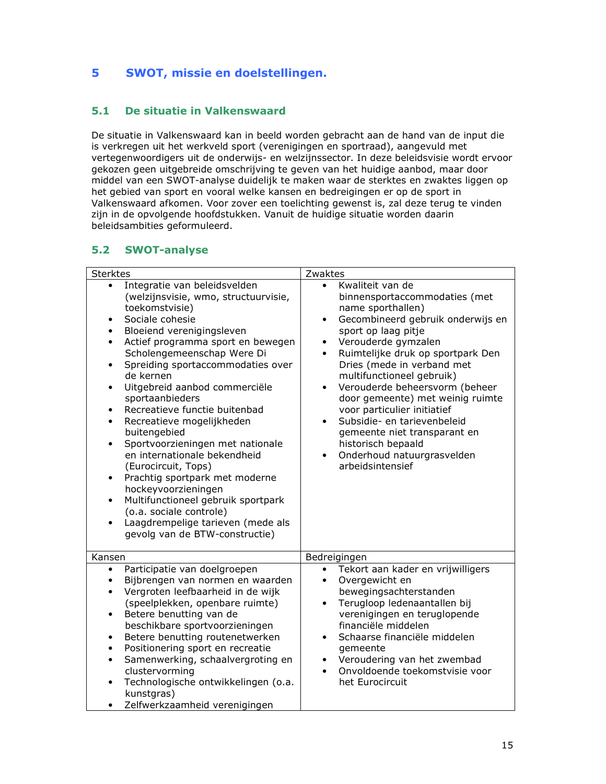### 5 SWOT, missie en doelstellingen.

#### $5.1$ De situatie in Valkenswaard

De situatie in Valkenswaard kan in beeld worden gebracht aan de hand van de input die is verkregen uit het werkveld sport (verenigingen en sportraad), aangevuld met vertegenwoordigers uit de onderwijs- en welzijnssector. In deze beleidsvisie wordt ervoor gekozen geen uitgebreide omschrijving te geven van het huidige aanbod, maar door middel van een SWOT-analyse duidelijk te maken waar de sterktes en zwaktes liggen op het gebied van sport en vooral welke kansen en bedreigingen er op de sport in Valkenswaard afkomen. Voor zover een toelichting gewenst is, zal deze terug te vinden zijn in de opvolgende hoofdstukken. Vanuit de huidige situatie worden daarin beleidsambities geformuleerd.

## 5.2 SWOT-analyse

| <b>Sterktes</b>                                                                                                                                                                                                                                                                                                                                                                                                                                                                                                                                                                                                                                                                                                                                                                                                             | Zwaktes                                                                                                                                                                                                                                                                                                                                                                                                                                                                                                                                                                             |
|-----------------------------------------------------------------------------------------------------------------------------------------------------------------------------------------------------------------------------------------------------------------------------------------------------------------------------------------------------------------------------------------------------------------------------------------------------------------------------------------------------------------------------------------------------------------------------------------------------------------------------------------------------------------------------------------------------------------------------------------------------------------------------------------------------------------------------|-------------------------------------------------------------------------------------------------------------------------------------------------------------------------------------------------------------------------------------------------------------------------------------------------------------------------------------------------------------------------------------------------------------------------------------------------------------------------------------------------------------------------------------------------------------------------------------|
| Integratie van beleidsvelden<br>$\bullet$<br>(welzijnsvisie, wmo, structuurvisie,<br>toekomstvisie)<br>Sociale cohesie<br>$\bullet$<br>Bloeiend verenigingsleven<br>Actief programma sport en bewegen<br>Scholengemeenschap Were Di<br>Spreiding sportaccommodaties over<br>$\bullet$<br>de kernen<br>Uitgebreid aanbod commerciële<br>$\bullet$<br>sportaanbieders<br>Recreatieve functie buitenbad<br>$\bullet$<br>Recreatieve mogelijkheden<br>$\bullet$<br>buitengebied<br>Sportvoorzieningen met nationale<br>$\bullet$<br>en internationale bekendheid<br>(Eurocircuit, Tops)<br>Prachtig sportpark met moderne<br>$\bullet$<br>hockeyvoorzieningen<br>Multifunctioneel gebruik sportpark<br>$\bullet$<br>(o.a. sociale controle)<br>Laagdrempelige tarieven (mede als<br>$\bullet$<br>gevolg van de BTW-constructie) | Kwaliteit van de<br>$\bullet$<br>binnensportaccommodaties (met<br>name sporthallen)<br>Gecombineerd gebruik onderwijs en<br>$\bullet$<br>sport op laag pitje<br>Verouderde gymzalen<br>$\bullet$<br>Ruimtelijke druk op sportpark Den<br>$\bullet$<br>Dries (mede in verband met<br>multifunctioneel gebruik)<br>Verouderde beheersvorm (beheer<br>$\bullet$<br>door gemeente) met weinig ruimte<br>voor particulier initiatief<br>Subsidie- en tarievenbeleid<br>$\bullet$<br>gemeente niet transparant en<br>historisch bepaald<br>Onderhoud natuurgrasvelden<br>arbeidsintensief |
| Kansen                                                                                                                                                                                                                                                                                                                                                                                                                                                                                                                                                                                                                                                                                                                                                                                                                      | Bedreigingen                                                                                                                                                                                                                                                                                                                                                                                                                                                                                                                                                                        |
| Participatie van doelgroepen<br>$\bullet$<br>Bijbrengen van normen en waarden<br>$\bullet$<br>Vergroten leefbaarheid in de wijk<br>$\bullet$<br>(speelplekken, openbare ruimte)<br>Betere benutting van de<br>$\bullet$<br>beschikbare sportvoorzieningen<br>Betere benutting routenetwerken<br>$\bullet$<br>Positionering sport en recreatie<br>$\bullet$<br>Samenwerking, schaalvergroting en<br>$\bullet$<br>clustervorming<br>Technologische ontwikkelingen (o.a.<br>kunstgras)<br>Zelfwerkzaamheid verenigingen                                                                                                                                                                                                                                                                                                        | Tekort aan kader en vrijwilligers<br>Overgewicht en<br>$\bullet$<br>bewegingsachterstanden<br>Terugloop ledenaantallen bij<br>$\bullet$<br>verenigingen en teruglopende<br>financiële middelen<br>Schaarse financiële middelen<br>$\bullet$<br>gemeente<br>Veroudering van het zwembad<br>$\bullet$<br>Onvoldoende toekomstvisie voor<br>het Eurocircuit                                                                                                                                                                                                                            |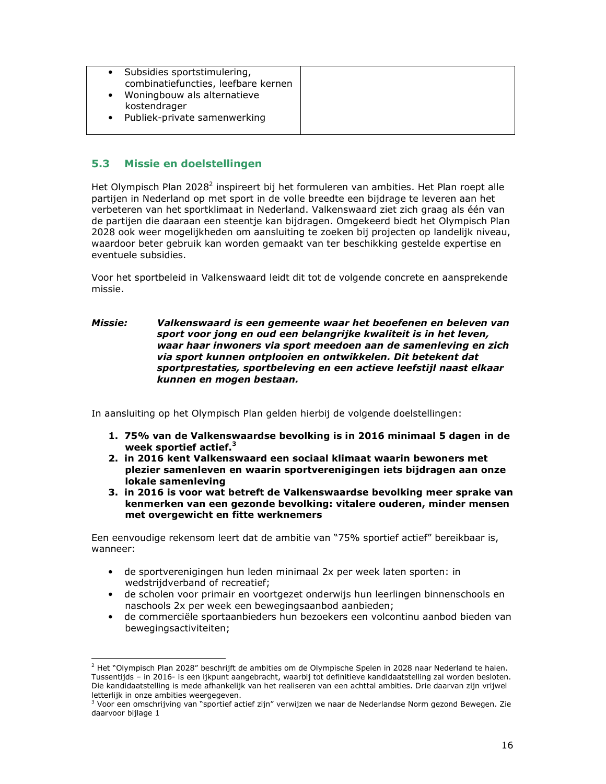| Subsidies sportstimulering,<br>combinatiefuncties, leefbare kernen<br>Woningbouw als alternatieve<br>kostendrager<br>Publiek-private samenwerking |  |
|---------------------------------------------------------------------------------------------------------------------------------------------------|--|
|---------------------------------------------------------------------------------------------------------------------------------------------------|--|

#### $5.3$ Missie en doelstellingen

Het Olympisch Plan 2028<sup>2</sup> inspireert bij het formuleren van ambities. Het Plan roept alle partijen in Nederland op met sport in de volle breedte een bijdrage te leveren aan het verbeteren van het sportklimaat in Nederland. Valkenswaard ziet zich graag als één van de partijen die daaraan een steentje kan bijdragen. Omgekeerd biedt het Olympisch Plan 2028 ook weer mogelijkheden om aansluiting te zoeken bij projecten op landelijk niveau, waardoor beter gebruik kan worden gemaakt van ter beschikking gestelde expertise en eventuele subsidies.

Voor het sportbeleid in Valkenswaard leidt dit tot de volgende concrete en aansprekende missie.

### **Missie:** Valkenswaard is een gemeente waar het beoefenen en beleven van sport voor jong en oud een belangrijke kwaliteit is in het leven, waar haar inwoners via sport meedoen aan de samenleving en zich via sport kunnen ontplooien en ontwikkelen. Dit betekent dat sportprestaties, sportbeleving en een actieve leefstijl naast elkaar kunnen en mogen bestaan.

In aansluiting op het Olympisch Plan gelden hierbij de volgende doelstellingen:

- 1. 75% van de Valkenswaardse bevolking is in 2016 minimaal 5 dagen in de week sportief actief. $3$
- 2. in 2016 kent Valkenswaard een sociaal klimaat waarin bewoners met plezier samenleven en waarin sportverenigingen iets bijdragen aan onze lokale samenleving
- 3. in 2016 is voor wat betreft de Valkenswaardse bevolking meer sprake van kenmerken van een gezonde bevolking: vitalere ouderen, minder mensen met overgewicht en fitte werknemers

Een eenvoudige rekensom leert dat de ambitie van "75% sportief actief" bereikbaar is, wanneer:

- de sportverenigingen hun leden minimaal 2x per week laten sporten: in wedstrijdverband of recreatief;
- · de scholen voor primair en voortgezet onderwijs hun leerlingen binnenschools en naschools 2x per week een bewegingsaanbod aanbieden;
- de commerciële sportaanbieders hun bezoekers een volcontinu aanbod bieden van  $\bullet$ bewegingsactiviteiten;

 $^{2}$  Het "Olympisch Plan 2028" beschrijft de ambities om de Olympische Spelen in 2028 naar Nederland te halen. Tussentijds - in 2016- is een ijkpunt aangebracht, waarbij tot definitieve kandidaatstelling zal worden besloten. Die kandidaatstelling is mede afhankelijk van het realiseren van een achttal ambities. Drie daarvan zijn vrijwel letterlijk in onze ambities weergegeven.

<sup>&</sup>lt;sup>3</sup> Voor een omschrijving van "sportief actief zijn" verwijzen we naar de Nederlandse Norm gezond Bewegen. Zie daarvoor bijlage 1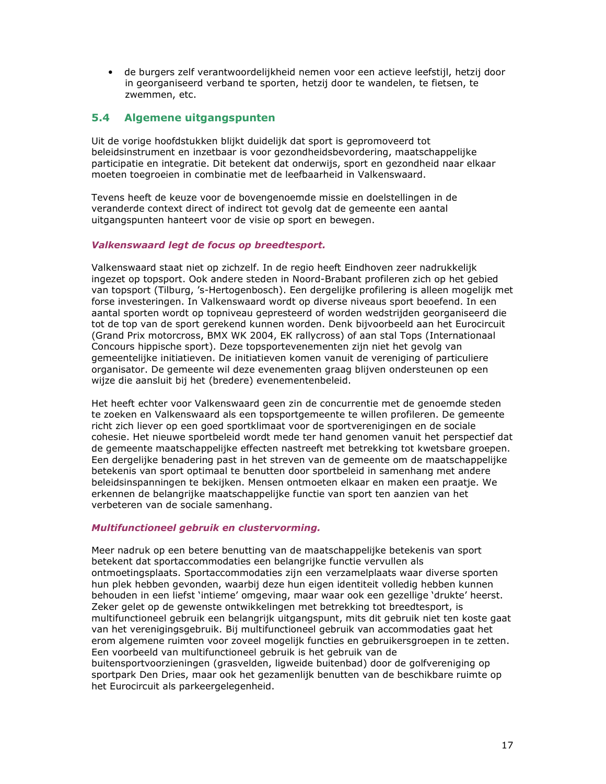· de burgers zelf verantwoordelijkheid nemen voor een actieve leefstijl, hetzij door in georganiseerd verband te sporten, hetzij door te wandelen, te fietsen, te zwemmen, etc.

#### $5.4$ Algemene uitgangspunten

Uit de vorige hoofdstukken blijkt duidelijk dat sport is gepromoveerd tot beleidsinstrument en inzetbaar is voor gezondheidsbevordering, maatschappelijke participatie en integratie. Dit betekent dat onderwijs, sport en gezondheid naar elkaar moeten toegroeien in combinatie met de leefbaarheid in Valkenswaard.

Tevens heeft de keuze voor de bovengenoemde missie en doelstellingen in de veranderde context direct of indirect tot gevolg dat de gemeente een aantal uitgangspunten hanteert voor de visie op sport en bewegen.

### Valkenswaard legt de focus op breedtesport.

Valkenswaard staat niet op zichzelf. In de regio heeft Eindhoven zeer nadrukkelijk ingezet op topsport. Ook andere steden in Noord-Brabant profileren zich op het gebied van topsport (Tilburg, 's-Hertogenbosch). Een dergelijke profilering is alleen mogelijk met forse investeringen. In Valkenswaard wordt op diverse niveaus sport beoefend. In een aantal sporten wordt op topniveau gepresteerd of worden wedstrijden georganiseerd die tot de top van de sport gerekend kunnen worden. Denk bijvoorbeeld aan het Eurocircuit (Grand Prix motorcross, BMX WK 2004, EK rallycross) of aan stal Tops (Internationaal Concours hippische sport). Deze topsportevenementen zijn niet het gevolg van gemeentelijke initiatieven. De initiatieven komen vanuit de vereniging of particuliere organisator. De gemeente wil deze evenementen graag blijven ondersteunen op een wijze die aansluit bij het (bredere) evenementenbeleid.

Het heeft echter voor Valkenswaard geen zin de concurrentie met de genoemde steden te zoeken en Valkenswaard als een topsportgemeente te willen profileren. De gemeente richt zich liever op een goed sportklimaat voor de sportverenigingen en de sociale cohesie. Het nieuwe sportbeleid wordt mede ter hand genomen vanuit het perspectief dat de gemeente maatschappelijke effecten nastreeft met betrekking tot kwetsbare groepen. Een dergelijke benadering past in het streven van de gemeente om de maatschappelijke betekenis van sport optimaal te benutten door sportbeleid in samenhang met andere beleidsinspanningen te bekijken. Mensen ontmoeten elkaar en maken een praatje. We erkennen de belangrijke maatschappelijke functie van sport ten aanzien van het verbeteren van de sociale samenhang.

### Multifunctioneel gebruik en clustervorming.

het Eurocircuit als parkeergelegenheid.

Meer nadruk op een betere benutting van de maatschappelijke betekenis van sport betekent dat sportaccommodaties een belangrijke functie vervullen als ontmoetingsplaats. Sportaccommodaties zijn een verzamelplaats waar diverse sporten hun plek hebben gevonden, waarbij deze hun eigen identiteit volledig hebben kunnen behouden in een liefst 'intieme' omgeving, maar waar ook een gezellige 'drukte' heerst. Zeker gelet op de gewenste ontwikkelingen met betrekking tot breedtesport, is multifunctioneel gebruik een belangrijk uitgangspunt, mits dit gebruik niet ten koste gaat van het verenigingsgebruik. Bij multifunctioneel gebruik van accommodaties gaat het erom algemene ruimten voor zoveel mogelijk functies en gebruikersgroepen in te zetten. Een voorbeeld van multifunctioneel gebruik is het gebruik van de buitensportvoorzieningen (grasvelden, ligweide buitenbad) door de golfvereniging op sportpark Den Dries, maar ook het gezamenlijk benutten van de beschikbare ruimte op

17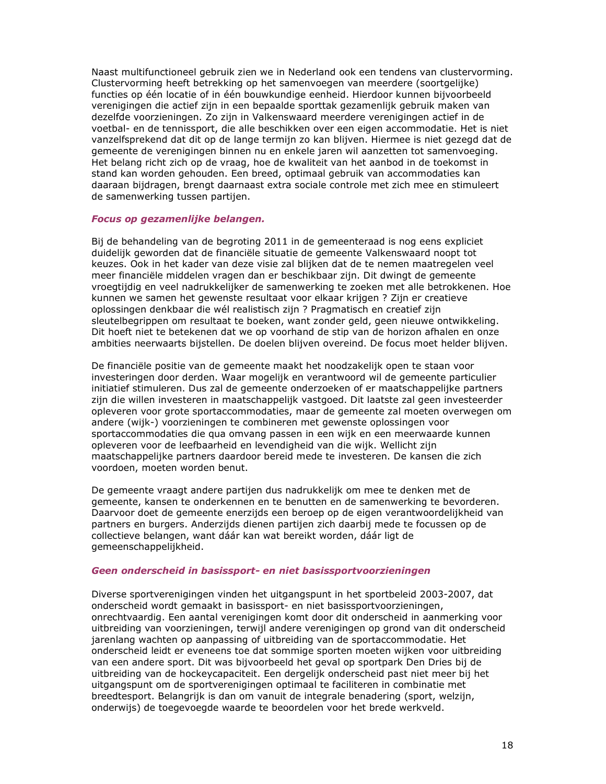Naast multifunctioneel gebruik zien we in Nederland ook een tendens van clustervorming. Clustervorming heeft betrekking op het samenvoegen van meerdere (soortgelijke) functies op één locatie of in één bouwkundige eenheid. Hierdoor kunnen bijvoorbeeld verenigingen die actief zijn in een bepaalde sporttak gezamenlijk gebruik maken van dezelfde voorzieningen. Zo zijn in Valkenswaard meerdere verenigingen actief in de voetbal- en de tennissport, die alle beschikken over een eigen accommodatie. Het is niet vanzelfsprekend dat dit op de lange termijn zo kan blijven. Hiermee is niet gezegd dat de gemeente de verenigingen binnen nu en enkele jaren wil aanzetten tot samenvoeging. Het belang richt zich op de vraag, hoe de kwaliteit van het aanbod in de toekomst in stand kan worden gehouden. Een breed, optimaal gebruik van accommodaties kan daaraan bijdragen, brengt daarnaast extra sociale controle met zich mee en stimuleert de samenwerking tussen partijen.

### Focus op gezamenlijke belangen.

Bij de behandeling van de begroting 2011 in de gemeenteraad is nog eens expliciet duidelijk geworden dat de financiële situatie de gemeente Valkenswaard noopt tot keuzes. Ook in het kader van deze visie zal blijken dat de te nemen maatregelen veel meer financiële middelen vragen dan er beschikbaar zijn. Dit dwingt de gemeente vroegtijdig en veel nadrukkelijker de samenwerking te zoeken met alle betrokkenen. Hoe kunnen we samen het gewenste resultaat voor elkaar krijgen ? Zijn er creatieve oplossingen denkbaar die wél realistisch zijn ? Pragmatisch en creatief zijn sleutelbegrippen om resultaat te boeken, want zonder geld, geen nieuwe ontwikkeling. Dit hoeft niet te betekenen dat we op voorhand de stip van de horizon afhalen en onze ambities neerwaarts bijstellen. De doelen blijven overeind. De focus moet helder blijven.

De financiële positie van de gemeente maakt het noodzakelijk open te staan voor investeringen door derden. Waar mogelijk en verantwoord wil de gemeente particulier initiatief stimuleren. Dus zal de gemeente onderzoeken of er maatschappelijke partners zijn die willen investeren in maatschappelijk vastgoed. Dit laatste zal geen investeerder opleveren voor grote sportaccommodaties, maar de gemeente zal moeten overwegen om andere (wijk-) voorzieningen te combineren met gewenste oplossingen voor sportaccommodaties die qua omvang passen in een wijk en een meerwaarde kunnen opleveren voor de leefbaarheid en levendigheid van die wijk. Wellicht zijn maatschappelijke partners daardoor bereid mede te investeren. De kansen die zich voordoen, moeten worden benut.

De gemeente vraagt andere partijen dus nadrukkelijk om mee te denken met de gemeente, kansen te onderkennen en te benutten en de samenwerking te bevorderen. Daarvoor doet de gemeente enerzijds een beroep op de eigen verantwoordelijkheid van partners en burgers. Anderzijds dienen partijen zich daarbij mede te focussen op de collectieve belangen, want dáár kan wat bereikt worden, dáár ligt de gemeenschappelijkheid.

### Geen onderscheid in basissport- en niet basissportvoorzieningen

Diverse sportverenigingen vinden het uitgangspunt in het sportbeleid 2003-2007, dat onderscheid wordt gemaakt in basissport- en niet basissportvoorzieningen, onrechtvaardig. Een aantal verenigingen komt door dit onderscheid in aanmerking voor uitbreiding van voorzieningen, terwijl andere verenigingen op grond van dit onderscheid jarenlang wachten op aanpassing of uitbreiding van de sportaccommodatie. Het onderscheid leidt er eveneens toe dat sommige sporten moeten wijken voor uitbreiding van een andere sport. Dit was bijvoorbeeld het geval op sportpark Den Dries bij de uitbreiding van de hockeycapaciteit. Een dergelijk onderscheid past niet meer bij het uitgangspunt om de sportverenigingen optimaal te faciliteren in combinatie met breedtesport. Belangrijk is dan om vanuit de integrale benadering (sport, welzijn, onderwijs) de toegevoegde waarde te beoordelen voor het brede werkveld.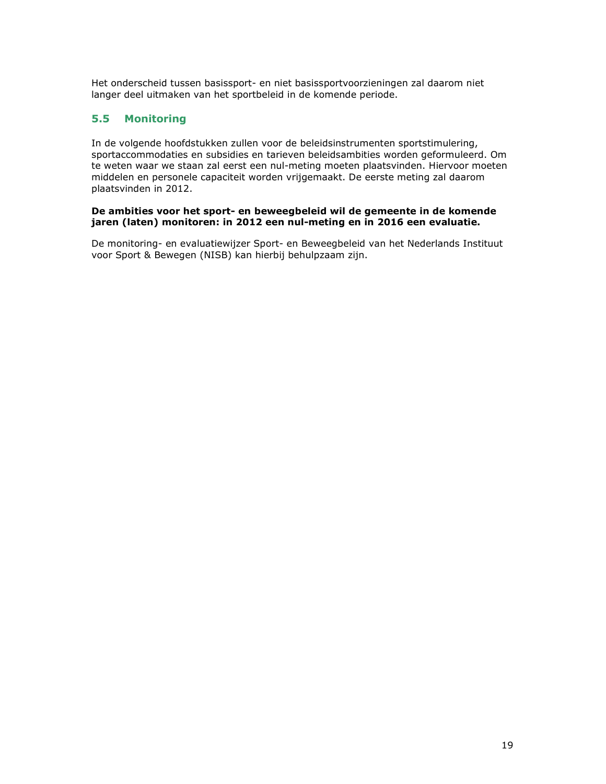Het onderscheid tussen basissport- en niet basissportvoorzieningen zal daarom niet langer deel uitmaken van het sportbeleid in de komende periode.

#### $5.5$ **Monitoring**

In de volgende hoofdstukken zullen voor de beleidsinstrumenten sportstimulering, sportaccommodaties en subsidies en tarieven beleidsambities worden geformuleerd. Om te weten waar we staan zal eerst een nul-meting moeten plaatsvinden. Hiervoor moeten middelen en personele capaciteit worden vrijgemaakt. De eerste meting zal daarom plaatsvinden in 2012.

### De ambities voor het sport- en beweegbeleid wil de gemeente in de komende jaren (laten) monitoren: in 2012 een nul-meting en in 2016 een evaluatie.

De monitoring- en evaluatiewijzer Sport- en Beweegbeleid van het Nederlands Instituut voor Sport & Bewegen (NISB) kan hierbij behulpzaam zijn.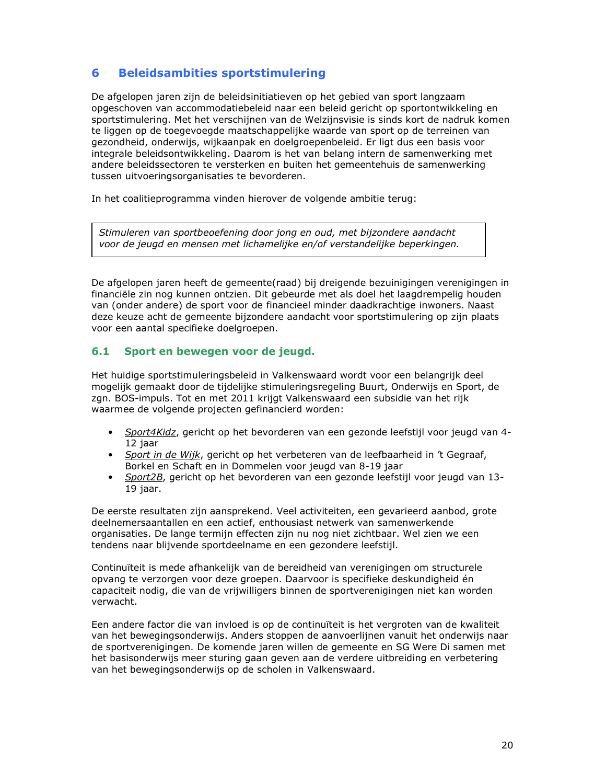#### 6 **Beleidsambities sportstimulering**

De afgelopen jaren zijn de beleidsinitiatieven op het gebied van sport langzaam opgeschoven van accommodatiebeleid naar een beleid gericht op sportontwikkeling en sportstimulering. Met het verschijnen van de Welzijnsvisie is sinds kort de nadruk komen te liggen op de toegevoegde maatschappelijke waarde van sport op de terreinen van gezondheid, onderwijs, wijkaanpak en doelgroepenbeleid. Er ligt dus een basis voor integrale beleidsontwikkeling. Daarom is het van belang intern de samenwerking met andere beleidssectoren te versterken en buiten het gemeentehuis de samenwerking tussen uitvoeringsorganisaties te bevorderen.

In het coalitieprogramma vinden hierover de volgende ambitie terug:

Stimuleren van sportbeoefening door jong en oud, met bijzondere aandacht voor de jeugd en mensen met lichamelijke en/of verstandelijke beperkingen.

De afgelopen jaren heeft de gemeente(raad) bij dreigende bezuinigingen verenigingen in financiële zin nog kunnen ontzien. Dit gebeurde met als doel het laagdrempelig houden van (onder andere) de sport voor de financieel minder daadkrachtige inwoners. Naast deze keuze acht de gemeente bijzondere aandacht voor sportstimulering op zijn plaats voor een aantal specifieke doelgroepen.

#### $6.1$ Sport en bewegen voor de jeugd.

Het huidige sportstimuleringsbeleid in Valkenswaard wordt voor een belangrijk deel mogelijk gemaakt door de tijdelijke stimuleringsregeling Buurt, Onderwijs en Sport, de zgn. BOS-impuls. Tot en met 2011 krijgt Valkenswaard een subsidie van het rijk waarmee de volgende projecten gefinancierd worden:

- Sport4Kidz, gericht op het bevorderen van een gezonde leefstijl voor jeugd van 4-12 jaar
- Sport in de Wijk, gericht op het verbeteren van de leefbaarheid in 't Gegraaf, Borkel en Schaft en in Dommelen voor jeugd van 8-19 jaar
- $\bullet$ Sport2B, gericht op het bevorderen van een gezonde leefstijl voor jeugd van 13-19 jaar.

De eerste resultaten zijn aansprekend. Veel activiteiten, een gevarieerd aanbod, grote deelnemersaantallen en een actief, enthousiast netwerk van samenwerkende organisaties. De lange termijn effecten zijn nu nog niet zichtbaar. Wel zien we een tendens naar blijvende sportdeelname en een gezondere leefstijl.

Continuïteit is mede afhankelijk van de bereidheid van verenigingen om structurele opvang te verzorgen voor deze groepen. Daarvoor is specifieke deskundigheid én capaciteit nodig, die van de vrijwilligers binnen de sportverenigingen niet kan worden verwacht.

Een andere factor die van invloed is op de continuïteit is het vergroten van de kwaliteit van het bewegingsonderwijs. Anders stoppen de aanvoerlijnen vanuit het onderwijs naar de sportverenigingen. De komende jaren willen de gemeente en SG Were Di samen met het basisonderwijs meer sturing gaan geven aan de verdere uitbreiding en verbetering van het bewegingsonderwijs op de scholen in Valkenswaard.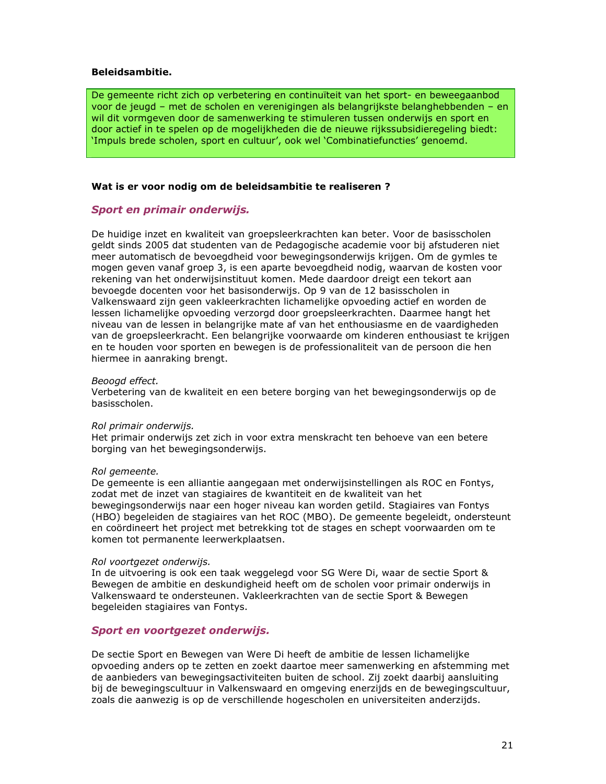### **Beleidsambitie.**

De gemeente richt zich op verbetering en continuïteit van het sport- en beweegaanbod voor de jeugd – met de scholen en verenigingen als belangrijkste belanghebbenden – en wil dit vormgeven door de samenwerking te stimuleren tussen onderwijs en sport en door actief in te spelen op de mogelijkheden die de nieuwe rijkssubsidieregeling biedt: 'Impuls brede scholen, sport en cultuur', ook wel 'Combinatiefuncties' genoemd.

### Wat is er voor nodig om de beleidsambitie te realiseren ?

### Sport en primair onderwijs.

De huidige inzet en kwaliteit van groepsleerkrachten kan beter. Voor de basisscholen geldt sinds 2005 dat studenten van de Pedagogische academie voor bij afstuderen niet meer automatisch de bevoegdheid voor bewegingsonderwijs krijgen. Om de gymles te mogen geven vanaf groep 3, is een aparte bevoegdheid nodig, waarvan de kosten voor rekening van het onderwijsinstituut komen. Mede daardoor dreigt een tekort aan bevoegde docenten voor het basisonderwijs. Op 9 van de 12 basisscholen in Valkenswaard zijn geen vakleerkrachten lichamelijke opvoeding actief en worden de lessen lichamelijke opvoeding verzorgd door groepsleerkrachten. Daarmee hangt het niveau van de lessen in belangrijke mate af van het enthousiasme en de vaardigheden van de groepsleerkracht. Een belangrijke voorwaarde om kinderen enthousiast te krijgen en te houden voor sporten en bewegen is de professionaliteit van de persoon die hen hiermee in aanraking brengt.

### Beoogd effect.

Verbetering van de kwaliteit en een betere borging van het bewegingsonderwijs op de basisscholen.

### Rol primair onderwijs.

Het primair onderwijs zet zich in voor extra menskracht ten behoeve van een betere borging van het bewegingsonderwijs.

### Rol gemeente.

De gemeente is een alliantie aangegaan met onderwijsinstellingen als ROC en Fontys, zodat met de inzet van stagiaires de kwantiteit en de kwaliteit van het bewegingsonderwijs naar een hoger niveau kan worden getild. Stagiaires van Fontys (HBO) begeleiden de stagiaires van het ROC (MBO). De gemeente begeleidt, ondersteunt en coördineert het project met betrekking tot de stages en schept voorwaarden om te komen tot permanente leerwerkplaatsen.

### Rol voortgezet onderwijs.

In de uitvoering is ook een taak weggelegd voor SG Were Di, waar de sectie Sport & Bewegen de ambitie en deskundigheid heeft om de scholen voor primair onderwijs in Valkenswaard te ondersteunen. Vakleerkrachten van de sectie Sport & Bewegen begeleiden stagiaires van Fontys.

### Sport en voortgezet onderwijs.

De sectie Sport en Bewegen van Were Di heeft de ambitie de lessen lichamelijke opvoeding anders op te zetten en zoekt daartoe meer samenwerking en afstemming met de aanbieders van bewegingsactiviteiten buiten de school. Zij zoekt daarbij aansluiting bij de bewegingscultuur in Valkenswaard en omgeving enerzijds en de bewegingscultuur, zoals die aanwezig is op de verschillende hogescholen en universiteiten anderzijds.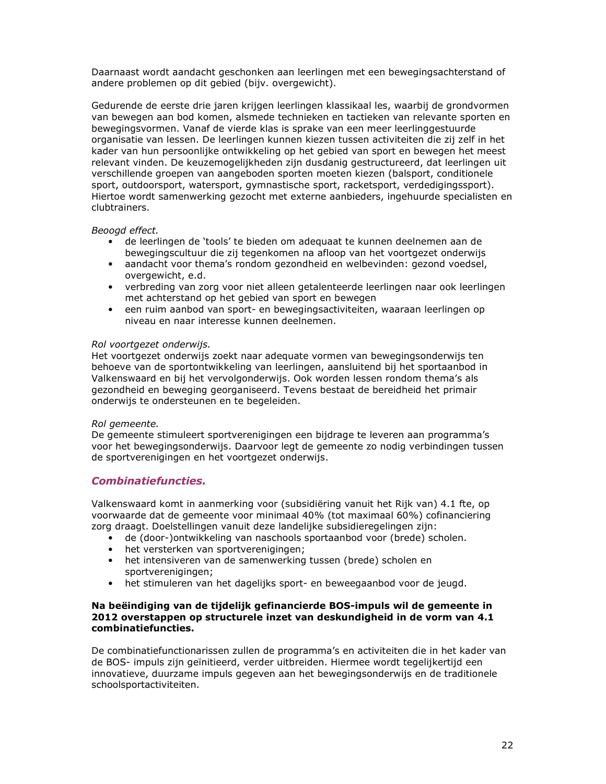Daarnaast wordt aandacht geschonken aan leerlingen met een bewegingsachterstand of andere problemen op dit gebied (bijv. overgewicht).

Gedurende de eerste drie jaren krijgen leerlingen klassikaal les, waarbij de grondvormen van bewegen aan bod komen, alsmede technieken en tactieken van relevante sporten en bewegingsvormen. Vanaf de vierde klas is sprake van een meer leerlinggestuurde organisatie van lessen. De leerlingen kunnen kiezen tussen activiteiten die zij zelf in het kader van hun persoonlijke ontwikkeling op het gebied van sport en bewegen het meest relevant vinden. De keuzemogelijkheden zijn dusdanig gestructureerd, dat leerlingen uit verschillende groepen van aangeboden sporten moeten kiezen (balsport, conditionele sport, outdoorsport, watersport, gymnastische sport, racketsport, verdedigingssport). Hiertoe wordt samenwerking gezocht met externe aanbieders, ingehuurde specialisten en clubtrainers.

### Beoogd effect.

- de leerlingen de 'tools' te bieden om adequaat te kunnen deelnemen aan de  $\bullet$ bewegingscultuur die zij tegenkomen na afloop van het voortgezet onderwijs
- $\bullet$ aandacht voor thema's rondom gezondheid en welbevinden: gezond voedsel, overgewicht, e.d.
- verbreding van zorg voor niet alleen getalenteerde leerlingen naar ook leerlingen met achterstand op het gebied van sport en bewegen
- een ruim aanbod van sport- en bewegingsactiviteiten, waaraan leerlingen op niveau en naar interesse kunnen deelnemen.

### Rol voortgezet onderwijs.

Het voortgezet onderwijs zoekt naar adeguate vormen van bewegingsonderwijs ten behoeve van de sportontwikkeling van leerlingen, aansluitend bij het sportaanbod in Valkenswaard en bij het vervolgonderwijs. Ook worden lessen rondom thema's als gezondheid en beweging georganiseerd. Tevens bestaat de bereidheid het primair onderwijs te ondersteunen en te begeleiden.

### Rol aemeente.

De gemeente stimuleert sportverenigingen een bijdrage te leveren aan programma's voor het bewegingsonderwijs. Daarvoor legt de gemeente zo nodig verbindingen tussen de sportverenigingen en het voortgezet onderwijs.

## **Combinatiefuncties.**

Valkenswaard komt in aanmerking voor (subsidiëring vanuit het Rijk van) 4.1 fte, op voorwaarde dat de gemeente voor minimaal 40% (tot maximaal 60%) cofinanciering zorg draagt. Doelstellingen vanuit deze landelijke subsidieregelingen zijn:

- de (door-)ontwikkeling van naschools sportaanbod voor (brede) scholen.<br>• het versterken van sportverenigingen;
- 
- het intensiveren van de samenwerking tussen (brede) scholen en sportverenigingen;
- het stimuleren van het dagelijks sport- en beweegaanbod voor de jeugd.  $\bullet$

### Na beëindiging van de tijdelijk gefinancierde BOS-impuls wil de gemeente in 2012 overstappen op structurele inzet van deskundigheid in de vorm van 4.1 combinatiefuncties.

De combinatiefunctionarissen zullen de programma's en activiteiten die in het kader van de BOS- impuls zijn geïnitieerd, verder uitbreiden. Hiermee wordt tegelijkertijd een innovatieve, duurzame impuls gegeven aan het bewegingsonderwijs en de traditionele schoolsportactiviteiten.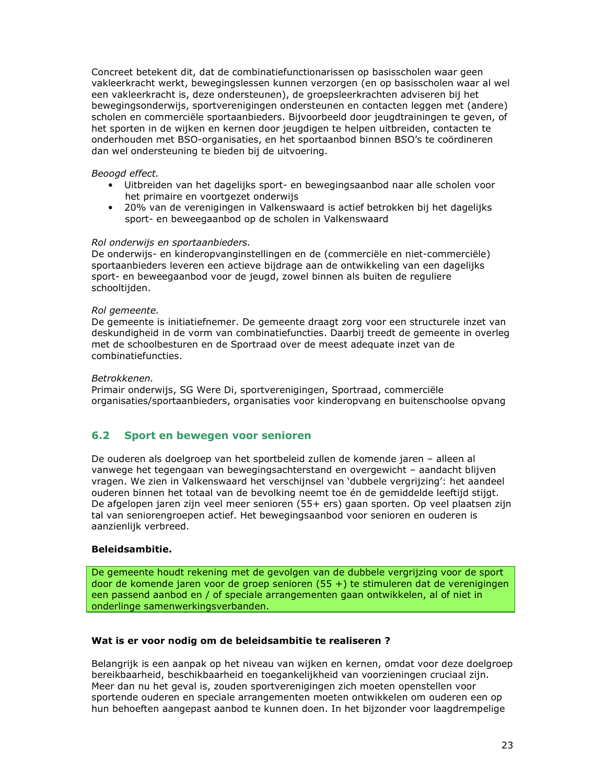Concreet betekent dit, dat de combinatiefunctionarissen op basisscholen waar geen vakleerkracht werkt, bewegingslessen kunnen verzorgen (en op basisscholen waar al wel een vakleerkracht is, deze ondersteunen), de groepsleerkrachten adviseren bij het bewegingsonderwijs, sportverenigingen ondersteunen en contacten leggen met (andere) scholen en commerciële sportaanbieders. Bijvoorbeeld door jeugdtrainingen te geven, of het sporten in de wijken en kernen door jeugdigen te helpen uitbreiden, contacten te onderhouden met BSO-organisaties, en het sportaanbod binnen BSO's te coördineren dan wel ondersteuning te bieden bij de uitvoering.

### Beoogd effect.

- Uitbreiden van het dagelijks sport- en bewegingsaanbod naar alle scholen voor het primaire en voortgezet onderwijs
- $\bullet$ 20% van de verenigingen in Valkenswaard is actief betrokken bij het dagelijks sport- en beweegaanbod op de scholen in Valkenswaard

### Rol onderwijs en sportaanbieders.

De onderwijs- en kinderopvanginstellingen en de (commerciële en niet-commerciële) sportaanbieders leveren een actieve bijdrage aan de ontwikkeling van een dagelijks sport- en beweegaanbod voor de jeugd, zowel binnen als buiten de reguliere schooltijden.

### Rol gemeente.

De gemeente is initiatiefnemer. De gemeente draagt zorg voor een structurele inzet van deskundigheid in de vorm van combinatiefuncties. Daarbij treedt de gemeente in overleg met de schoolbesturen en de Sportraad over de meest adequate inzet van de combinatiefuncties.

### Betrokkenen.

Primair onderwijs, SG Were Di, sportverenigingen, Sportraad, commerciële organisaties/sportaanbieders, organisaties voor kinderopvang en buitenschoolse opvang

#### $6.2$ Sport en bewegen voor senioren

De ouderen als doelgroep van het sportbeleid zullen de komende jaren - alleen al vanwege het tegengaan van bewegingsachterstand en overgewicht – aandacht blijven vragen. We zien in Valkenswaard het verschijnsel van 'dubbele vergrijzing': het aandeel ouderen binnen het totaal van de bevolking neemt toe én de gemiddelde leeftijd stijgt. De afgelopen jaren zijn veel meer senioren (55+ ers) gaan sporten. Op veel plaatsen zijn tal van seniorengroepen actief. Het bewegingsaanbod voor senioren en ouderen is aanzienlijk verbreed.

### **Beleidsambitie.**

De gemeente houdt rekening met de gevolgen van de dubbele vergrijzing voor de sport door de komende jaren voor de groep senioren (55 +) te stimuleren dat de verenigingen een passend aanbod en / of speciale arrangementen gaan ontwikkelen, al of niet in onderlinge samenwerkingsverbanden.

### Wat is er voor nodig om de beleidsambitie te realiseren ?

Belangrijk is een aanpak op het niveau van wijken en kernen, omdat voor deze doelgroep bereikbaarheid, beschikbaarheid en toegankelijkheid van voorzieningen cruciaal zijn. Meer dan nu het geval is, zouden sportverenigingen zich moeten openstellen voor sportende ouderen en speciale arrangementen moeten ontwikkelen om ouderen een op hun behoeften aangepast aanbod te kunnen doen. In het bijzonder voor laagdrempelige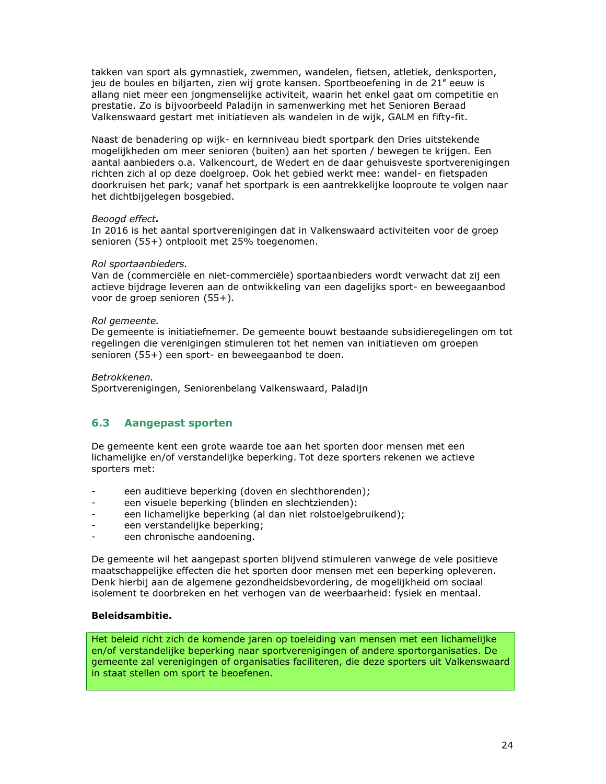takken van sport als gymnastiek, zwemmen, wandelen, fietsen, atletiek, denksporten, jeu de boules en biljarten, zien wij grote kansen. Sportbeoefening in de 21<sup>e</sup> eeuw is allang niet meer een jongmenselijke activiteit, waarin het enkel gaat om competitie en prestatie. Zo is bijvoorbeeld Paladijn in samenwerking met het Senioren Beraad Valkenswaard gestart met initiatieven als wandelen in de wijk, GALM en fifty-fit.

Naast de benadering op wijk- en kernniveau biedt sportpark den Dries uitstekende mogelijkheden om meer senioren (buiten) aan het sporten / bewegen te krijgen. Een aantal aanbieders o.a. Valkencourt, de Wedert en de daar gehuisveste sportverenigingen richten zich al op deze doelgroep. Ook het gebied werkt mee: wandel- en fietspaden doorkruisen het park; vanaf het sportpark is een aantrekkelijke looproute te volgen naar het dichtbijgelegen bosgebied.

### Beoogd effect.

In 2016 is het aantal sportverenigingen dat in Valkenswaard activiteiten voor de groep senioren (55+) ontplooit met 25% toegenomen.

### Rol sportaanbieders.

Van de (commerciële en niet-commerciële) sportaanbieders wordt verwacht dat zij een actieve bijdrage leveren aan de ontwikkeling van een dagelijks sport- en beweegaanbod voor de groep senioren (55+).

### Rol gemeente.

De gemeente is initiatiefnemer. De gemeente bouwt bestaande subsidieregelingen om tot regelingen die verenigingen stimuleren tot het nemen van initiatieven om groepen senioren (55+) een sport- en beweegaanbod te doen.

### Betrokkenen.

Sportverenigingen, Seniorenbelang Valkenswaard, Paladijn

#### $6.3$ **Aangepast sporten**

De gemeente kent een grote waarde toe aan het sporten door mensen met een lichamelijke en/of verstandelijke beperking. Tot deze sporters rekenen we actieve sporters met:

- een auditieve beperking (doven en slechthorenden);
- een visuele beperking (blinden en slechtzienden):
- een lichamelijke beperking (al dan niet rolstoelgebruikend); L.
- een verstandelijke beperking;  $\overline{a}$
- een chronische aandoening.  $\overline{a}$

De gemeente wil het aangepast sporten blijvend stimuleren vanwege de vele positieve maatschappelijke effecten die het sporten door mensen met een beperking opleveren. Denk hierbij aan de algemene gezondheidsbevordering, de mogelijkheid om sociaal isolement te doorbreken en het verhogen van de weerbaarheid: fysiek en mentaal.

### **Beleidsambitie.**

Het beleid richt zich de komende jaren op toeleiding van mensen met een lichamelijke en/of verstandelijke beperking naar sportverenigingen of andere sportorganisaties. De gemeente zal verenigingen of organisaties faciliteren, die deze sporters uit Valkenswaard in staat stellen om sport te beoefenen.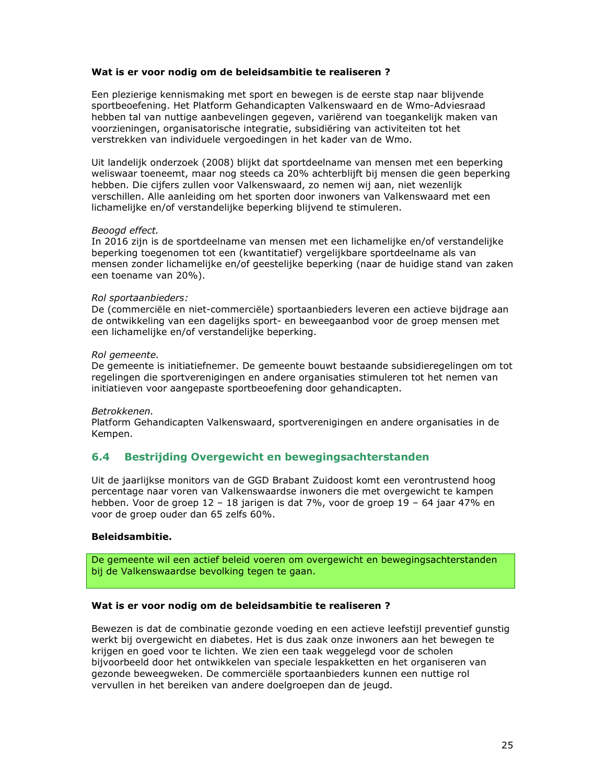### Wat is er voor nodig om de beleidsambitie te realiseren ?

Een plezierige kennismaking met sport en bewegen is de eerste stap naar blijvende sportbeoefening. Het Platform Gehandicapten Valkenswaard en de Wmo-Adviesraad hebben tal van nuttige aanbevelingen gegeven, variërend van toegankelijk maken van voorzieningen, organisatorische integratie, subsidiëring van activiteiten tot het verstrekken van individuele vergoedingen in het kader van de Wmo.

Uit landelijk onderzoek (2008) blijkt dat sportdeelname van mensen met een beperking weliswaar toeneemt, maar nog steeds ca 20% achterblijft bij mensen die geen beperking hebben. Die cijfers zullen voor Valkenswaard, zo nemen wij aan, niet wezenlijk verschillen. Alle aanleiding om het sporten door inwoners van Valkenswaard met een lichamelijke en/of verstandelijke beperking blijvend te stimuleren.

### Beoogd effect.

In 2016 zijn is de sportdeelname van mensen met een lichamelijke en/of verstandelijke beperking toegenomen tot een (kwantitatief) vergelijkbare sportdeelname als van mensen zonder lichamelijke en/of geestelijke beperking (naar de huidige stand van zaken een toename van 20%).

### Rol sportaanbieders:

De (commerciële en niet-commerciële) sportaanbieders leveren een actieve bijdrage aan de ontwikkeling van een dagelijks sport- en beweegaanbod voor de groep mensen met een lichamelijke en/of verstandelijke beperking.

### Rol gemeente.

De gemeente is initiatiefnemer. De gemeente bouwt bestaande subsidieregelingen om tot regelingen die sportverenigingen en andere organisaties stimuleren tot het nemen van initiatieven voor aangepaste sportbeoefening door gehandicapten.

### Betrokkenen.

Platform Gehandicapten Valkenswaard, sportverenigingen en andere organisaties in de Kempen.

#### Bestrijding Overgewicht en bewegingsachterstanden  $6.4$

Uit de jaarlijkse monitors van de GGD Brabant Zuidoost komt een verontrustend hoog percentage naar voren van Valkenswaardse inwoners die met overgewicht te kampen hebben. Voor de groep 12 - 18 jarigen is dat 7%, voor de groep 19 - 64 jaar 47% en voor de groep ouder dan 65 zelfs 60%.

### **Beleidsambitie.**

De gemeente wil een actief beleid voeren om overgewicht en bewegingsachterstanden bij de Valkenswaardse bevolking tegen te gaan.

### Wat is er voor nodig om de beleidsambitie te realiseren ?

Bewezen is dat de combinatie gezonde voeding en een actieve leefstijl preventief gunstig werkt bij overgewicht en diabetes. Het is dus zaak onze inwoners aan het bewegen te krijgen en goed voor te lichten. We zien een taak weggelegd voor de scholen bijvoorbeeld door het ontwikkelen van speciale lespakketten en het organiseren van gezonde beweegweken. De commerciële sportaanbieders kunnen een nuttige rol vervullen in het bereiken van andere doelgroepen dan de jeugd.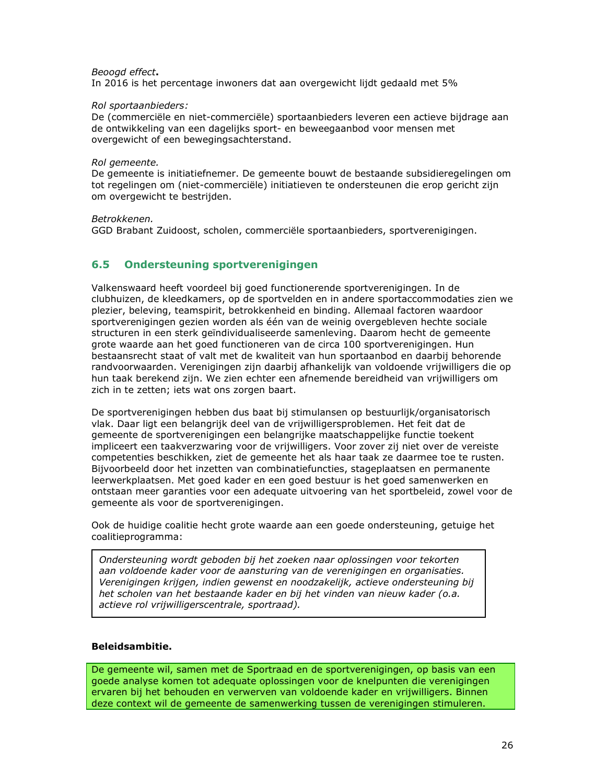### Beoogd effect.

In 2016 is het percentage inwoners dat aan overgewicht lijdt gedaald met 5%

### Rol sportaanbieders:

De (commerciële en niet-commerciële) sportaanbieders leveren een actieve bijdrage aan de ontwikkeling van een dagelijks sport- en beweegaanbod voor mensen met overgewicht of een bewegingsachterstand.

### Rol aemeente.

De gemeente is initiatiefnemer. De gemeente bouwt de bestaande subsidieregelingen om tot regelingen om (niet-commerciële) initiatieven te ondersteunen die erop gericht zijn om overgewicht te bestrijden.

### Betrokkenen.

GGD Brabant Zuidoost, scholen, commerciële sportaanbieders, sportverenigingen.

#### $6.5$ **Ondersteuning sportverenigingen**

Valkenswaard heeft voordeel bij goed functionerende sportverenigingen. In de clubhuizen, de kleedkamers, op de sportvelden en in andere sportaccommodaties zien we plezier, beleving, teamspirit, betrokkenheid en binding. Allemaal factoren waardoor sportverenigingen gezien worden als één van de weinig overgebleven hechte sociale structuren in een sterk geïndividualiseerde samenleving. Daarom hecht de gemeente grote waarde aan het goed functioneren van de circa 100 sportverenigingen. Hun bestaansrecht staat of valt met de kwaliteit van hun sportaanbod en daarbij behorende randvoorwaarden. Verenigingen zijn daarbij afhankelijk van voldoende vrijwilligers die op hun taak berekend zijn. We zien echter een afnemende bereidheid van vrijwilligers om zich in te zetten; iets wat ons zorgen baart.

De sportverenigingen hebben dus baat bij stimulansen op bestuurlijk/organisatorisch vlak. Daar ligt een belangrijk deel van de vrijwilligersproblemen. Het feit dat de gemeente de sportverenigingen een belangrijke maatschappelijke functie toekent impliceert een taakverzwaring voor de vrijwilligers. Voor zover zij niet over de vereiste competenties beschikken, ziet de gemeente het als haar taak ze daarmee toe te rusten. Bijvoorbeeld door het inzetten van combinatiefuncties, stageplaatsen en permanente leerwerkplaatsen. Met goed kader en een goed bestuur is het goed samenwerken en ontstaan meer garanties voor een adequate uitvoering van het sportbeleid, zowel voor de gemeente als voor de sportverenigingen.

Ook de huidige coalitie hecht grote waarde aan een goede ondersteuning, getuige het coalitieprogramma:

Ondersteuning wordt geboden bij het zoeken naar oplossingen voor tekorten aan voldoende kader voor de aansturing van de verenigingen en organisaties. Verenigingen krijgen, indien gewenst en noodzakelijk, actieve ondersteuning bij het scholen van het bestaande kader en bij het vinden van nieuw kader (o.a. actieve rol vrijwilligerscentrale, sportraad).

### **Beleidsambitie.**

De gemeente wil, samen met de Sportraad en de sportverenigingen, op basis van een goede analyse komen tot adequate oplossingen voor de knelpunten die verenigingen ervaren bij het behouden en verwerven van voldoende kader en vrijwilligers. Binnen deze context wil de gemeente de samenwerking tussen de verenigingen stimuleren.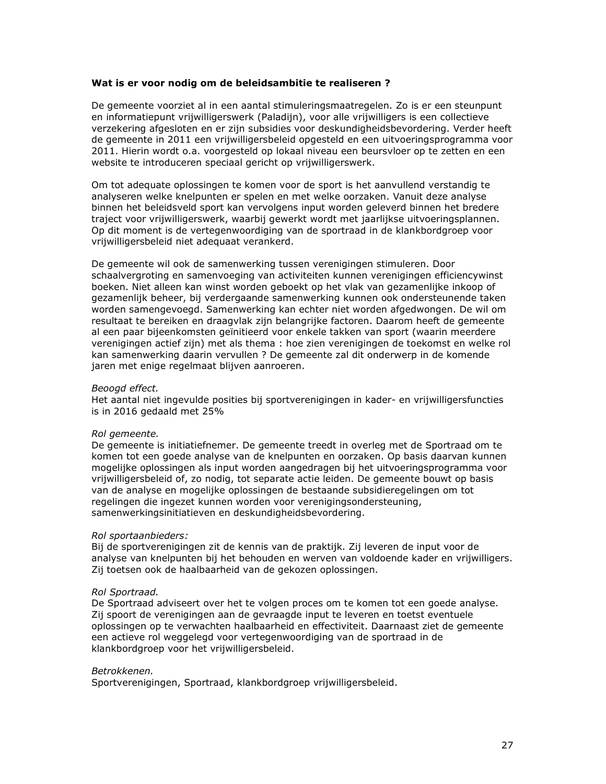### Wat is er voor nodig om de beleidsambitie te realiseren?

De gemeente voorziet al in een aantal stimuleringsmaatregelen. Zo is er een steunpunt en informatiepunt vrijwilligerswerk (Paladijn), voor alle vrijwilligers is een collectieve verzekering afgesloten en er zijn subsidies voor deskundigheidsbevordering. Verder heeft de gemeente in 2011 een vrijwilligersbeleid opgesteld en een uitvoeringsprogramma voor 2011. Hierin wordt o.a. voorgesteld op lokaal niveau een beursvloer op te zetten en een website te introduceren speciaal gericht op vrijwilligerswerk.

Om tot adequate oplossingen te komen voor de sport is het aanvullend verstandig te analyseren welke knelpunten er spelen en met welke oorzaken. Vanuit deze analyse binnen het beleidsveld sport kan vervolgens input worden geleverd binnen het bredere traject voor vrijwilligerswerk, waarbij gewerkt wordt met jaarlijkse uitvoeringsplannen. Op dit moment is de vertegenwoordiging van de sportraad in de klankbordgroep voor vrijwilligersbeleid niet adequaat verankerd.

De gemeente wil ook de samenwerking tussen verenigingen stimuleren. Door schaalvergroting en samenvoeging van activiteiten kunnen verenigingen efficiencywinst boeken. Niet alleen kan winst worden geboekt op het vlak van gezamenlijke inkoop of gezamenlijk beheer, bij verdergaande samenwerking kunnen ook ondersteunende taken worden samengevoegd. Samenwerking kan echter niet worden afgedwongen. De wil om resultaat te bereiken en draagvlak zijn belangrijke factoren. Daarom heeft de gemeente al een paar bijeenkomsten geïnitieerd voor enkele takken van sport (waarin meerdere verenigingen actief zijn) met als thema : hoe zien verenigingen de toekomst en welke rol kan samenwerking daarin vervullen ? De gemeente zal dit onderwerp in de komende jaren met enige regelmaat blijven aanroeren.

### Beoogd effect.

Het aantal niet ingevulde posities bij sportverenigingen in kader- en vrijwilligersfuncties is in 2016 gedaald met 25%

### Rol gemeente.

De gemeente is initiatiefnemer. De gemeente treedt in overleg met de Sportraad om te komen tot een goede analyse van de knelpunten en oorzaken. Op basis daarvan kunnen mogelijke oplossingen als input worden aangedragen bij het uitvoeringsprogramma voor vrijwilligersbeleid of, zo nodig, tot separate actie leiden. De gemeente bouwt op basis van de analyse en mogelijke oplossingen de bestaande subsidieregelingen om tot regelingen die ingezet kunnen worden voor verenigingsondersteuning, samenwerkingsinitiatieven en deskundigheidsbevordering.

### Rol sportaanbieders:

Bij de sportverenigingen zit de kennis van de praktijk. Zij leveren de input voor de analyse van knelpunten bij het behouden en werven van voldoende kader en vrijwilligers. Zij toetsen ook de haalbaarheid van de gekozen oplossingen.

### Rol Sportraad.

De Sportraad adviseert over het te volgen proces om te komen tot een goede analyse. Zij spoort de verenigingen aan de gevraagde input te leveren en toetst eventuele oplossingen op te verwachten haalbaarheid en effectiviteit. Daarnaast ziet de gemeente een actieve rol weggelegd voor vertegenwoordiging van de sportraad in de klankbordgroep voor het vrijwilligersbeleid.

### Betrokkenen.

Sportverenigingen, Sportraad, klankbordgroep vrijwilligersbeleid.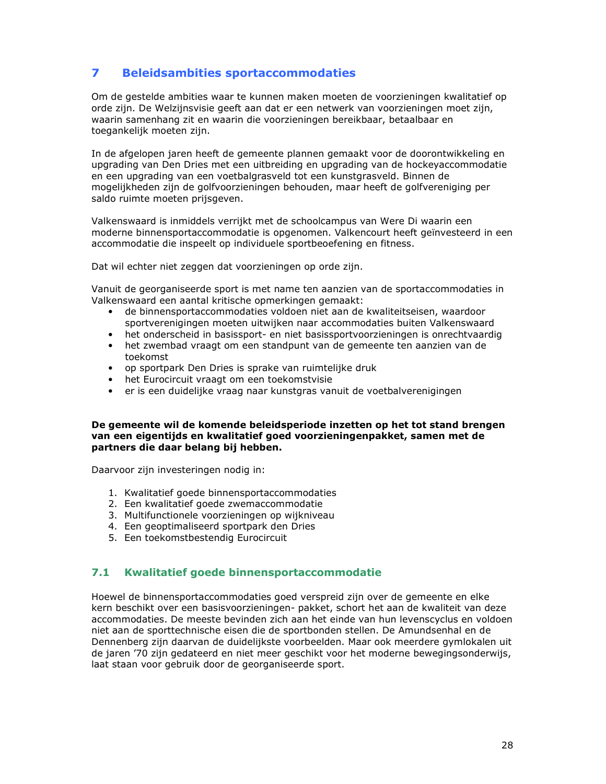#### $\overline{\phantom{a}}$ **Beleidsambities sportaccommodaties**

Om de gestelde ambities waar te kunnen maken moeten de voorzieningen kwalitatief op orde zijn. De Welzijnsvisie geeft aan dat er een netwerk van voorzieningen moet zijn, waarin samenhang zit en waarin die voorzieningen bereikbaar, betaalbaar en toegankelijk moeten zijn.

In de afgelopen jaren heeft de gemeente plannen gemaakt voor de doorontwikkeling en upgrading van Den Dries met een uitbreiding en upgrading van de hockeyaccommodatie en een upgrading van een voetbalgrasveld tot een kunstgrasveld. Binnen de mogelijkheden zijn de golfvoorzieningen behouden, maar heeft de golfvereniging per saldo ruimte moeten prijsgeven.

Valkenswaard is inmiddels verrijkt met de schoolcampus van Were Di waarin een moderne binnensportaccommodatie is opgenomen. Valkencourt heeft geïnvesteerd in een accommodatie die inspeelt op individuele sportbeoefening en fitness.

Dat wil echter niet zeggen dat voorzieningen op orde zijn.

Vanuit de georganiseerde sport is met name ten aanzien van de sportaccommodaties in Valkenswaard een aantal kritische opmerkingen gemaakt:

- de binnensportaccommodaties voldoen niet aan de kwaliteitseisen, waardoor sportverenigingen moeten uitwijken naar accommodaties buiten Valkenswaard
- het onderscheid in basissport- en niet basissportvoorzieningen is onrechtvaardig • het zwembad vraagt om een standpunt van de gemeente ten aanzien van de
- toekomst
- op sportpark Den Dries is sprake van ruimtelijke druk
- het Eurocircuit vraagt om een toekomstvisie
- er is een duidelijke vraag naar kunstgras vanuit de voetbalverenigingen

### De gemeente wil de komende beleidsperiode inzetten op het tot stand brengen van een eigentijds en kwalitatief goed voorzieningenpakket, samen met de partners die daar belang bij hebben.

Daarvoor zijn investeringen nodig in:

- 1. Kwalitatief goede binnensportaccommodaties
- 2. Een kwalitatief goede zwemaccommodatie
- 3. Multifunctionele voorzieningen op wijkniveau
- 4. Een geoptimaliseerd sportpark den Dries
- 5. Een toekomstbestendig Eurocircuit

#### $7.1$ Kwalitatief goede binnensportaccommodatie

Hoewel de binnensportaccommodaties goed verspreid zijn over de gemeente en elke kern beschikt over een basisvoorzieningen- pakket, schort het aan de kwaliteit van deze accommodaties. De meeste bevinden zich aan het einde van hun levenscyclus en voldoen niet aan de sporttechnische eisen die de sportbonden stellen. De Amundsenhal en de Dennenberg zijn daarvan de duidelijkste voorbeelden. Maar ook meerdere gymlokalen uit de jaren '70 zijn gedateerd en niet meer geschikt voor het moderne bewegingsonderwijs, laat staan voor gebruik door de georganiseerde sport.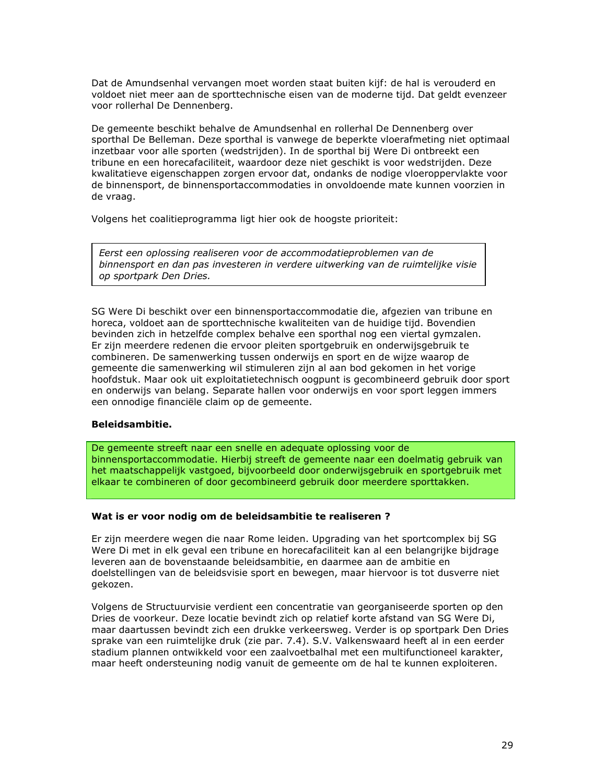Dat de Amundsenhal vervangen moet worden staat buiten kijf: de hal is verouderd en voldoet niet meer aan de sporttechnische eisen van de moderne tijd. Dat geldt evenzeer voor rollerhal De Dennenberg.

De gemeente beschikt behalve de Amundsenhal en rollerhal De Dennenberg over sporthal De Belleman. Deze sporthal is vanwege de beperkte vloerafmeting niet optimaal inzetbaar voor alle sporten (wedstrijden). In de sporthal bij Were Di ontbreekt een tribune en een horecafaciliteit, waardoor deze niet geschikt is voor wedstrijden. Deze kwalitatieve eigenschappen zorgen ervoor dat, ondanks de nodige vloeroppervlakte voor de binnensport, de binnensportaccommodaties in onvoldoende mate kunnen voorzien in de vraag.

Volgens het coalitieprogramma ligt hier ook de hoogste prioriteit:

Eerst een oplossing realiseren voor de accommodatieproblemen van de binnensport en dan pas investeren in verdere uitwerking van de ruimtelijke visie op sportpark Den Dries.

SG Were Di beschikt over een binnensportaccommodatie die, afgezien van tribune en horeca, voldoet aan de sporttechnische kwaliteiten van de huidige tijd. Bovendien bevinden zich in hetzelfde complex behalve een sporthal nog een viertal gymzalen. Er zijn meerdere redenen die ervoor pleiten sportgebruik en onderwijsgebruik te combineren. De samenwerking tussen onderwijs en sport en de wijze waarop de gemeente die samenwerking wil stimuleren zijn al aan bod gekomen in het vorige hoofdstuk. Maar ook uit exploitatietechnisch oogpunt is gecombineerd gebruik door sport en onderwijs van belang. Separate hallen voor onderwijs en voor sport leggen immers een onnodige financiële claim op de gemeente.

### **Beleidsambitie.**

De gemeente streeft naar een snelle en adequate oplossing voor de binnensportaccommodatie. Hierbij streeft de gemeente naar een doelmatig gebruik van het maatschappelijk vastgoed, bijvoorbeeld door onderwijsgebruik en sportgebruik met elkaar te combineren of door gecombineerd gebruik door meerdere sporttakken.

### Wat is er voor nodig om de beleidsambitie te realiseren ?

Er zijn meerdere wegen die naar Rome leiden. Upgrading van het sportcomplex bij SG Were Di met in elk geval een tribune en horecafaciliteit kan al een belangrijke bijdrage leveren aan de bovenstaande beleidsambitie, en daarmee aan de ambitie en doelstellingen van de beleidsvisie sport en bewegen, maar hiervoor is tot dusverre niet gekozen.

Volgens de Structuurvisie verdient een concentratie van georganiseerde sporten op den Dries de voorkeur. Deze locatie bevindt zich op relatief korte afstand van SG Were Di, maar daartussen bevindt zich een drukke verkeersweg. Verder is op sportpark Den Dries sprake van een ruimtelijke druk (zie par. 7.4). S.V. Valkenswaard heeft al in een eerder stadium plannen ontwikkeld voor een zaalvoetbalhal met een multifunctioneel karakter, maar heeft ondersteuning nodig vanuit de gemeente om de hal te kunnen exploiteren.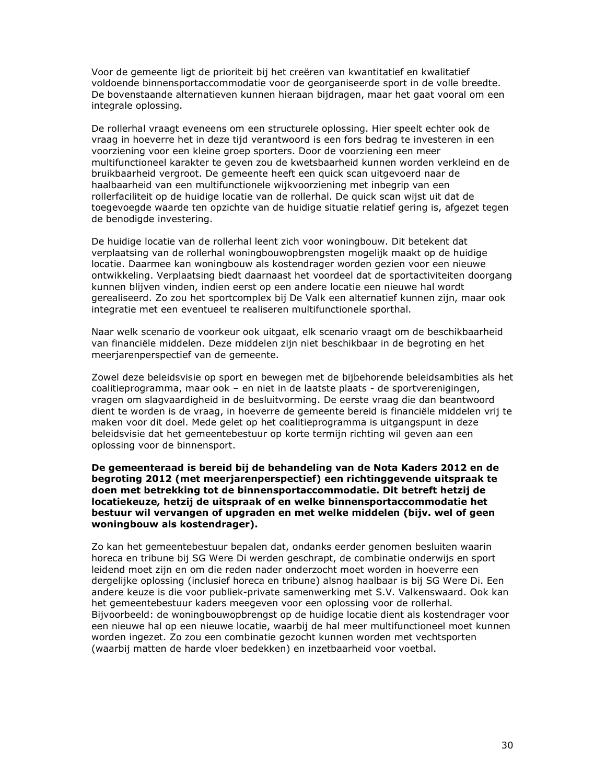Voor de gemeente ligt de prioriteit bij het creëren van kwantitatief en kwalitatief voldoende binnensportaccommodatie voor de georganiseerde sport in de volle breedte. De bovenstaande alternatieven kunnen hieraan bijdragen, maar het gaat vooral om een integrale oplossing.

De rollerhal vraagt eveneens om een structurele oplossing. Hier speelt echter ook de vraag in hoeverre het in deze tijd verantwoord is een fors bedrag te investeren in een voorziening voor een kleine groep sporters. Door de voorziening een meer multifunctioneel karakter te geven zou de kwetsbaarheid kunnen worden verkleind en de bruikbaarheid vergroot. De gemeente heeft een quick scan uitgevoerd naar de haalbaarheid van een multifunctionele wijkvoorziening met inbegrip van een rollerfaciliteit op de huidige locatie van de rollerhal. De quick scan wijst uit dat de toegevoegde waarde ten opzichte van de huidige situatie relatief gering is, afgezet tegen de benodigde investering.

De huidige locatie van de rollerhal leent zich voor woningbouw. Dit betekent dat verplaatsing van de rollerhal woningbouwopbrengsten mogelijk maakt op de huidige locatie. Daarmee kan woningbouw als kostendrager worden gezien voor een nieuwe ontwikkeling. Verplaatsing biedt daarnaast het voordeel dat de sportactiviteiten doorgang kunnen blijven vinden, indien eerst op een andere locatie een nieuwe hal wordt gerealiseerd. Zo zou het sportcomplex bij De Valk een alternatief kunnen zijn, maar ook integratie met een eventueel te realiseren multifunctionele sporthal.

Naar welk scenario de voorkeur ook uitgaat, elk scenario vraagt om de beschikbaarheid van financiële middelen. Deze middelen zijn niet beschikbaar in de begroting en het meerjarenperspectief van de gemeente.

Zowel deze beleidsvisie op sport en bewegen met de bijbehorende beleidsambities als het coalitieprogramma, maar ook - en niet in de laatste plaats - de sportverenigingen, vragen om slagvaardigheid in de besluitvorming. De eerste vraag die dan beantwoord dient te worden is de vraag, in hoeverre de gemeente bereid is financiële middelen vrij te maken voor dit doel. Mede gelet op het coalitieprogramma is uitgangspunt in deze beleidsvisie dat het gemeentebestuur op korte termijn richting wil geven aan een oplossing voor de binnensport.

De gemeenteraad is bereid bij de behandeling van de Nota Kaders 2012 en de begroting 2012 (met meerjarenperspectief) een richtinggevende uitspraak te doen met betrekking tot de binnensportaccommodatie. Dit betreft hetzij de locatiekeuze, hetzij de uitspraak of en welke binnensportaccommodatie het bestuur wil vervangen of upgraden en met welke middelen (bijv. wel of geen woningbouw als kostendrager).

Zo kan het gemeentebestuur bepalen dat, ondanks eerder genomen besluiten waarin horeca en tribune bij SG Were Di werden geschrapt, de combinatie onderwijs en sport leidend moet zijn en om die reden nader onderzocht moet worden in hoeverre een dergelijke oplossing (inclusief horeca en tribune) alsnog haalbaar is bij SG Were Di. Een andere keuze is die voor publiek-private samenwerking met S.V. Valkenswaard. Ook kan het gemeentebestuur kaders meegeven voor een oplossing voor de rollerhal. Bijvoorbeeld: de woningbouwopbrengst op de huidige locatie dient als kostendrager voor een nieuwe hal op een nieuwe locatie, waarbij de hal meer multifunctioneel moet kunnen worden ingezet. Zo zou een combinatie gezocht kunnen worden met vechtsporten (waarbij matten de harde vloer bedekken) en inzetbaarheid voor voetbal.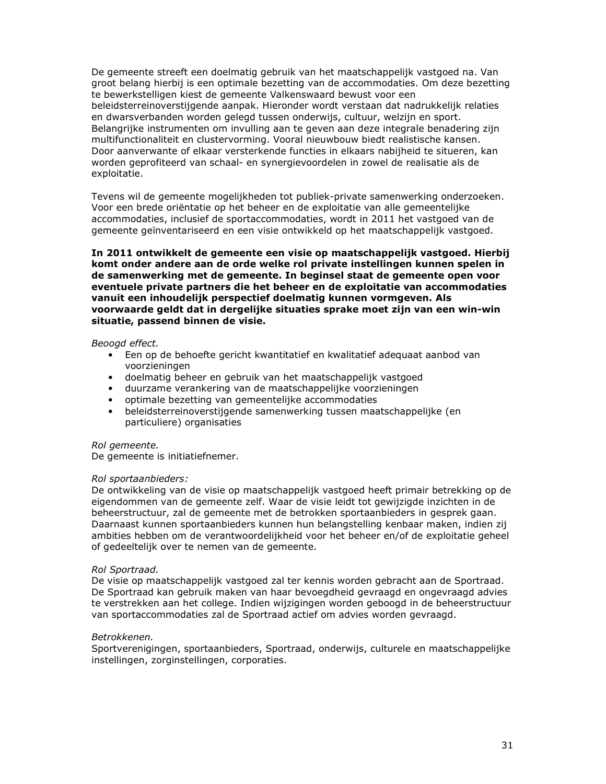De gemeente streeft een doelmatig gebruik van het maatschappelijk vastgoed na. Van groot belang hierbij is een optimale bezetting van de accommodaties. Om deze bezetting te bewerkstelligen kiest de gemeente Valkenswaard bewust voor een beleidsterreinoverstijgende aanpak. Hieronder wordt verstaan dat nadrukkelijk relaties en dwarsverbanden worden gelegd tussen onderwijs, cultuur, welzijn en sport. Belangrijke instrumenten om invulling aan te geven aan deze integrale benadering zijn multifunctionaliteit en clustervorming. Vooral nieuwbouw biedt realistische kansen. Door aanverwante of elkaar versterkende functies in elkaars nabijheid te situeren, kan worden geprofiteerd van schaal- en synergievoordelen in zowel de realisatie als de exploitatie.

Tevens wil de gemeente mogelijkheden tot publiek-private samenwerking onderzoeken. Voor een brede oriëntatie op het beheer en de exploitatie van alle gemeentelijke accommodaties, inclusief de sportaccommodaties, wordt in 2011 het vastgoed van de gemeente geïnventariseerd en een visie ontwikkeld op het maatschappelijk vastgoed.

In 2011 ontwikkelt de gemeente een visie op maatschappelijk vastgoed. Hierbij komt onder andere aan de orde welke rol private instellingen kunnen spelen in de samenwerking met de gemeente. In beginsel staat de gemeente open voor eventuele private partners die het beheer en de exploitatie van accommodaties vanuit een inhoudelijk perspectief doelmatig kunnen vormgeven. Als voorwaarde geldt dat in dergelijke situaties sprake moet zijn van een win-win situatie, passend binnen de visie.

Beoogd effect.

- Een op de behoefte gericht kwantitatief en kwalitatief adequaat aanbod van voorzieningen
- doelmatig beheer en gebruik van het maatschappelijk vastgoed
- · duurzame verankering van de maatschappelijke voorzieningen
- optimale bezetting van gemeentelijke accommodaties
- · beleidsterreinoverstijgende samenwerking tussen maatschappelijke (en particuliere) organisaties

### Rol gemeente.

De gemeente is initiatiefnemer.

### Rol sportaanbieders:

De ontwikkeling van de visie op maatschappelijk vastgoed heeft primair betrekking op de eigendommen van de gemeente zelf. Waar de visie leidt tot gewijzigde inzichten in de beheerstructuur, zal de gemeente met de betrokken sportaanbieders in gesprek gaan. Daarnaast kunnen sportaanbieders kunnen hun belangstelling kenbaar maken, indien zij ambities hebben om de verantwoordelijkheid voor het beheer en/of de exploitatie geheel of gedeeltelijk over te nemen van de gemeente.

### Rol Sportraad.

De visie op maatschappelijk vastgoed zal ter kennis worden gebracht aan de Sportraad. De Sportraad kan gebruik maken van haar bevoegdheid gevraagd en ongevraagd advies te verstrekken aan het college. Indien wijzigingen worden geboogd in de beheerstructuur van sportaccommodaties zal de Sportraad actief om advies worden gevraagd.

### Betrokkenen.

Sportverenigingen, sportaanbieders, Sportraad, onderwijs, culturele en maatschappelijke instellingen, zorginstellingen, corporaties.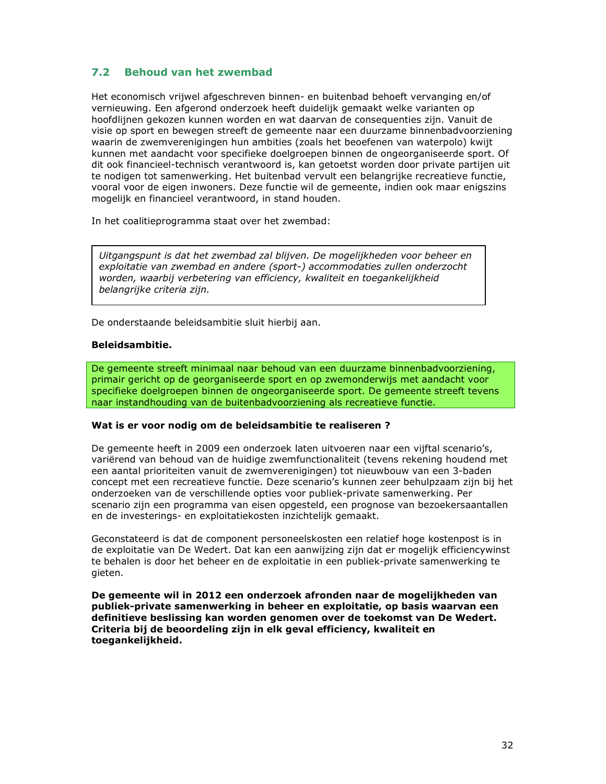#### $7.2$ **Behoud van het zwembad**

Het economisch vrijwel afgeschreven binnen- en buitenbad behoeft vervanging en/of vernieuwing. Een afgerond onderzoek heeft duidelijk gemaakt welke varianten op hoofdlijnen gekozen kunnen worden en wat daarvan de consequenties zijn. Vanuit de visie op sport en bewegen streeft de gemeente naar een duurzame binnenbadvoorziening waarin de zwemverenigingen hun ambities (zoals het beoefenen van waterpolo) kwijt kunnen met aandacht voor specifieke doelgroepen binnen de ongeorganiseerde sport. Of dit ook financieel-technisch verantwoord is, kan getoetst worden door private partijen uit te nodigen tot samenwerking. Het buitenbad vervult een belangrijke recreatieve functie, vooral voor de eigen inwoners. Deze functie wil de gemeente, indien ook maar enjgszins mogelijk en financieel verantwoord, in stand houden.

In het coalitieprogramma staat over het zwembad:

Uitgangspunt is dat het zwembad zal blijven. De mogelijkheden voor beheer en exploitatie van zwembad en andere (sport-) accommodaties zullen onderzocht worden, waarbij verbetering van efficiency, kwaliteit en toegankelijkheid belangrijke criteria zijn.

De onderstaande beleidsambitie sluit hierbij aan.

### **Beleidsambitie.**

De gemeente streeft minimaal naar behoud van een duurzame binnenbadvoorziening, primair gericht op de georganiseerde sport en op zwemonderwijs met aandacht voor specifieke doelgroepen binnen de ongeorganiseerde sport. De gemeente streeft tevens naar instandhouding van de buitenbadvoorziening als recreatieve functie.

### Wat is er voor nodig om de beleidsambitie te realiseren ?

De gemeente heeft in 2009 een onderzoek laten uitvoeren naar een vijftal scenario's, variërend van behoud van de huidige zwemfunctionaliteit (tevens rekening houdend met een aantal prioriteiten vanuit de zwemverenigingen) tot nieuwbouw van een 3-baden concept met een recreatieve functie. Deze scenario's kunnen zeer behulpzaam zijn bij het onderzoeken van de verschillende opties voor publiek-private samenwerking. Per scenario zijn een programma van eisen opgesteld, een prognose van bezoekersaantallen en de investerings- en exploitatiekosten inzichtelijk gemaakt.

Geconstateerd is dat de component personeelskosten een relatief hoge kostenpost is in de exploitatie van De Wedert. Dat kan een aanwijzing zijn dat er mogelijk efficiencywinst te behalen is door het beheer en de exploitatie in een publiek-private samenwerking te gieten.

De gemeente wil in 2012 een onderzoek afronden naar de mogelijkheden van publiek-private samenwerking in beheer en exploitatie, op basis waarvan een definitieve beslissing kan worden genomen over de toekomst van De Wedert. Criteria bij de beoordeling zijn in elk geval efficiency, kwaliteit en toegankelijkheid.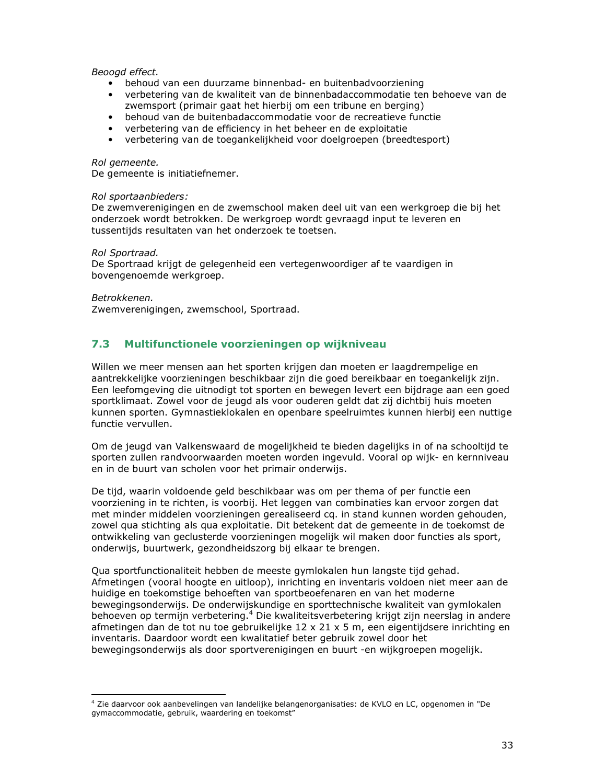### Beoogd effect.

- behoud van een duurzame binnenbad- en buitenbadvoorziening
- verbetering van de kwaliteit van de binnenbadaccommodatie ten behoeve van de zwemsport (primair gaat het hierbij om een tribune en berging)
- · behoud van de buitenbadaccommodatie voor de recreatieve functie
- verbetering van de efficiency in het beheer en de exploitatie
- verbetering van de toegankelijkheid voor doelgroepen (breedtesport)

### Rol aemeente.

De gemeente is initiatiefnemer.

### Rol sportaanbieders:

De zwemverenigingen en de zwemschool maken deel uit van een werkgroep die bij het onderzoek wordt betrokken. De werkgroep wordt gevraagd input te leveren en tussentijds resultaten van het onderzoek te toetsen.

Rol Sportraad.

De Sportraad krijgt de gelegenheid een vertegenwoordiger af te vaardigen in bovengenoemde werkgroep.

### Betrokkenen.

Zwemverenigingen, zwemschool, Sportraad.

#### $7.3$ Multifunctionele voorzieningen op wijkniveau

Willen we meer mensen aan het sporten krijgen dan moeten er laagdrempelige en aantrekkelijke voorzieningen beschikbaar zijn die goed bereikbaar en toegankelijk zijn. Een leefomgeving die uitnodigt tot sporten en bewegen levert een bijdrage aan een goed sportklimaat. Zowel voor de jeugd als voor ouderen geldt dat zij dichtbij huis moeten kunnen sporten. Gymnastieklokalen en openbare speelruimtes kunnen hierbij een nuttige functie vervullen.

Om de jeugd van Valkenswaard de mogelijkheid te bieden dagelijks in of na schooltijd te sporten zullen randvoorwaarden moeten worden ingevuld. Vooral op wijk- en kernniveau en in de buurt van scholen voor het primair onderwijs.

De tijd, waarin voldoende geld beschikbaar was om per thema of per functie een voorziening in te richten, is voorbij. Het leggen van combinaties kan ervoor zorgen dat met minder middelen voorzieningen gerealiseerd cg. in stand kunnen worden gehouden, zowel qua stichting als qua exploitatie. Dit betekent dat de gemeente in de toekomst de ontwikkeling van geclusterde voorzieningen mogelijk wil maken door functies als sport, onderwijs, buurtwerk, gezondheidszorg bij elkaar te brengen.

Qua sportfunctionaliteit hebben de meeste gymlokalen hun langste tijd gehad. Afmetingen (vooral hoogte en uitloop), inrichting en inventaris voldoen niet meer aan de huidige en toekomstige behoeften van sportbeoefenaren en van het moderne bewegingsonderwijs. De onderwijskundige en sporttechnische kwaliteit van gymlokalen behoeven op termijn verbetering.<sup>4</sup> Die kwaliteitsverbetering krijgt zijn neerslag in andere afmetingen dan de tot nu toe gebruikelijke  $12 \times 21 \times 5$  m, een eigentijdsere inrichting en inventaris. Daardoor wordt een kwalitatief beter gebruik zowel door het bewegingsonderwijs als door sportverenigingen en buurt -en wijkgroepen mogelijk.

<sup>&</sup>lt;sup>4</sup> Zie daarvoor ook aanbevelingen van landelijke belangenorganisaties: de KVLO en LC, opgenomen in "De gymaccommodatie, gebruik, waardering en toekomst"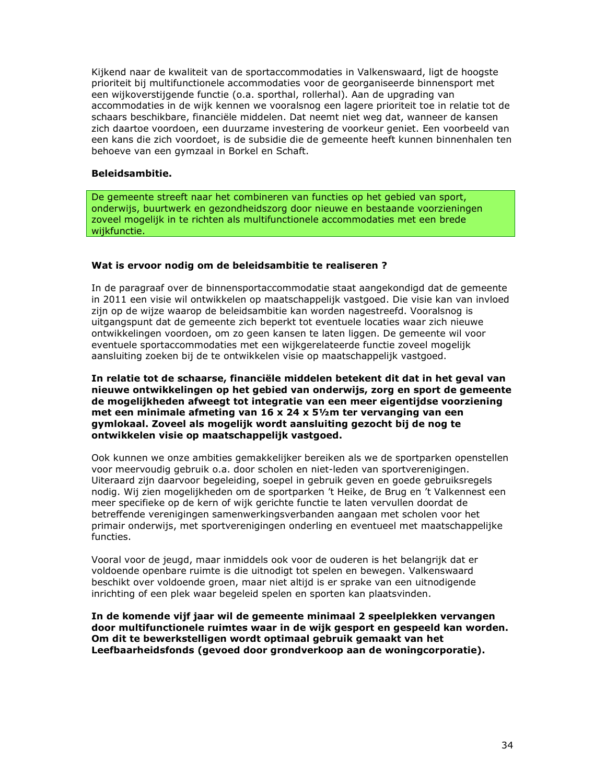Kijkend naar de kwaliteit van de sportaccommodaties in Valkenswaard, ligt de hoogste prioriteit bij multifunctionele accommodaties voor de georganiseerde binnensport met een wijkoverstijgende functie (o.a. sporthal, rollerhal). Aan de upgrading van accommodaties in de wijk kennen we vooralsnog een lagere prioriteit toe in relatie tot de schaars beschikbare, financiële middelen. Dat neemt niet weg dat, wanneer de kansen zich daartoe voordoen, een duurzame investering de voorkeur geniet. Een voorbeeld van een kans die zich voordoet, is de subsidie die de gemeente heeft kunnen binnenhalen ten behoeve van een gymzaal in Borkel en Schaft.

### Beleidsambitie.

De gemeente streeft naar het combineren van functies op het gebied van sport, onderwijs, buurtwerk en gezondheidszorg door nieuwe en bestaande voorzieningen zoveel mogelijk in te richten als multifunctionele accommodaties met een brede wijkfunctie.

### Wat is ervoor nodig om de beleidsambitie te realiseren ?

In de paragraaf over de binnensportaccommodatie staat aangekondigd dat de gemeente in 2011 een visie wil ontwikkelen op maatschappelijk vastgoed. Die visie kan van invloed zijn op de wijze waarop de beleidsambitie kan worden nagestreefd. Vooralsnog is uitgangspunt dat de gemeente zich beperkt tot eventuele locaties waar zich nieuwe ontwikkelingen voordoen, om zo geen kansen te laten liggen. De gemeente wil voor eventuele sportaccommodaties met een wijkgerelateerde functie zoveel mogelijk aansluiting zoeken bij de te ontwikkelen visie op maatschappelijk vastgoed.

### In relatie tot de schaarse, financiële middelen betekent dit dat in het geval van nieuwe ontwikkelingen op het gebied van onderwijs, zorg en sport de gemeente de mogelijkheden afweegt tot integratie van een meer eigentijdse voorziening met een minimale afmeting van 16 x 24 x 51/2m ter vervanging van een gymlokaal. Zoveel als mogelijk wordt aansluiting gezocht bij de nog te ontwikkelen visie op maatschappelijk vastgoed.

Ook kunnen we onze ambities gemakkelijker bereiken als we de sportparken openstellen voor meervoudig gebruik o.a. door scholen en niet-leden van sportverenigingen. Uiteraard zijn daarvoor begeleiding, soepel in gebruik geven en goede gebruiksregels nodig. Wij zien mogelijkheden om de sportparken 't Heike, de Brug en 't Valkennest een meer specifieke op de kern of wijk gerichte functie te laten vervullen doordat de betreffende verenigingen samenwerkingsverbanden aangaan met scholen voor het primair onderwijs, met sportverenigingen onderling en eventueel met maatschappelijke functies.

Vooral voor de jeugd, maar inmiddels ook voor de ouderen is het belangrijk dat er voldoende openbare ruimte is die uitnodigt tot spelen en bewegen. Valkenswaard beschikt over voldoende groen, maar niet altijd is er sprake van een uitnodigende inrichting of een plek waar begeleid spelen en sporten kan plaatsvinden.

In de komende vijf jaar wil de gemeente minimaal 2 speelplekken vervangen door multifunctionele ruimtes waar in de wijk gesport en gespeeld kan worden. Om dit te bewerkstelligen wordt optimaal gebruik gemaakt van het Leefbaarheidsfonds (gevoed door grondverkoop aan de woningcorporatie).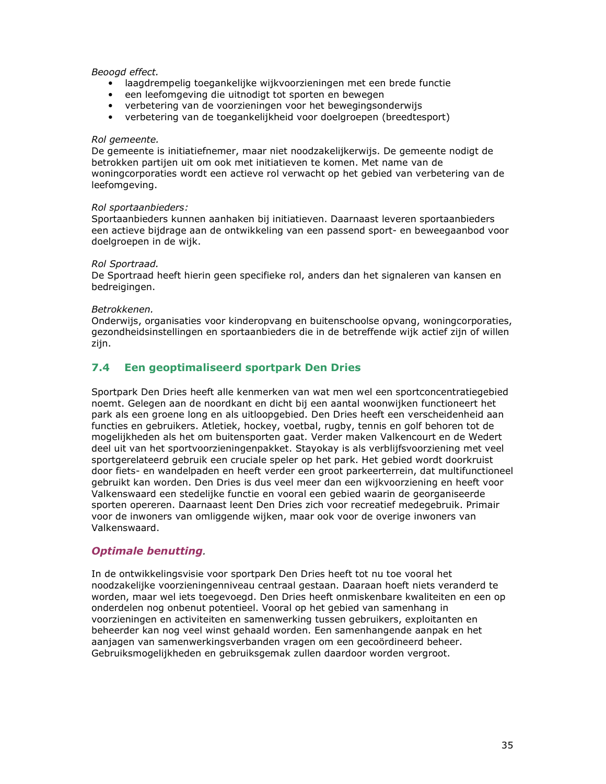### Beoogd effect.

- · laagdrempelig toegankelijke wijkvoorzieningen met een brede functie
- een leefomgeving die uitnodigt tot sporten en bewegen
- verbetering van de voorzieningen voor het bewegingsonderwijs
- verbetering van de toegankelijkheid voor doelgroepen (breedtesport)

### Rol gemeente.

De gemeente is initiatiefnemer, maar niet noodzakelijkerwijs. De gemeente nodigt de betrokken partijen uit om ook met initiatieven te komen. Met name van de woningcorporaties wordt een actieve rol verwacht op het gebied van verbetering van de leefomgeving.

### Rol sportaanbieders:

Sportaanbieders kunnen aanhaken bij initiatieven. Daarnaast leveren sportaanbieders een actieve bijdrage aan de ontwikkeling van een passend sport- en beweegaanbod voor doelgroepen in de wijk.

### Rol Sportraad.

De Sportraad heeft hierin geen specifieke rol, anders dan het signaleren van kansen en bedreigingen.

### Betrokkenen.

Onderwijs, organisaties voor kinderopvang en buitenschoolse opvang, woningcorporaties, gezondheidsinstellingen en sportaanbieders die in de betreffende wijk actief zijn of willen zijn.

#### $7.4$ Een geoptimaliseerd sportpark Den Dries

Sportpark Den Dries heeft alle kenmerken van wat men wel een sportconcentratiegebied noemt. Gelegen aan de noordkant en dicht bij een aantal woonwijken functioneert het park als een groene long en als uitloopgebied. Den Dries heeft een verscheidenheid aan functies en gebruikers. Atletiek, hockey, voetbal, rugby, tennis en golf behoren tot de mogelijkheden als het om buitensporten gaat. Verder maken Valkencourt en de Wedert deel uit van het sportvoorzieningenpakket. Stayokay is als verblijfsvoorziening met veel sportgerelateerd gebruik een cruciale speler op het park. Het gebied wordt doorkruist door fiets- en wandelpaden en heeft verder een groot parkeerterrein, dat multifunctioneel gebruikt kan worden. Den Dries is dus veel meer dan een wijkvoorziening en heeft voor Valkenswaard een stedelijke functie en vooral een gebied waarin de georganiseerde sporten opereren. Daarnaast leent Den Dries zich voor recreatief medegebruik. Primair voor de inwoners van omliggende wijken, maar ook voor de overige inwoners van Valkenswaard.

### **Optimale benutting.**

In de ontwikkelingsvisie voor sportpark Den Dries heeft tot nu toe vooral het noodzakelijke voorzieningenniveau centraal gestaan. Daaraan hoeft niets veranderd te worden, maar wel iets toegevoegd. Den Dries heeft onmiskenbare kwaliteiten en een op onderdelen nog onbenut potentieel. Vooral op het gebied van samenhang in voorzieningen en activiteiten en samenwerking tussen gebruikers, exploitanten en beheerder kan nog veel winst gehaald worden. Een samenhangende aanpak en het aanjagen van samenwerkingsverbanden vragen om een gecoördineerd beheer. Gebruiksmogelijkheden en gebruiksgemak zullen daardoor worden vergroot.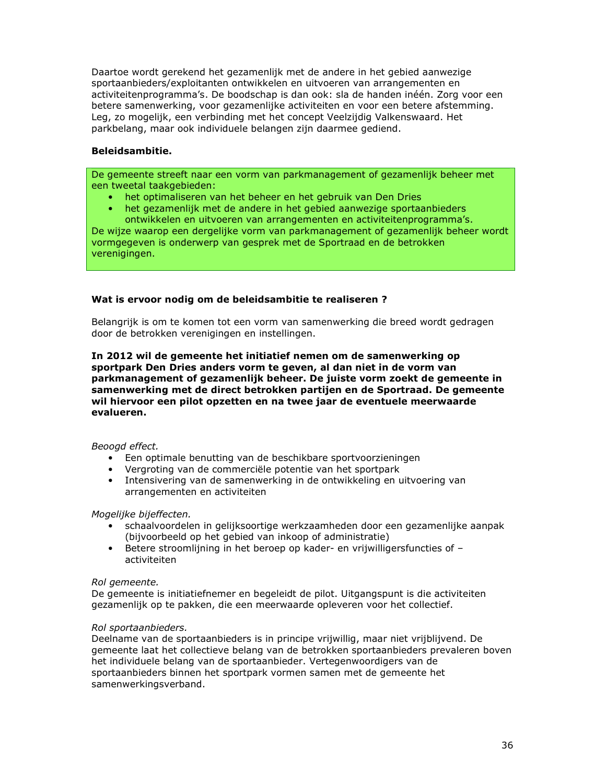Daartoe wordt gerekend het gezamenlijk met de andere in het gebied aanwezige sportaanbieders/exploitanten ontwikkelen en uitvoeren van arrangementen en activiteitenprogramma's. De boodschap is dan ook: sla de handen inéén. Zorg voor een betere samenwerking, voor gezamenlijke activiteiten en voor een betere afstemming. Leg, zo mogelijk, een verbinding met het concept Veelzijdig Valkenswaard. Het parkbelang, maar ook individuele belangen zijn daarmee gediend.

### **Beleidsambitie.**

De gemeente streeft naar een vorm van parkmanagement of gezamenlijk beheer met een tweetal taakgebieden:

- het optimaliseren van het beheer en het gebruik van Den Dries
- het gezamenlijk met de andere in het gebied aanwezige sportaanbieders ontwikkelen en uitvoeren van arrangementen en activiteitenprogramma's.

De wijze waarop een dergelijke vorm van parkmanagement of gezamenlijk beheer wordt vormgegeven is onderwerp van gesprek met de Sportraad en de betrokken verenigingen.

### Wat is ervoor nodig om de beleidsambitie te realiseren ?

Belangrijk is om te komen tot een vorm van samenwerking die breed wordt gedragen door de betrokken verenigingen en instellingen.

In 2012 wil de gemeente het initiatief nemen om de samenwerking op sportpark Den Dries anders vorm te geven, al dan niet in de vorm van parkmanagement of gezamenlijk beheer. De juiste vorm zoekt de gemeente in samenwerking met de direct betrokken partijen en de Sportraad. De gemeente wil hiervoor een pilot opzetten en na twee jaar de eventuele meerwaarde evalueren.

### Beoogd effect.

- Een optimale benutting van de beschikbare sportvoorzieningen
- Vergroting van de commerciële potentie van het sportpark
- Intensivering van de samenwerking in de ontwikkeling en uitvoering van arrangementen en activiteiten

### Mogelijke bijeffecten.

- schaalvoordelen in gelijksoortige werkzaamheden door een gezamenlijke aanpak (bijvoorbeeld op het gebied van inkoop of administratie)
- Betere stroomlijning in het beroep op kader- en vrijwilligersfuncties of activiteiten

### Rol gemeente.

De gemeente is initiatiefnemer en begeleidt de pilot. Uitgangspunt is die activiteiten gezamenlijk op te pakken, die een meerwaarde opleveren voor het collectief.

### Rol sportaanbieders.

Deelname van de sportaanbieders is in principe vrijwillig, maar niet vrijblijvend. De gemeente laat het collectieve belang van de betrokken sportaanbieders prevaleren boven het individuele belang van de sportaanbieder. Vertegenwoordigers van de sportaanbieders binnen het sportpark vormen samen met de gemeente het samenwerkingsverband.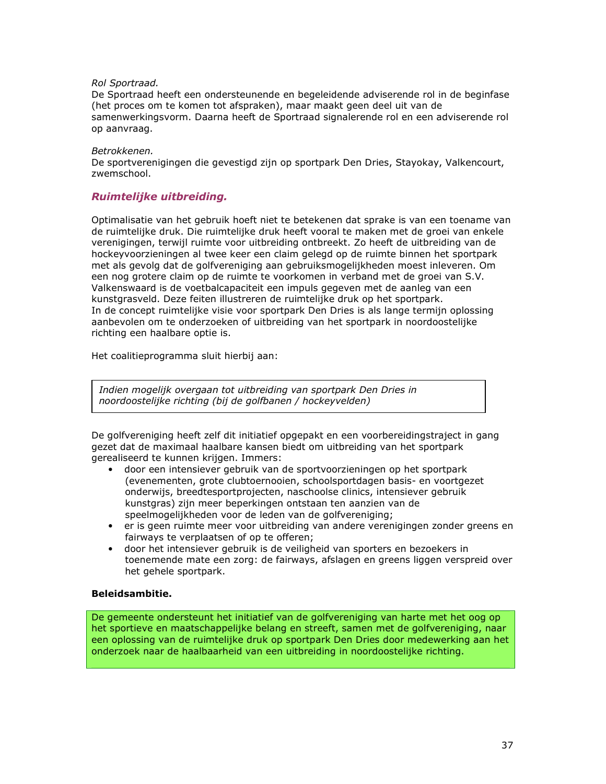### Rol Sportraad.

De Sportraad heeft een ondersteunende en begeleidende adviserende rol in de beginfase (het proces om te komen tot afspraken), maar maakt geen deel uit van de samenwerkingsvorm. Daarna heeft de Sportraad signalerende rol en een adviserende rol op aanvraag.

### Betrokkenen.

De sportverenigingen die gevestigd zijn op sportpark Den Dries, Stayokay, Valkencourt, zwemschool.

### Ruimtelijke uitbreiding.

Optimalisatie van het gebruik hoeft niet te betekenen dat sprake is van een toename van de ruimtelijke druk. Die ruimtelijke druk heeft vooral te maken met de groei van enkele verenigingen, terwijl ruimte voor uitbreiding ontbreekt. Zo heeft de uitbreiding van de hockeyvoorzieningen al twee keer een claim gelegd op de ruimte binnen het sportpark met als gevolg dat de golfvereniging aan gebruiksmogelijkheden moest inleveren. Om een nog grotere claim op de ruimte te voorkomen in verband met de groei van S.V. Valkenswaard is de voetbalcapaciteit een impuls gegeven met de aanleg van een kunstgrasveld. Deze feiten illustreren de ruimtelijke druk op het sportpark. In de concept ruimtelijke visie voor sportpark Den Dries is als lange termijn oplossing aanbevolen om te onderzoeken of uitbreiding van het sportpark in noordoostelijke richting een haalbare optie is.

Het coalitieprogramma sluit hierbij aan:

Indien mogelijk overgaan tot uitbreiding van sportpark Den Dries in noordoostelijke richting (bij de golfbanen / hockeyvelden)

De golfvereniging heeft zelf dit initiatief opgepakt en een voorbereidingstraject in gang gezet dat de maximaal haalbare kansen biedt om uitbreiding van het sportpark gerealiseerd te kunnen krijgen. Immers:

- · door een intensiever gebruik van de sportvoorzieningen op het sportpark (evenementen, grote clubtoernooien, schoolsportdagen basis- en voortgezet onderwijs, breedtesportprojecten, naschoolse clinics, intensiever gebruik kunstgras) zijn meer beperkingen ontstaan ten aanzien van de speelmogelijkheden voor de leden van de golfvereniging;
- er is geen ruimte meer voor uitbreiding van andere verenigingen zonder greens en fairways te verplaatsen of op te offeren;
- door het intensiever gebruik is de veiligheid van sporters en bezoekers in toenemende mate een zorg: de fairways, afslagen en greens liggen verspreid over het gehele sportpark.

### **Beleidsambitie.**

De gemeente ondersteunt het initiatief van de golfvereniging van harte met het oog op het sportieve en maatschappelijke belang en streeft, samen met de golfvereniging, naar een oplossing van de ruimtelijke druk op sportpark Den Dries door medewerking aan het onderzoek naar de haalbaarheid van een uitbreiding in noordoostelijke richting.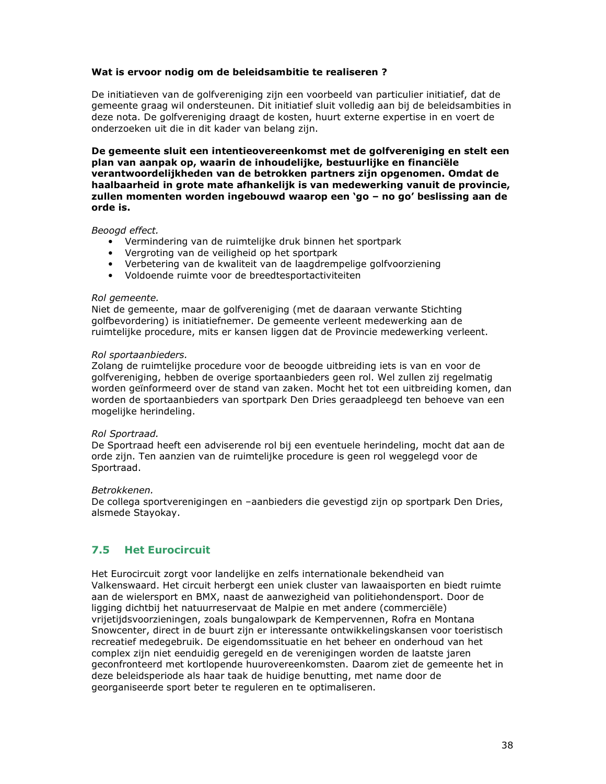### Wat is ervoor nodig om de beleidsambitie te realiseren?

De initiatieven van de golfvereniging zijn een voorbeeld van particulier initiatief, dat de gemeente graag wil ondersteunen. Dit initiatief sluit volledig aan bij de beleidsambities in deze nota. De golfvereniging draagt de kosten, huurt externe expertise in en voert de onderzoeken uit die in dit kader van belang zijn.

De gemeente sluit een intentieovereenkomst met de golfvereniging en stelt een plan van aanpak op, waarin de inhoudelijke, bestuurlijke en financiële verantwoordelijkheden van de betrokken partners zijn opgenomen. Omdat de haalbaarheid in grote mate afhankelijk is van medewerking vanuit de provincie, zullen momenten worden ingebouwd waarop een 'go - no go' beslissing aan de orde is.

Beoogd effect.

- Vermindering van de ruimtelijke druk binnen het sportpark
- Vergroting van de veiligheid op het sportpark
- Verbetering van de kwaliteit van de laagdrempelige golfvoorziening
- Voldoende ruimte voor de breedtesportactiviteiten

### Rol gemeente.

Niet de gemeente, maar de golfvereniging (met de daaraan verwante Stichting golfbevordering) is initiatiefnemer. De gemeente verleent medewerking aan de ruimtelijke procedure, mits er kansen liggen dat de Provincie medewerking verleent.

### Rol sportaanbieders.

Zolang de ruimtelijke procedure voor de beoogde uitbreiding iets is van en voor de golfvereniging, hebben de overige sportaanbieders geen rol. Wel zullen zij regelmatig worden geïnformeerd over de stand van zaken. Mocht het tot een uitbreiding komen, dan worden de sportaanbieders van sportpark Den Dries geraadpleegd ten behoeve van een mogelijke herindeling.

### Rol Sportraad.

De Sportraad heeft een adviserende rol bij een eventuele herindeling, mocht dat aan de orde zijn. Ten aanzien van de ruimtelijke procedure is geen rol weggelegd voor de Sportraad.

### Betrokkenen.

De collega sportverenigingen en -aanbieders die gevestigd zijn op sportpark Den Dries, alsmede Stayokay.

#### $7.5$ **Het Eurocircuit**

Het Eurocircuit zorgt voor landelijke en zelfs internationale bekendheid van Valkenswaard. Het circuit herbergt een uniek cluster van lawaaisporten en biedt ruimte aan de wielersport en BMX, naast de aanwezigheid van politiehondensport. Door de ligging dichtbij het natuurreservaat de Malpie en met andere (commerciële) vrijetijdsvoorzieningen, zoals bungalowpark de Kempervennen, Rofra en Montana Snowcenter, direct in de buurt zijn er interessante ontwikkelingskansen voor toeristisch recreatief medegebruik. De eigendomssituatie en het beheer en onderhoud van het complex zijn niet eenduidig geregeld en de verenigingen worden de laatste jaren geconfronteerd met kortlopende huurovereenkomsten. Daarom ziet de gemeente het in deze beleidsperiode als haar taak de huidige benutting, met name door de georganiseerde sport beter te reguleren en te optimaliseren.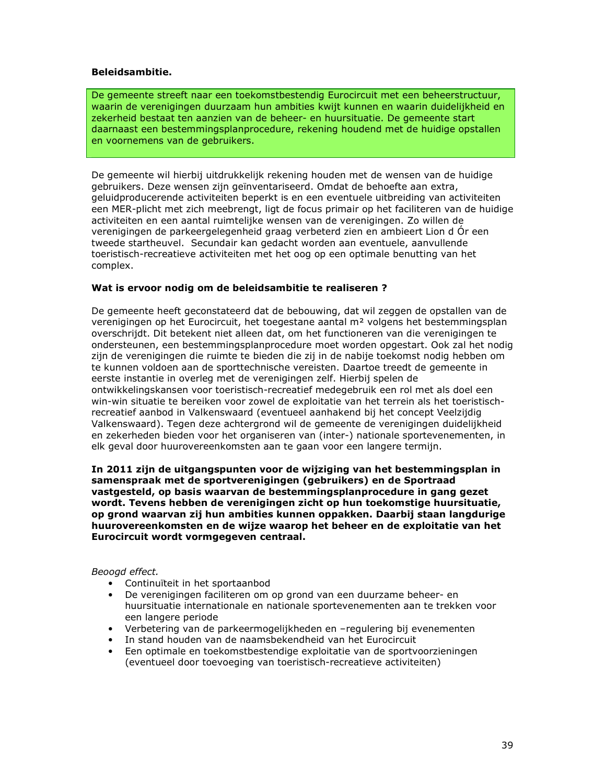### **Beleidsambitie.**

De gemeente streeft naar een toekomstbestendig Eurocircuit met een beheerstructuur, waarin de verenigingen duurzaam hun ambities kwijt kunnen en waarin duidelijkheid en zekerheid bestaat ten aanzien van de beheer- en huursituatie. De gemeente start daarnaast een bestemmingsplanprocedure, rekening houdend met de huidige opstallen en voornemens van de gebruikers.

De gemeente wil hierbij uitdrukkelijk rekening houden met de wensen van de huidige gebruikers. Deze wensen zijn geïnventariseerd. Omdat de behoefte aan extra, geluidproducerende activiteiten beperkt is en een eventuele uitbreiding van activiteiten een MER-plicht met zich meebrengt, ligt de focus primair op het faciliteren van de huidige activiteiten en een aantal ruimtelijke wensen van de verenigingen. Zo willen de verenigingen de parkeergelegenheid graag verbeterd zien en ambieert Lion d Ór een tweede startheuvel. Secundair kan gedacht worden aan eventuele, aanvullende toeristisch-recreatieve activiteiten met het oog op een optimale benutting van het complex.

### Wat is ervoor nodig om de beleidsambitie te realiseren ?

De gemeente heeft geconstateerd dat de bebouwing, dat wil zeggen de opstallen van de verenigingen op het Eurocircuit, het toegestane aantal m<sup>2</sup> volgens het bestemmingsplan overschrijdt. Dit betekent niet alleen dat, om het functioneren van die verenigingen te ondersteunen, een bestemmingsplanprocedure moet worden opgestart. Ook zal het nodig zijn de verenigingen die ruimte te bieden die zij in de nabije toekomst nodig hebben om te kunnen voldoen aan de sporttechnische vereisten. Daartoe treedt de gemeente in eerste instantie in overleg met de verenigingen zelf. Hierbij spelen de ontwikkelingskansen voor toeristisch-recreatief medegebruik een rol met als doel een win-win situatie te bereiken voor zowel de exploitatie van het terrein als het toeristischrecreatief aanbod in Valkenswaard (eventueel aanhakend bij het concept Veelzijdig Valkenswaard). Tegen deze achtergrond wil de gemeente de verenigingen duidelijkheid en zekerheden bieden voor het organiseren van (inter-) nationale sportevenementen, in elk geval door huurovereenkomsten aan te gaan voor een langere termijn.

In 2011 zijn de uitgangspunten voor de wijziging van het bestemmingsplan in samenspraak met de sportverenigingen (gebruikers) en de Sportraad vastgesteld, op basis waarvan de bestemmingsplanprocedure in gang gezet wordt. Tevens hebben de verenigingen zicht op hun toekomstige huursituatie, op grond waarvan zij hun ambities kunnen oppakken. Daarbij staan langdurige huurovereenkomsten en de wijze waarop het beheer en de exploitatie van het Eurocircuit wordt vormgegeven centraal.

### Beoogd effect.

- Continuïteit in het sportaanbod
- De verenigingen faciliteren om op grond van een duurzame beheer- en huursituatie internationale en nationale sportevenementen aan te trekken voor een langere periode
- Verbetering van de parkeermogelijkheden en -regulering bij evenementen
- In stand houden van de naamsbekendheid van het Eurocircuit
- Een optimale en toekomstbestendige exploitatie van de sportvoorzieningen (eventueel door toevoeging van toeristisch-recreatieve activiteiten)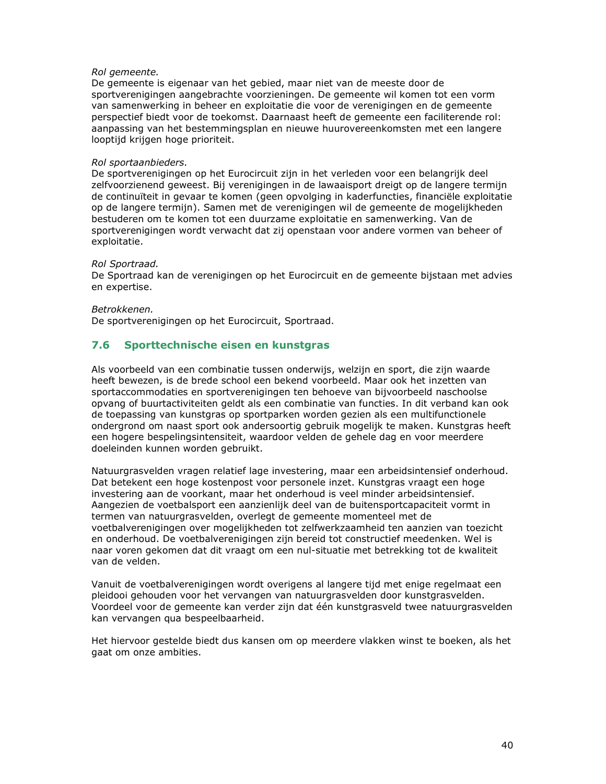### Rol gemeente.

De gemeente is eigenaar van het gebied, maar niet van de meeste door de sportverenigingen aangebrachte voorzieningen. De gemeente wil komen tot een vorm van samenwerking in beheer en exploitatie die voor de verenigingen en de gemeente perspectief biedt voor de toekomst. Daarnaast heeft de gemeente een faciliterende rol: aanpassing van het bestemmingsplan en nieuwe huurovereenkomsten met een langere looptijd krijgen hoge prioriteit.

### Rol sportaanbieders.

De sportverenigingen op het Eurocircuit zijn in het verleden voor een belangrijk deel zelfvoorzienend geweest. Bij verenigingen in de lawaaisport dreigt op de langere termijn de continuïteit in gevaar te komen (geen opvolging in kaderfuncties, financiële exploitatie op de langere termijn). Samen met de verenigingen wil de gemeente de mogelijkheden bestuderen om te komen tot een duurzame exploitatie en samenwerking. Van de sportverenigingen wordt verwacht dat zij openstaan voor andere vormen van beheer of exploitatie.

### Rol Sportraad.

De Sportraad kan de verenigingen op het Eurocircuit en de gemeente bijstaan met advies en expertise.

### Betrokkenen.

De sportverenigingen op het Eurocircuit, Sportraad.

#### $7.6$ Sporttechnische eisen en kunstgras

Als voorbeeld van een combinatie tussen onderwijs, welzijn en sport, die zijn waarde heeft bewezen, is de brede school een bekend voorbeeld. Maar ook het inzetten van sportaccommodaties en sportverenigingen ten behoeve van bijvoorbeeld naschoolse opvang of buurtactiviteiten geldt als een combinatie van functies. In dit verband kan ook de toepassing van kunstgras op sportparken worden gezien als een multifunctionele ondergrond om naast sport ook andersoortig gebruik mogelijk te maken. Kunstgras heeft een hogere bespelingsintensiteit, waardoor velden de gehele dag en voor meerdere doeleinden kunnen worden gebruikt.

Natuurgrasvelden vragen relatief lage investering, maar een arbeidsintensief onderhoud. Dat betekent een hoge kostenpost voor personele inzet. Kunstgras vraagt een hoge investering aan de voorkant, maar het onderhoud is veel minder arbeidsintensief. Aangezien de voetbalsport een aanzienlijk deel van de buitensportcapaciteit vormt in termen van natuurgrasvelden, overlegt de gemeente momenteel met de voetbalverenigingen over mogelijkheden tot zelfwerkzaamheid ten aanzien van toezicht en onderhoud. De voetbalverenigingen zijn bereid tot constructief meedenken. Wel is naar voren gekomen dat dit vraagt om een nul-situatie met betrekking tot de kwaliteit van de velden.

Vanuit de voetbalverenigingen wordt overigens al langere tijd met enige regelmaat een pleidooi gehouden voor het vervangen van natuurgrasvelden door kunstgrasvelden. Voordeel voor de gemeente kan verder zijn dat één kunstgrasveld twee natuurgrasvelden kan vervangen qua bespeelbaarheid.

Het hiervoor gestelde biedt dus kansen om op meerdere vlakken winst te boeken, als het gaat om onze ambities.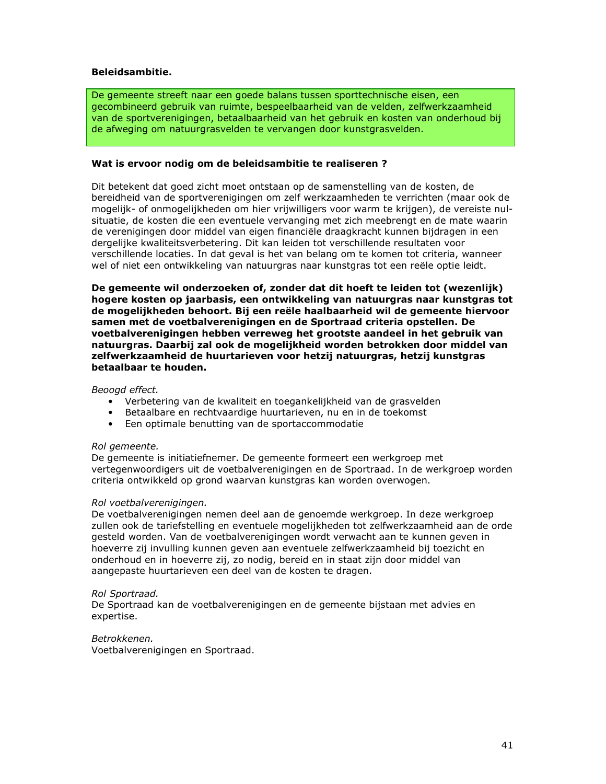### **Beleidsambitie.**

De gemeente streeft naar een goede balans tussen sporttechnische eisen, een gecombineerd gebruik van ruimte, bespeelbaarheid van de velden, zelfwerkzaamheid van de sportverenigingen, betaalbaarheid van het gebruik en kosten van onderhoud bij de afweging om natuurgrasvelden te vervangen door kunstgrasvelden.

### Wat is ervoor nodig om de beleidsambitie te realiseren ?

Dit betekent dat goed zicht moet ontstaan op de samenstelling van de kosten, de bereidheid van de sportverenigingen om zelf werkzaamheden te verrichten (maar ook de mogelijk- of onmogelijkheden om hier vrijwilligers voor warm te krijgen), de vereiste nulsituatie, de kosten die een eventuele vervanging met zich meebrengt en de mate waarin de verenigingen door middel van eigen financiële draagkracht kunnen bijdragen in een dergelijke kwaliteitsverbetering. Dit kan leiden tot verschillende resultaten voor verschillende locaties. In dat geval is het van belang om te komen tot criteria, wanneer wel of niet een ontwikkeling van natuurgras naar kunstgras tot een reële optie leidt.

De gemeente wil onderzoeken of, zonder dat dit hoeft te leiden tot (wezenlijk) hogere kosten op jaarbasis, een ontwikkeling van natuurgras naar kunstgras tot de mogelijkheden behoort. Bij een reële haalbaarheid wil de gemeente hiervoor samen met de voetbalverenigingen en de Sportraad criteria opstellen. De voetbalverenigingen hebben verreweg het grootste aandeel in het gebruik van natuurgras. Daarbii zal ook de mogeliikheid worden betrokken door middel van zelfwerkzaamheid de huurtarieven voor hetzij natuurgras, hetzij kunstgras betaalbaar te houden.

### Beoogd effect.

- Verbetering van de kwaliteit en toegankelijkheid van de grasvelden
- · Betaalbare en rechtvaardige huurtarieven, nu en in de toekomst
- Een optimale benutting van de sportaccommodatie

### Rol gemeente.

De gemeente is initiatiefnemer. De gemeente formeert een werkgroep met vertegenwoordigers uit de voetbalverenigingen en de Sportraad. In de werkgroep worden criteria ontwikkeld op grond waarvan kunstgras kan worden overwogen.

### Rol voetbalverenigingen.

De voetbalverenigingen nemen deel aan de genoemde werkgroep. In deze werkgroep zullen ook de tariefstelling en eventuele mogelijkheden tot zelfwerkzaamheid aan de orde gesteld worden. Van de voetbalverenigingen wordt verwacht aan te kunnen geven in hoeverre zij invulling kunnen geven aan eventuele zelfwerkzaamheid bij toezicht en onderhoud en in hoeverre zij, zo nodig, bereid en in staat zijn door middel van aangepaste huurtarieven een deel van de kosten te dragen.

### Rol Sportraad.

De Sportraad kan de voetbalverenigingen en de gemeente bijstaan met advies en expertise.

Betrokkenen.

Voetbalverenigingen en Sportraad.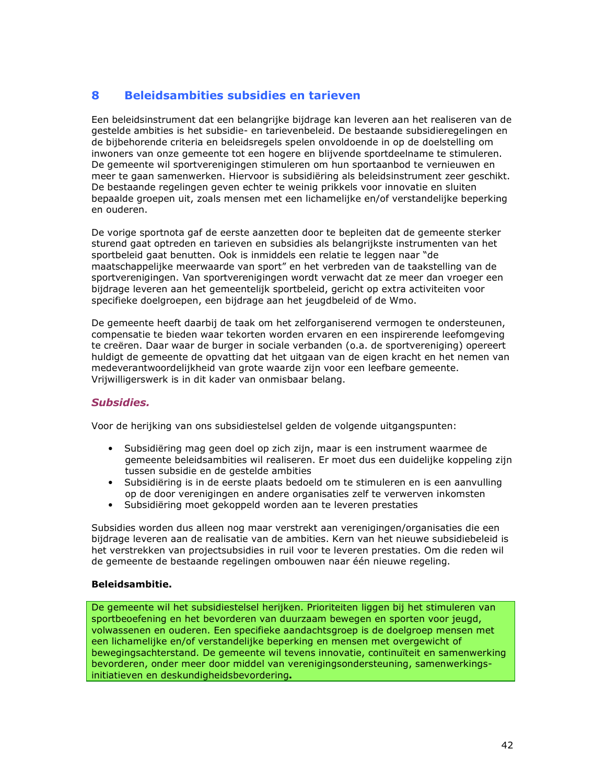#### **Beleidsambities subsidies en tarieven** 8

Een beleidsinstrument dat een belangrijke bijdrage kan leveren aan het realiseren van de gestelde ambities is het subsidie- en tarievenbeleid. De bestaande subsidieregelingen en de bijbehorende criteria en beleidsregels spelen onvoldoende in op de doelstelling om inwoners van onze gemeente tot een hogere en blijvende sportdeelname te stimuleren. De gemeente wil sportverenigingen stimuleren om hun sportaanbod te vernieuwen en meer te gaan samenwerken. Hiervoor is subsidiëring als beleidsinstrument zeer geschikt. De bestaande regelingen geven echter te weinig prikkels voor innovatie en sluiten bepaalde groepen uit, zoals mensen met een lichamelijke en/of verstandelijke beperking en ouderen.

De vorige sportnota gaf de eerste aanzetten door te bepleiten dat de gemeente sterker sturend gaat optreden en tarieven en subsidies als belangrijkste instrumenten van het sportbeleid gaat benutten. Ook is inmiddels een relatie te leggen naar "de maatschappelijke meerwaarde van sport" en het verbreden van de taakstelling van de sportverenigingen. Van sportverenigingen wordt verwacht dat ze meer dan vroeger een bijdrage leveren aan het gemeentelijk sportbeleid, gericht op extra activiteiten voor specifieke doelgroepen, een bijdrage aan het jeugdbeleid of de Wmo.

De gemeente heeft daarbij de taak om het zelforganiserend vermogen te ondersteunen, compensatie te bieden waar tekorten worden ervaren en een inspirerende leefomgeving te creëren. Daar waar de burger in sociale verbanden (o.a. de sportvereniging) opereert huldigt de gemeente de opvatting dat het uitgaan van de eigen kracht en het nemen van medeverantwoordelijkheid van grote waarde zijn voor een leefbare gemeente. Vrijwilligerswerk is in dit kader van onmisbaar belang.

### **Subsidies.**

Voor de herijking van ons subsidiestelsel gelden de volgende uitgangspunten:

- · Subsidiëring mag geen doel op zich zijn, maar is een instrument waarmee de gemeente beleidsambities wil realiseren. Er moet dus een duidelijke koppeling zijn tussen subsidie en de gestelde ambities
- · Subsidiëring is in de eerste plaats bedoeld om te stimuleren en is een aanvulling op de door verenigingen en andere organisaties zelf te verwerven inkomsten
- $\bullet$ Subsidiëring moet gekoppeld worden aan te leveren prestaties

Subsidies worden dus alleen nog maar verstrekt aan verenigingen/organisaties die een bijdrage leveren aan de realisatie van de ambities. Kern van het nieuwe subsidiebeleid is het verstrekken van projectsubsidies in ruil voor te leveren prestaties. Om die reden wil de gemeente de bestaande regelingen ombouwen naar één nieuwe regeling.

### **Beleidsambitie.**

De gemeente wil het subsidiestelsel herijken. Prioriteiten liggen bij het stimuleren van sportbeoefening en het bevorderen van duurzaam bewegen en sporten voor jeugd, volwassenen en ouderen. Een specifieke aandachtsgroep is de doelgroep mensen met een lichamelijke en/of verstandelijke beperking en mensen met overgewicht of bewegingsachterstand. De gemeente wil tevens innovatie, continuïteit en samenwerking bevorderen, onder meer door middel van verenigingsondersteuning, samenwerkingsinitiatieven en deskundigheidsbevordering.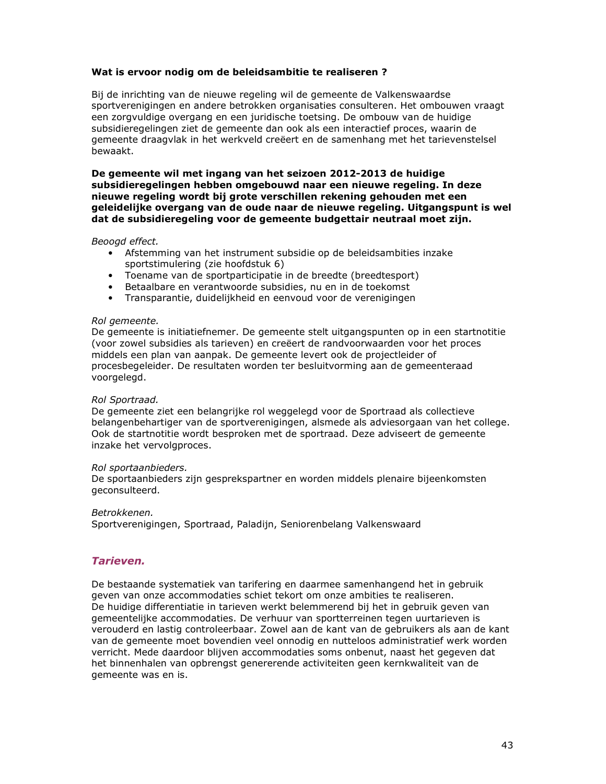### Wat is ervoor nodig om de beleidsambitie te realiseren?

Bij de inrichting van de nieuwe regeling wil de gemeente de Valkenswaardse sportverenigingen en andere betrokken organisaties consulteren. Het ombouwen vraagt een zorgvuldige overgang en een juridische toetsing. De ombouw van de huidige subsidieregelingen ziet de gemeente dan ook als een interactief proces, waarin de gemeente draagvlak in het werkveld creëert en de samenhang met het tarievenstelsel bewaakt.

De gemeente wil met ingang van het seizoen 2012-2013 de huidige subsidieregelingen hebben omgebouwd naar een nieuwe regeling. In deze nieuwe regeling wordt bij grote verschillen rekening gehouden met een geleidelijke overgang van de oude naar de nieuwe regeling. Uitgangspunt is wel dat de subsidieregeling voor de gemeente budgettair neutraal moet zijn.

Beoogd effect.

- Afstemming van het instrument subsidie op de beleidsambities inzake sportstimulering (zie hoofdstuk 6)
- Toename van de sportparticipatie in de breedte (breedtesport)
- · Betaalbare en verantwoorde subsidies, nu en in de toekomst
- Transparantie, duidelijkheid en eenvoud voor de verenigingen

### Rol gemeente.

De gemeente is initiatiefnemer. De gemeente stelt uitgangspunten op in een startnotitie (voor zowel subsidies als tarieven) en creëert de randvoorwaarden voor het proces middels een plan van aanpak. De gemeente levert ook de projectleider of procesbegeleider. De resultaten worden ter besluitvorming aan de gemeenteraad voorgelegd.

### Rol Sportraad.

De gemeente ziet een belangrijke rol weggelegd voor de Sportraad als collectieve belangenbehartiger van de sportverenigingen, alsmede als adviesorgaan van het college. Ook de startnotitie wordt besproken met de sportraad. Deze adviseert de gemeente inzake het vervolgproces.

### Rol sportaanbieders.

De sportaanbieders zijn gesprekspartner en worden middels plenaire bijeenkomsten geconsulteerd.

### Betrokkenen.

Sportverenigingen, Sportraad, Paladijn, Seniorenbelang Valkenswaard

### **Tarieven.**

De bestaande systematiek van tarifering en daarmee samenhangend het in gebruik geven van onze accommodaties schiet tekort om onze ambities te realiseren. De huidige differentiatie in tarieven werkt belemmerend bij het in gebruik geven van gemeentelijke accommodaties. De verhuur van sportterreinen tegen uurtarieven is verouderd en lastig controleerbaar. Zowel aan de kant van de gebruikers als aan de kant van de gemeente moet bovendien veel onnodig en nutteloos administratief werk worden verricht. Mede daardoor blijven accommodaties soms onbenut, naast het gegeven dat het binnenhalen van opbrengst genererende activiteiten geen kernkwaliteit van de gemeente was en is.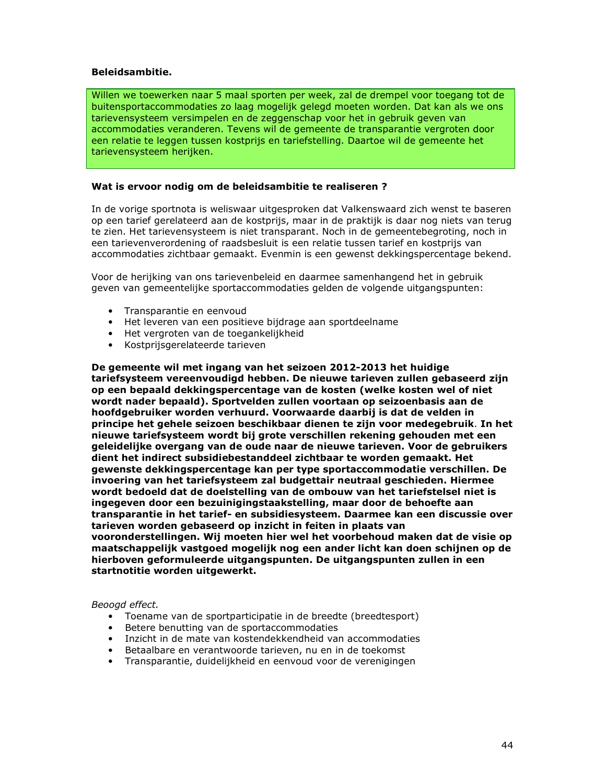### **Beleidsambitie.**

Willen we toewerken naar 5 maal sporten per week, zal de drempel voor toegang tot de buitensportaccommodaties zo laag mogelijk gelegd moeten worden. Dat kan als we ons tarievensysteem versimpelen en de zeggenschap voor het in gebruik geven van accommodaties veranderen. Tevens wil de gemeente de transparantie vergroten door een relatie te leggen tussen kostprijs en tariefstelling. Daartoe wil de gemeente het tarievensysteem herijken.

### Wat is ervoor nodig om de beleidsambitie te realiseren ?

In de vorige sportnota is weliswaar uitgesproken dat Valkenswaard zich wenst te baseren op een tarief gerelateerd aan de kostprijs, maar in de praktijk is daar nog niets van terug te zien. Het tarievensysteem is niet transparant. Noch in de gemeentebegroting, noch in een tarievenverordening of raadsbesluit is een relatie tussen tarief en kostprijs van accommodaties zichtbaar gemaakt. Evenmin is een gewenst dekkingspercentage bekend.

Voor de herijking van ons tarievenbeleid en daarmee samenhangend het in gebruik geven van gemeentelijke sportaccommodaties gelden de volgende uitgangspunten:

- Transparantie en eenvoud
- Het leveren van een positieve bijdrage aan sportdeelname
- Het vergroten van de toegankelijkheid
- Kostpriisgerelateerde tarieven

De gemeente wil met ingang van het seizoen 2012-2013 het huidige tariefsysteem vereenvoudigd hebben. De nieuwe tarieven zullen gebaseerd zijn op een bepaald dekkingspercentage van de kosten (welke kosten wel of niet wordt nader bepaald). Sportvelden zullen voortaan op seizoenbasis aan de hoofdgebruiker worden verhuurd. Voorwaarde daarbij is dat de velden in principe het gehele seizoen beschikbaar dienen te zijn voor medegebruik. In het nieuwe tariefsysteem wordt bij grote verschillen rekening gehouden met een geleidelijke overgang van de oude naar de nieuwe tarieven. Voor de gebruikers dient het indirect subsidiebestanddeel zichtbaar te worden gemaakt. Het gewenste dekkingspercentage kan per type sportaccommodatie verschillen. De invoering van het tariefsysteem zal budgettair neutraal geschieden. Hiermee wordt bedoeld dat de doelstelling van de ombouw van het tariefstelsel niet is ingegeven door een bezuinigingstaakstelling, maar door de behoefte aan transparantie in het tarief- en subsidiesysteem. Daarmee kan een discussie over tarieven worden gebaseerd op inzicht in feiten in plaats van vooronderstellingen. Wij moeten hier wel het voorbehoud maken dat de visie op maatschappelijk vastgoed mogelijk nog een ander licht kan doen schijnen op de hierboven geformuleerde uitgangspunten. De uitgangspunten zullen in een startnotitie worden uitgewerkt.

### Beoogd effect.

- Toename van de sportparticipatie in de breedte (breedtesport)
- Betere benutting van de sportaccommodaties
- · Inzicht in de mate van kostendekkendheid van accommodaties
- Betaalbare en verantwoorde tarieven, nu en in de toekomst
- Transparantie, duidelijkheid en eenvoud voor de verenigingen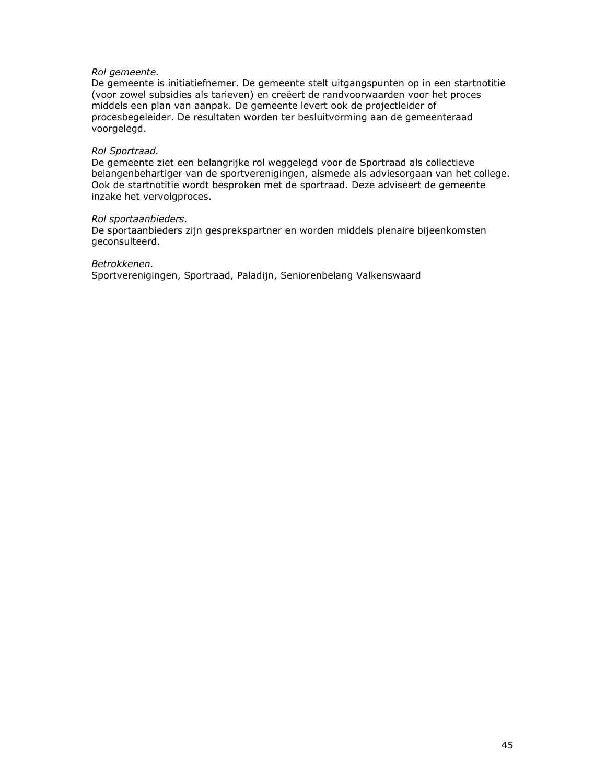### Rol gemeente.

De gemeente is initiatiefnemer. De gemeente stelt uitgangspunten op in een startnotitie (voor zowel subsidies als tarieven) en creëert de randvoorwaarden voor het proces middels een plan van aanpak. De gemeente levert ook de projectleider of procesbegeleider. De resultaten worden ter besluitvorming aan de gemeenteraad voorgelegd.

### Rol Sportraad.

De gemeente ziet een belangrijke rol weggelegd voor de Sportraad als collectieve belangenbehartiger van de sportverenigingen, alsmede als adviesorgaan van het college. Ook de startnotitie wordt besproken met de sportraad. Deze adviseert de gemeente inzake het vervolgproces.

### Rol sportaanbieders.

De sportaanbieders zijn gesprekspartner en worden middels plenaire bijeenkomsten geconsulteerd.

Betrokkenen.

Sportverenigingen, Sportraad, Paladijn, Seniorenbelang Valkenswaard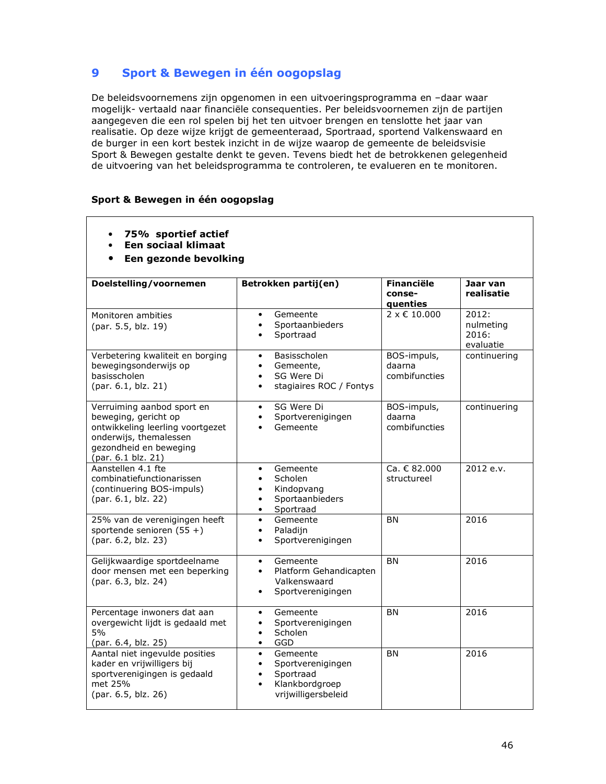#### $\boldsymbol{9}$ Sport & Bewegen in één oogopslag

De beleidsvoornemens zijn opgenomen in een uitvoeringsprogramma en -daar waar mogelijk- vertaald naar financiële consequenties. Per beleidsvoornemen zijn de partijen aangegeven die een rol spelen bij het ten uitvoer brengen en tenslotte het jaar van realisatie. Op deze wijze krijgt de gemeenteraad, Sportraad, sportend Valkenswaard en de burger in een kort bestek inzicht in de wijze waarop de gemeente de beleidsvisie Sport & Bewegen gestalte denkt te geven. Tevens biedt het de betrokkenen gelegenheid de uitvoering van het beleidsprogramma te controleren, te evalueren en te monitoren.

### Sport & Bewegen in één oogopslag

- 75% sportief actief  $\bullet$
- Een sociaal klimaat  $\bullet$
- Een gezonde bevolking  $\bullet$

| Doelstelling/voornemen                                                                                                                                           | Betrokken partij(en)                                                                                                                    | <b>Financiële</b><br>conse-<br>quenties | Jaar van<br>realisatie                   |
|------------------------------------------------------------------------------------------------------------------------------------------------------------------|-----------------------------------------------------------------------------------------------------------------------------------------|-----------------------------------------|------------------------------------------|
| Monitoren ambities<br>(par. 5.5, blz. 19)                                                                                                                        | Gemeente<br>$\bullet$<br>Sportaanbieders<br>$\bullet$<br>Sportraad                                                                      | $2 \times 10.000$                       | 2012:<br>nulmeting<br>2016:<br>evaluatie |
| Verbetering kwaliteit en borging<br>bewegingsonderwijs op<br>basisscholen<br>(par. 6.1, blz. 21)                                                                 | Basisscholen<br>$\bullet$<br>Gemeente,<br>٠<br>SG Were Di<br>$\bullet$<br>stagiaires ROC / Fontys<br>$\bullet$                          | BOS-impuls,<br>daarna<br>combifuncties  | continuering                             |
| Verruiming aanbod sport en<br>beweging, gericht op<br>ontwikkeling leerling voortgezet<br>onderwijs, themalessen<br>gezondheid en beweging<br>(par. 6.1 blz. 21) | SG Were Di<br>$\bullet$<br>Sportverenigingen<br>Gemeente<br>$\bullet$                                                                   | BOS-impuls,<br>daarna<br>combifuncties  | continuering                             |
| Aanstellen 4.1 fte<br>combinatiefunctionarissen<br>(continuering BOS-impuls)<br>(par. 6.1, blz. 22)                                                              | Gemeente<br>$\bullet$<br>Scholen<br>$\bullet$<br>Kindopvang<br>٠<br>Sportaanbieders<br>$\bullet$<br>Sportraad<br>$\bullet$              | Ca. € 82.000<br>structureel             | 2012 e.v.                                |
| 25% van de verenigingen heeft<br>sportende senioren $(55 +)$<br>(par. 6.2, blz. 23)                                                                              | Gemeente<br>$\bullet$<br>Paladijn<br>$\bullet$<br>Sportverenigingen<br>$\bullet$                                                        | <b>BN</b>                               | 2016                                     |
| Gelijkwaardige sportdeelname<br>door mensen met een beperking<br>(par. 6.3, blz. 24)                                                                             | Gemeente<br>$\bullet$<br>Platform Gehandicapten<br>$\bullet$<br>Valkenswaard<br>Sportverenigingen<br>$\bullet$                          | <b>BN</b>                               | 2016                                     |
| Percentage inwoners dat aan<br>overgewicht lijdt is gedaald met<br>5%<br>(par. 6.4, blz. 25)                                                                     | Gemeente<br>$\bullet$<br>Sportverenigingen<br>$\bullet$<br>Scholen<br>$\bullet$<br><b>GGD</b><br>$\bullet$                              | <b>BN</b>                               | 2016                                     |
| Aantal niet ingevulde posities<br>kader en vrijwilligers bij<br>sportverenigingen is gedaald<br>met 25%<br>(par. 6.5, blz. 26)                                   | Gemeente<br>$\bullet$<br>Sportverenigingen<br>$\bullet$<br>Sportraad<br>$\bullet$<br>Klankbordgroep<br>$\bullet$<br>vrijwilligersbeleid | <b>BN</b>                               | 2016                                     |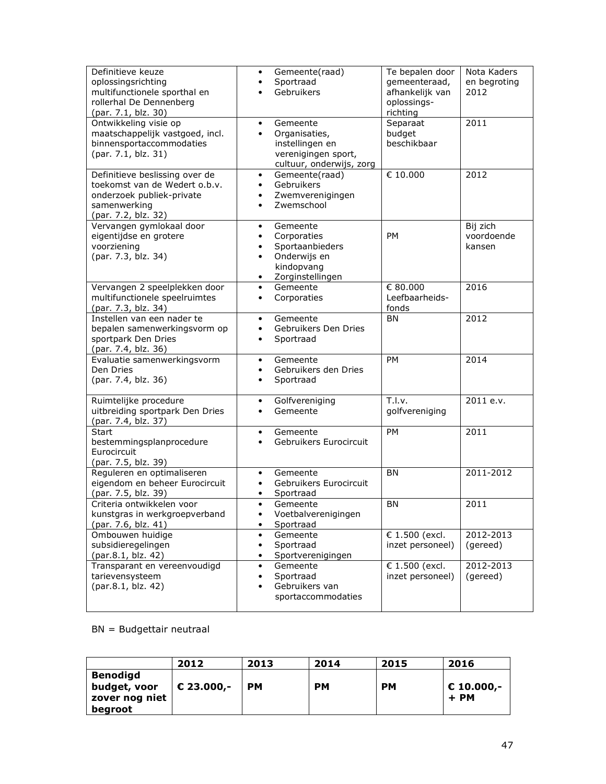| Definitieve keuze<br>oplossingsrichting<br>multifunctionele sporthal en<br>rollerhal De Dennenberg<br>(par. 7.1, blz. 30)           | Gemeente(raad)<br>٠<br>Sportraad<br>Gebruikers                                                                                                | Te bepalen door<br>gemeenteraad,<br>afhankelijk van<br>oplossings-<br>richting | Nota Kaders<br>en begroting<br>2012 |
|-------------------------------------------------------------------------------------------------------------------------------------|-----------------------------------------------------------------------------------------------------------------------------------------------|--------------------------------------------------------------------------------|-------------------------------------|
| Ontwikkeling visie op<br>maatschappelijk vastgoed, incl.<br>binnensportaccommodaties<br>(par. 7.1, blz. 31)                         | Gemeente<br>$\bullet$<br>Organisaties,<br>$\bullet$<br>instellingen en<br>verenigingen sport,<br>cultuur, onderwijs, zorg                     | Separaat<br>budget<br>beschikbaar                                              | 2011                                |
| Definitieve beslissing over de<br>toekomst van de Wedert o.b.v.<br>onderzoek publiek-private<br>samenwerking<br>(par. 7.2, blz. 32) | Gemeente(raad)<br>$\bullet$<br>Gebruikers<br>$\bullet$<br>Zwemverenigingen<br>$\bullet$<br>Zwemschool<br>$\bullet$                            | € 10.000                                                                       | 2012                                |
| Vervangen gymlokaal door<br>eigentijdse en grotere<br>voorziening<br>(par. 7.3, blz. 34)                                            | Gemeente<br>٠<br>Corporaties<br>$\bullet$<br>Sportaanbieders<br>$\bullet$<br>Onderwijs en<br>$\bullet$<br>kindopvang<br>Zorginstellingen<br>٠ | PM                                                                             | Bij zich<br>voordoende<br>kansen    |
| Vervangen 2 speelplekken door<br>multifunctionele speelruimtes<br>(par. 7.3, blz. 34)                                               | Gemeente<br>$\bullet$<br>Corporaties<br>$\bullet$                                                                                             | € 80.000<br>Leefbaarheids-<br>fonds                                            | 2016                                |
| Instellen van een nader te<br>bepalen samenwerkingsvorm op<br>sportpark Den Dries<br>(par. 7.4, blz. 36)                            | Gemeente<br>$\bullet$<br>Gebruikers Den Dries<br>$\bullet$<br>Sportraad<br>٠                                                                  | ΒN                                                                             | 2012                                |
| Evaluatie samenwerkingsvorm<br>Den Dries<br>(par. 7.4, blz. 36)                                                                     | Gemeente<br>$\bullet$<br>Gebruikers den Dries<br>$\bullet$<br>Sportraad<br>$\bullet$                                                          | PM                                                                             | 2014                                |
| Ruimtelijke procedure<br>uitbreiding sportpark Den Dries<br>(par. 7.4, blz. 37)                                                     | Golfvereniging<br>$\bullet$<br>Gemeente<br>٠                                                                                                  | T.I.v.<br>golfvereniging                                                       | 2011 e.v.                           |
| <b>Start</b><br>bestemmingsplanprocedure<br>Eurocircuit<br>(par. 7.5, blz. 39)                                                      | Gemeente<br>$\bullet$<br>Gebruikers Eurocircuit<br>$\bullet$                                                                                  | <b>PM</b>                                                                      | 2011                                |
| Reguleren en optimaliseren<br>eigendom en beheer Eurocircuit<br>(par. 7.5, blz. 39)                                                 | Gemeente<br>$\bullet$<br>Gebruikers Eurocircuit<br>٠<br>Sportraad<br>٠                                                                        | <b>BN</b>                                                                      | 2011-2012                           |
| Criteria ontwikkelen voor<br>kunstgras in werkgroepverband<br>(par. 7.6, blz. 41)                                                   | Gemeente<br>$\bullet$<br>Voetbalverenigingen<br>$\bullet$<br>Sportraad<br>٠                                                                   | <b>BN</b>                                                                      | 2011                                |
| Ombouwen huidige<br>subsidieregelingen<br>(par.8.1, blz. 42)                                                                        | Gemeente<br>$\bullet$<br>Sportraad<br>$\bullet$<br>Sportverenigingen<br>$\bullet$                                                             | € 1.500 (excl.<br>inzet personeel)                                             | 2012-2013<br>(gereed)               |
| Transparant en vereenvoudigd<br>tarievensysteem<br>(par.8.1, blz. 42)                                                               | Gemeente<br>٠<br>Sportraad<br>٠<br>Gebruikers van<br>$\bullet$<br>sportaccommodaties                                                          | € 1.500 (excl.<br>inzet personeel)                                             | 2012-2013<br>(gereed)               |

 $BN = Budgettaire neutral$ 

|                                                              | 2012       | 2013 | 2014      | 2015 | 2016                          |
|--------------------------------------------------------------|------------|------|-----------|------|-------------------------------|
| <b>Benodigd</b><br>budget, voor<br>zover nog niet<br>begroot | € 23.000,- | PМ   | <b>PM</b> | PМ   | $\epsilon$ 10.000,-<br>$+$ PM |